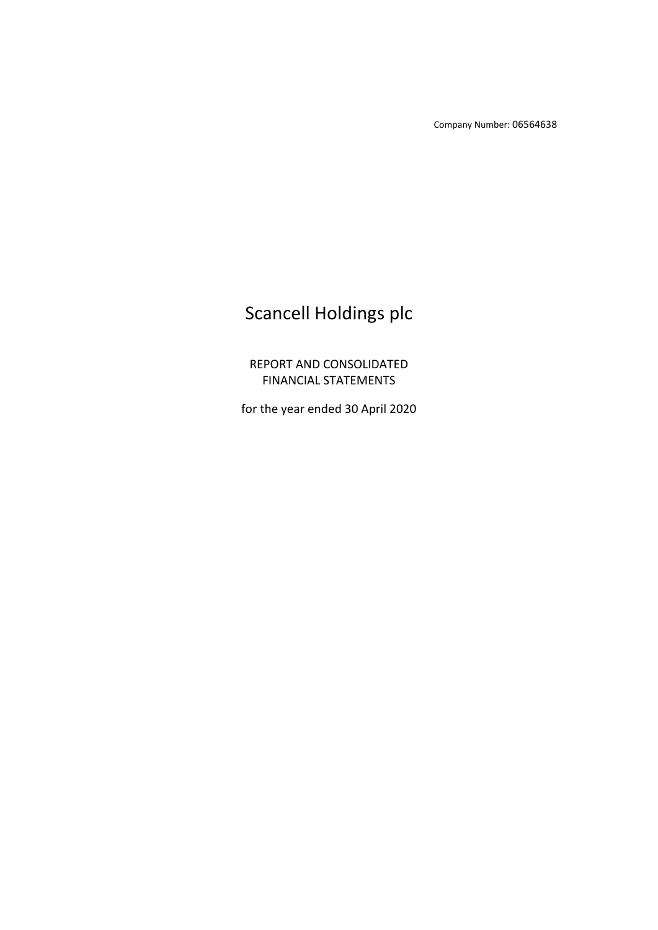Company Number: 06564638

# Scancell Holdings plc

REPORT AND CONSOLIDATED FINANCIAL STATEMENTS

for the year ended 30 April 2020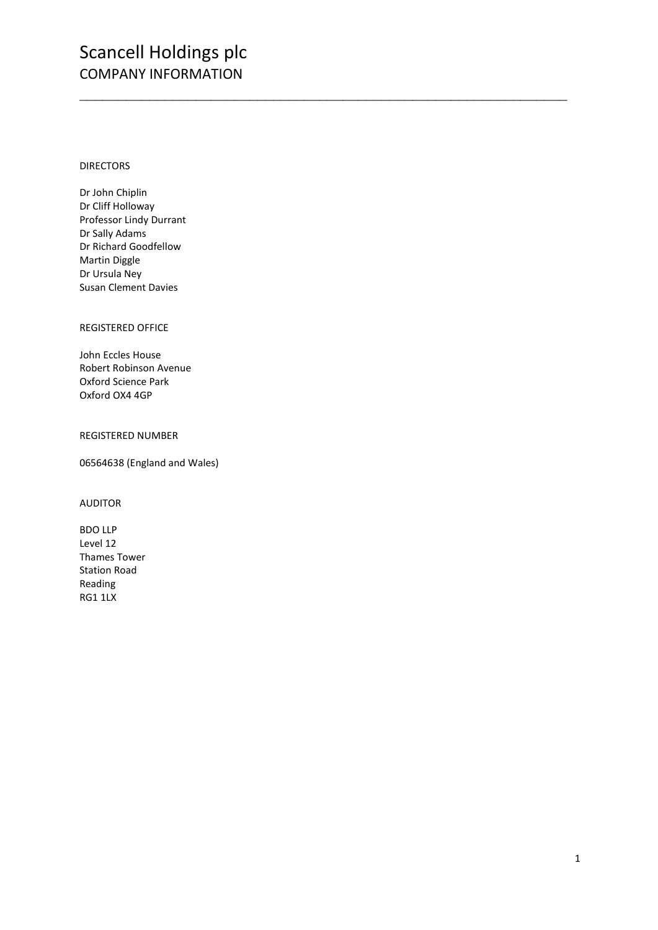## Scancell Holdings plc COMPANY INFORMATION

\_\_\_\_\_\_\_\_\_\_\_\_\_\_\_\_\_\_\_\_\_\_\_\_\_\_\_\_\_\_\_\_\_\_\_\_\_\_\_\_\_\_\_\_\_\_\_\_\_\_\_\_\_\_\_\_\_\_\_\_\_\_\_

#### DIRECTORS

Dr John Chiplin Dr Cliff Holloway Professor Lindy Durrant Dr Sally Adams Dr Richard Goodfellow Martin Diggle Dr Ursula Ney Susan Clement Davies

#### REGISTERED OFFICE

John Eccles House Robert Robinson Avenue Oxford Science Park Oxford OX4 4GP

#### REGISTERED NUMBER

06564638 (England and Wales)

#### AUDITOR

BDO LLP Level 12 Thames Tower Station Road Reading RG1 1LX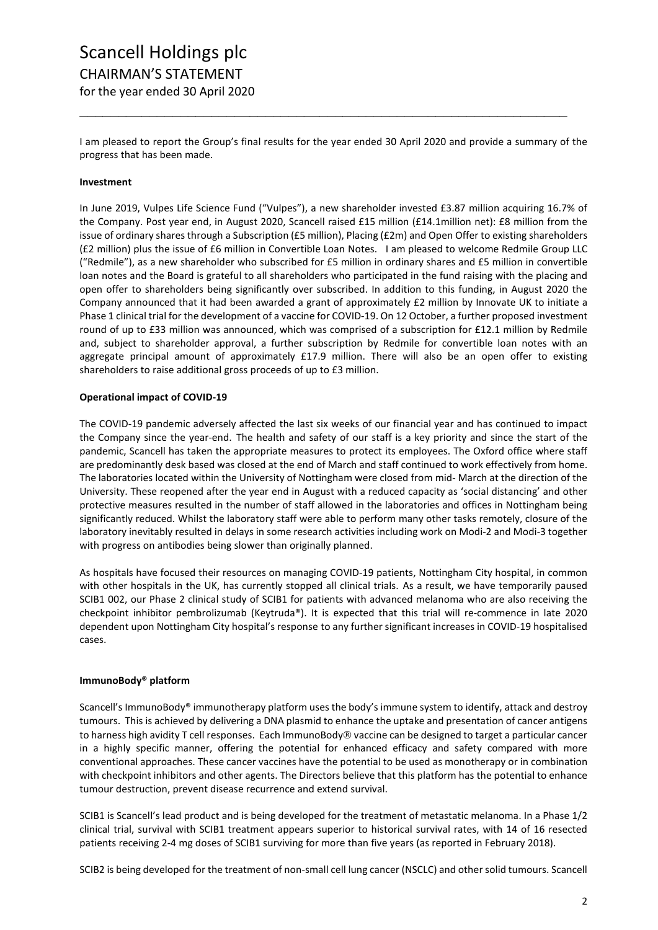I am pleased to report the Group's final results for the year ended 30 April 2020 and provide a summary of the progress that has been made.

\_\_\_\_\_\_\_\_\_\_\_\_\_\_\_\_\_\_\_\_\_\_\_\_\_\_\_\_\_\_\_\_\_\_\_\_\_\_\_\_\_\_\_\_\_\_\_\_\_\_\_\_\_\_\_\_\_\_\_\_\_\_\_

#### **Investment**

In June 2019, Vulpes Life Science Fund ("Vulpes"), a new shareholder invested £3.87 million acquiring 16.7% of the Company. Post year end, in August 2020, Scancell raised £15 million (£14.1million net): £8 million from the issue of ordinary shares through a Subscription (£5 million), Placing (£2m) and Open Offer to existing shareholders (£2 million) plus the issue of £6 million in Convertible Loan Notes. I am pleased to welcome Redmile Group LLC ("Redmile"), as a new shareholder who subscribed for £5 million in ordinary shares and £5 million in convertible loan notes and the Board is grateful to all shareholders who participated in the fund raising with the placing and open offer to shareholders being significantly over subscribed. In addition to this funding, in August 2020 the Company announced that it had been awarded a grant of approximately £2 million by Innovate UK to initiate a Phase 1 clinical trial for the development of a vaccine for COVID-19. On 12 October, a further proposed investment round of up to £33 million was announced, which was comprised of a subscription for £12.1 million by Redmile and, subject to shareholder approval, a further subscription by Redmile for convertible loan notes with an aggregate principal amount of approximately £17.9 million. There will also be an open offer to existing shareholders to raise additional gross proceeds of up to £3 million.

#### **Operational impact of COVID-19**

The COVID-19 pandemic adversely affected the last six weeks of our financial year and has continued to impact the Company since the year-end. The health and safety of our staff is a key priority and since the start of the pandemic, Scancell has taken the appropriate measures to protect its employees. The Oxford office where staff are predominantly desk based was closed at the end of March and staff continued to work effectively from home. The laboratories located within the University of Nottingham were closed from mid- March at the direction of the University. These reopened after the year end in August with a reduced capacity as 'social distancing' and other protective measures resulted in the number of staff allowed in the laboratories and offices in Nottingham being significantly reduced. Whilst the laboratory staff were able to perform many other tasks remotely, closure of the laboratory inevitably resulted in delays in some research activities including work on Modi-2 and Modi-3 together with progress on antibodies being slower than originally planned.

As hospitals have focused their resources on managing COVID-19 patients, Nottingham City hospital, in common with other hospitals in the UK, has currently stopped all clinical trials. As a result, we have temporarily paused SCIB1 002, our Phase 2 clinical study of SCIB1 for patients with advanced melanoma who are also receiving the checkpoint inhibitor pembrolizumab (Keytruda®). It is expected that this trial will re-commence in late 2020 dependent upon Nottingham City hospital's response to any further significant increases in COVID-19 hospitalised cases.

#### **ImmunoBody® platform**

Scancell's ImmunoBody® immunotherapy platform uses the body's immune system to identify, attack and destroy tumours. This is achieved by delivering a DNA plasmid to enhance the uptake and presentation of cancer antigens to harness high avidity T cell responses. Each ImmunoBody® vaccine can be designed to target a particular cancer in a highly specific manner, offering the potential for enhanced efficacy and safety compared with more conventional approaches. These cancer vaccines have the potential to be used as monotherapy or in combination with checkpoint inhibitors and other agents. The Directors believe that this platform has the potential to enhance tumour destruction, prevent disease recurrence and extend survival.

SCIB1 is Scancell's lead product and is being developed for the treatment of metastatic melanoma. In a Phase 1/2 clinical trial, survival with SCIB1 treatment appears superior to historical survival rates, with 14 of 16 resected patients receiving 2-4 mg doses of SCIB1 surviving for more than five years (as reported in February 2018).

SCIB2 is being developed for the treatment of non-small cell lung cancer (NSCLC) and other solid tumours. Scancell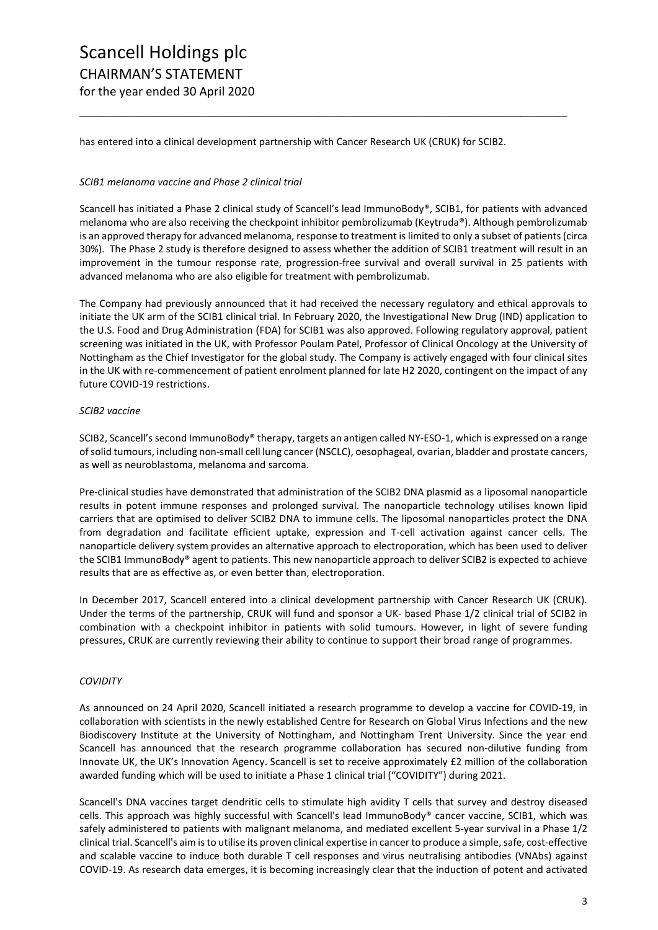has entered into a clinical development partnership with Cancer Research UK (CRUK) for SCIB2.

\_\_\_\_\_\_\_\_\_\_\_\_\_\_\_\_\_\_\_\_\_\_\_\_\_\_\_\_\_\_\_\_\_\_\_\_\_\_\_\_\_\_\_\_\_\_\_\_\_\_\_\_\_\_\_\_\_\_\_\_\_\_\_

#### *SCIB1 melanoma vaccine and Phase 2 clinical trial*

Scancell has initiated a Phase 2 clinical study of Scancell's lead ImmunoBody®, SCIB1, for patients with advanced melanoma who are also receiving the checkpoint inhibitor pembrolizumab (Keytruda®). Although pembrolizumab is an approved therapy for advanced melanoma, response to treatment is limited to only a subset of patients (circa 30%). The Phase 2 study is therefore designed to assess whether the addition of SCIB1 treatment will result in an improvement in the tumour response rate, progression-free survival and overall survival in 25 patients with advanced melanoma who are also eligible for treatment with pembrolizumab.

The Company had previously announced that it had received the necessary regulatory and ethical approvals to initiate the UK arm of the SCIB1 clinical trial. In February 2020, the Investigational New Drug (IND) application to the U.S. Food and Drug Administration (FDA) for SCIB1 was also approved. Following regulatory approval, patient screening was initiated in the UK, with Professor Poulam Patel, Professor of Clinical Oncology at the University of Nottingham as the Chief Investigator for the global study. The Company is actively engaged with four clinical sites in the UK with re-commencement of patient enrolment planned for late H2 2020, contingent on the impact of any future COVID-19 restrictions.

#### *SCIB2 vaccine*

SCIB2, Scancell's second ImmunoBody® therapy, targets an antigen called NY-ESO-1, which is expressed on a range of solid tumours, including non-small cell lung cancer (NSCLC), oesophageal, ovarian, bladder and prostate cancers, as well as neuroblastoma, melanoma and sarcoma.

Pre-clinical studies have demonstrated that administration of the SCIB2 DNA plasmid as a liposomal nanoparticle results in potent immune responses and prolonged survival. The nanoparticle technology utilises known lipid carriers that are optimised to deliver SCIB2 DNA to immune cells. The liposomal nanoparticles protect the DNA from degradation and facilitate efficient uptake, expression and T-cell activation against cancer cells. The nanoparticle delivery system provides an alternative approach to electroporation, which has been used to deliver the SCIB1 ImmunoBody® agent to patients. This new nanoparticle approach to deliver SCIB2 is expected to achieve results that are as effective as, or even better than, electroporation.

In December 2017, Scancell entered into a clinical development partnership with Cancer Research UK (CRUK). Under the terms of the partnership, CRUK will fund and sponsor a UK- based Phase 1/2 clinical trial of SCIB2 in combination with a checkpoint inhibitor in patients with solid tumours. However, in light of severe funding pressures, CRUK are currently reviewing their ability to continue to support their broad range of programmes.

#### *COVIDITY*

As announced on 24 April 2020, Scancell initiated a research programme to develop a vaccine for COVID-19, in collaboration with scientists in the newly established Centre for Research on Global Virus Infections and the new Biodiscovery Institute at the University of Nottingham, and Nottingham Trent University. Since the year end Scancell has announced that the research programme collaboration has secured non-dilutive funding from Innovate UK, the UK's Innovation Agency. Scancell is set to receive approximately £2 million of the collaboration awarded funding which will be used to initiate a Phase 1 clinical trial ("COVIDITY") during 2021.

Scancell's DNA vaccines target dendritic cells to stimulate high avidity T cells that survey and destroy diseased cells. This approach was highly successful with Scancell's lead ImmunoBody® cancer vaccine, SCIB1, which was safely administered to patients with malignant melanoma, and mediated excellent 5-year survival in a Phase 1/2 clinical trial. Scancell's aim is to utilise its proven clinical expertise in cancer to produce a simple, safe, cost-effective and scalable vaccine to induce both durable T cell responses and virus neutralising antibodies (VNAbs) against COVID-19. As research data emerges, it is becoming increasingly clear that the induction of potent and activated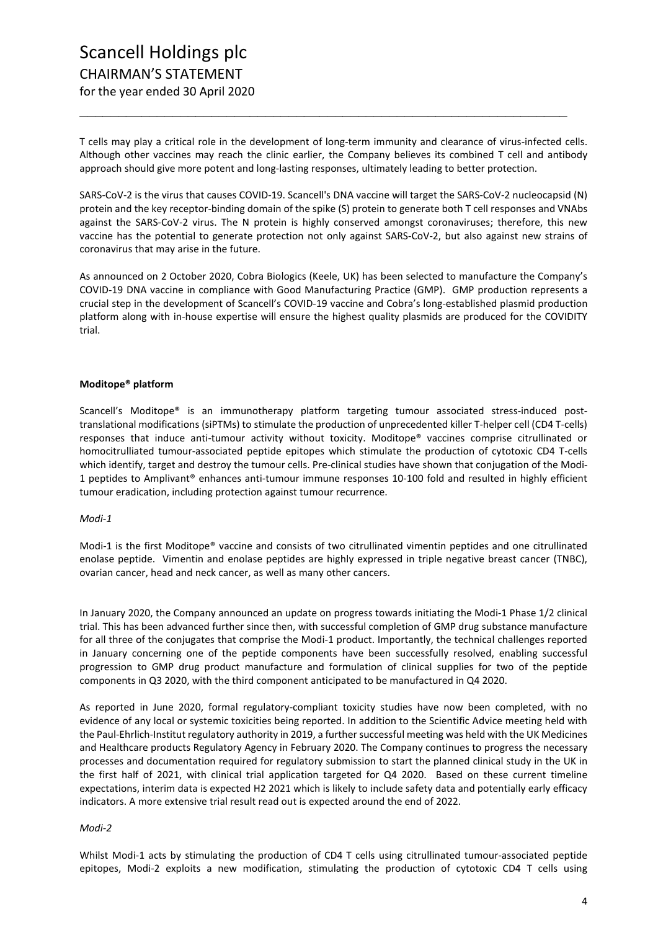T cells may play a critical role in the development of long-term immunity and clearance of virus-infected cells. Although other vaccines may reach the clinic earlier, the Company believes its combined T cell and antibody approach should give more potent and long-lasting responses, ultimately leading to better protection.

\_\_\_\_\_\_\_\_\_\_\_\_\_\_\_\_\_\_\_\_\_\_\_\_\_\_\_\_\_\_\_\_\_\_\_\_\_\_\_\_\_\_\_\_\_\_\_\_\_\_\_\_\_\_\_\_\_\_\_\_\_\_\_

SARS-CoV-2 is the virus that causes COVID-19. Scancell's DNA vaccine will target the SARS-CoV-2 nucleocapsid (N) protein and the key receptor-binding domain of the spike (S) protein to generate both T cell responses and VNAbs against the SARS-CoV-2 virus. The N protein is highly conserved amongst coronaviruses; therefore, this new vaccine has the potential to generate protection not only against SARS-CoV-2, but also against new strains of coronavirus that may arise in the future.

As announced on 2 October 2020, Cobra Biologics (Keele, UK) has been selected to manufacture the Company's COVID-19 DNA vaccine in compliance with Good Manufacturing Practice (GMP). GMP production represents a crucial step in the development of Scancell's COVID-19 vaccine and Cobra's long-established plasmid production platform along with in-house expertise will ensure the highest quality plasmids are produced for the COVIDITY trial.

#### **Moditope® platform**

Scancell's Moditope® is an immunotherapy platform targeting tumour associated stress-induced posttranslational modifications (siPTMs) to stimulate the production of unprecedented killer T-helper cell (CD4 T-cells) responses that induce anti-tumour activity without toxicity. Moditope® vaccines comprise citrullinated or homocitrulliated tumour-associated peptide epitopes which stimulate the production of cytotoxic CD4 T-cells which identify, target and destroy the tumour cells. Pre-clinical studies have shown that conjugation of the Modi-1 peptides to Amplivant® enhances anti-tumour immune responses 10-100 fold and resulted in highly efficient tumour eradication, including protection against tumour recurrence.

#### *Modi-1*

Modi-1 is the first Moditope® vaccine and consists of two citrullinated vimentin peptides and one citrullinated enolase peptide. Vimentin and enolase peptides are highly expressed in triple negative breast cancer (TNBC), ovarian cancer, head and neck cancer, as well as many other cancers.

In January 2020, the Company announced an update on progress towards initiating the Modi-1 Phase 1/2 clinical trial. This has been advanced further since then, with successful completion of GMP drug substance manufacture for all three of the conjugates that comprise the Modi-1 product. Importantly, the technical challenges reported in January concerning one of the peptide components have been successfully resolved, enabling successful progression to GMP drug product manufacture and formulation of clinical supplies for two of the peptide components in Q3 2020, with the third component anticipated to be manufactured in Q4 2020.

As reported in June 2020, formal regulatory-compliant toxicity studies have now been completed, with no evidence of any local or systemic toxicities being reported. In addition to the Scientific Advice meeting held with the Paul-Ehrlich-Institut regulatory authority in 2019, a further successful meeting was held with the UK Medicines and Healthcare products Regulatory Agency in February 2020. The Company continues to progress the necessary processes and documentation required for regulatory submission to start the planned clinical study in the UK in the first half of 2021, with clinical trial application targeted for Q4 2020. Based on these current timeline expectations, interim data is expected H2 2021 which is likely to include safety data and potentially early efficacy indicators. A more extensive trial result read out is expected around the end of 2022.

#### *Modi-2*

Whilst Modi-1 acts by stimulating the production of CD4 T cells using citrullinated tumour-associated peptide epitopes, Modi-2 exploits a new modification, stimulating the production of cytotoxic CD4 T cells using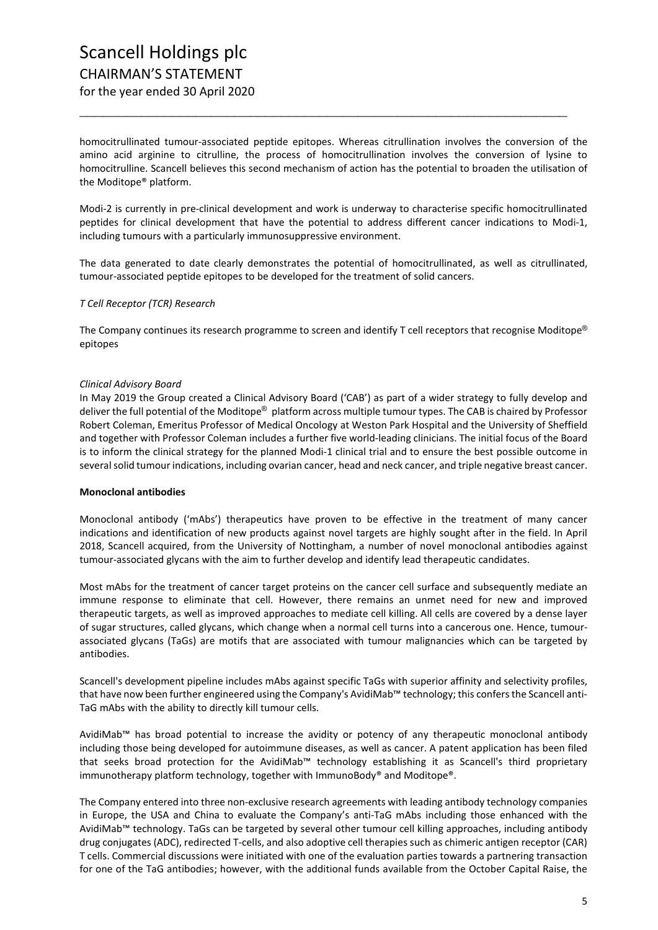# Scancell Holdings plc CHAIRMAN'S STATEMENT

for the year ended 30 April 2020

homocitrullinated tumour-associated peptide epitopes. Whereas citrullination involves the conversion of the amino acid arginine to citrulline, the process of homocitrullination involves the conversion of lysine to homocitrulline. Scancell believes this second mechanism of action has the potential to broaden the utilisation of the Moditope® platform.

\_\_\_\_\_\_\_\_\_\_\_\_\_\_\_\_\_\_\_\_\_\_\_\_\_\_\_\_\_\_\_\_\_\_\_\_\_\_\_\_\_\_\_\_\_\_\_\_\_\_\_\_\_\_\_\_\_\_\_\_\_\_\_

Modi-2 is currently in pre-clinical development and work is underway to characterise specific homocitrullinated peptides for clinical development that have the potential to address different cancer indications to Modi-1, including tumours with a particularly immunosuppressive environment.

The data generated to date clearly demonstrates the potential of homocitrullinated, as well as citrullinated, tumour-associated peptide epitopes to be developed for the treatment of solid cancers.

#### *T Cell Receptor (TCR) Research*

The Company continues its research programme to screen and identify T cell receptors that recognise Moditope<sup>®</sup> epitopes

#### *Clinical Advisory Board*

In May 2019 the Group created a Clinical Advisory Board ('CAB') as part of a wider strategy to fully develop and deliver the full potential of the Moditope® platform across multiple tumour types. The CAB is chaired by Professor Robert Coleman, Emeritus Professor of Medical Oncology at Weston Park Hospital and the University of Sheffield and together with Professor Coleman includes a further five world-leading clinicians. The initial focus of the Board is to inform the clinical strategy for the planned Modi-1 clinical trial and to ensure the best possible outcome in several solid tumour indications, including ovarian cancer, head and neck cancer, and triple negative breast cancer.

#### **Monoclonal antibodies**

Monoclonal antibody ('mAbs') therapeutics have proven to be effective in the treatment of many cancer indications and identification of new products against novel targets are highly sought after in the field. In April 2018, Scancell acquired, from the University of Nottingham, a number of novel monoclonal antibodies against tumour-associated glycans with the aim to further develop and identify lead therapeutic candidates.

Most mAbs for the treatment of cancer target proteins on the cancer cell surface and subsequently mediate an immune response to eliminate that cell. However, there remains an unmet need for new and improved therapeutic targets, as well as improved approaches to mediate cell killing. All cells are covered by a dense layer of sugar structures, called glycans, which change when a normal cell turns into a cancerous one. Hence, tumourassociated glycans (TaGs) are motifs that are associated with tumour malignancies which can be targeted by antibodies.

Scancell's development pipeline includes mAbs against specific TaGs with superior affinity and selectivity profiles, that have now been further engineered using the Company's AvidiMab™ technology; this confers the Scancell anti-TaG mAbs with the ability to directly kill tumour cells.

AvidiMab™ has broad potential to increase the avidity or potency of any therapeutic monoclonal antibody including those being developed for autoimmune diseases, as well as cancer. A patent application has been filed that seeks broad protection for the AvidiMab™ technology establishing it as Scancell's third proprietary immunotherapy platform technology, together with ImmunoBody® and Moditope®.

The Company entered into three non-exclusive research agreements with leading antibody technology companies in Europe, the USA and China to evaluate the Company's anti-TaG mAbs including those enhanced with the AvidiMab™ technology. TaGs can be targeted by several other tumour cell killing approaches, including antibody drug conjugates (ADC), redirected T-cells, and also adoptive cell therapies such as chimeric antigen receptor (CAR) T cells. Commercial discussions were initiated with one of the evaluation parties towards a partnering transaction for one of the TaG antibodies; however, with the additional funds available from the October Capital Raise, the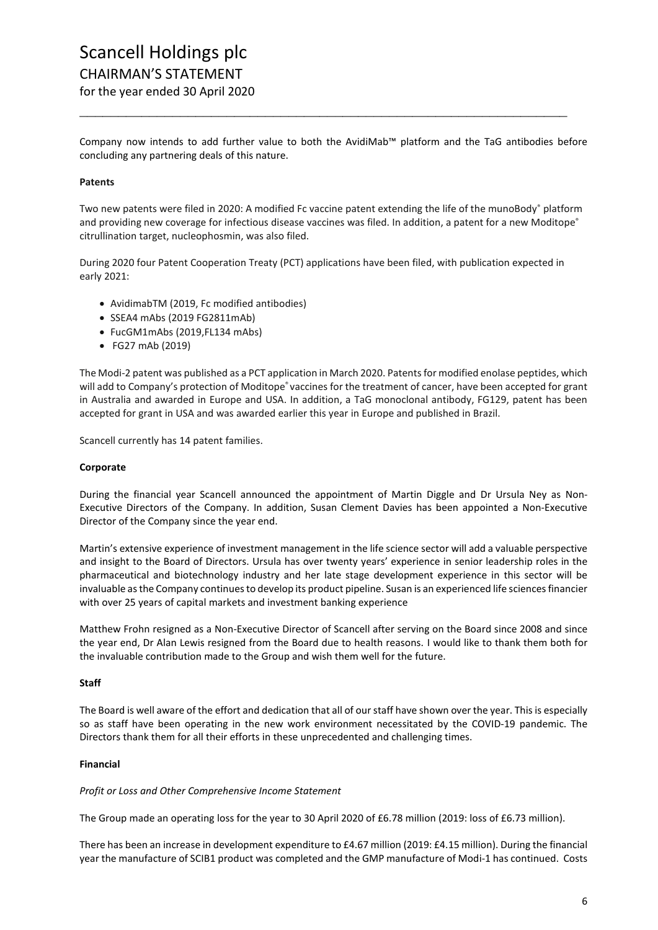## Scancell Holdings plc CHAIRMAN'S STATEMENT for the year ended 30 April 2020

Company now intends to add further value to both the AvidiMab™ platform and the TaG antibodies before concluding any partnering deals of this nature.

\_\_\_\_\_\_\_\_\_\_\_\_\_\_\_\_\_\_\_\_\_\_\_\_\_\_\_\_\_\_\_\_\_\_\_\_\_\_\_\_\_\_\_\_\_\_\_\_\_\_\_\_\_\_\_\_\_\_\_\_\_\_\_

#### **Patents**

Two new patents were filed in 2020: A modified Fc vaccine patent extending the life of the munoBody® platform and providing new coverage for infectious disease vaccines was filed. In addition, a patent for a new Moditope® citrullination target, nucleophosmin, was also filed.

During 2020 four Patent Cooperation Treaty (PCT) applications have been filed, with publication expected in early 2021:

- AvidimabTM (2019, Fc modified antibodies)
- SSEA4 mAbs (2019 FG2811mAb)
- FucGM1mAbs (2019,FL134 mAbs)
- FG27 mAb (2019)

The Modi-2 patent was published as a PCT application in March 2020. Patents for modified enolase peptides, which will add to Company's protection of Moditope® vaccines for the treatment of cancer, have been accepted for grant in Australia and awarded in Europe and USA. In addition, a TaG monoclonal antibody, FG129, patent has been accepted for grant in USA and was awarded earlier this year in Europe and published in Brazil.

Scancell currently has 14 patent families.

#### **Corporate**

During the financial year Scancell announced the appointment of Martin Diggle and Dr Ursula Ney as Non-Executive Directors of the Company. In addition, Susan Clement Davies has been appointed a Non-Executive Director of the Company since the year end.

Martin's extensive experience of investment management in the life science sector will add a valuable perspective and insight to the Board of Directors. Ursula has over twenty years' experience in senior leadership roles in the pharmaceutical and biotechnology industry and her late stage development experience in this sector will be invaluable as the Company continues to develop its product pipeline. Susan is an experienced life sciences financier with over 25 years of capital markets and investment banking experience

Matthew Frohn resigned as a Non-Executive Director of Scancell after serving on the Board since 2008 and since the year end, Dr Alan Lewis resigned from the Board due to health reasons. I would like to thank them both for the invaluable contribution made to the Group and wish them well for the future.

#### **Staff**

The Board is well aware of the effort and dedication that all of our staff have shown over the year. This is especially so as staff have been operating in the new work environment necessitated by the COVID-19 pandemic. The Directors thank them for all their efforts in these unprecedented and challenging times.

#### **Financial**

#### *Profit or Loss and Other Comprehensive Income Statement*

The Group made an operating loss for the year to 30 April 2020 of £6.78 million (2019: loss of £6.73 million).

There has been an increase in development expenditure to £4.67 million (2019: £4.15 million). During the financial year the manufacture of SCIB1 product was completed and the GMP manufacture of Modi-1 has continued. Costs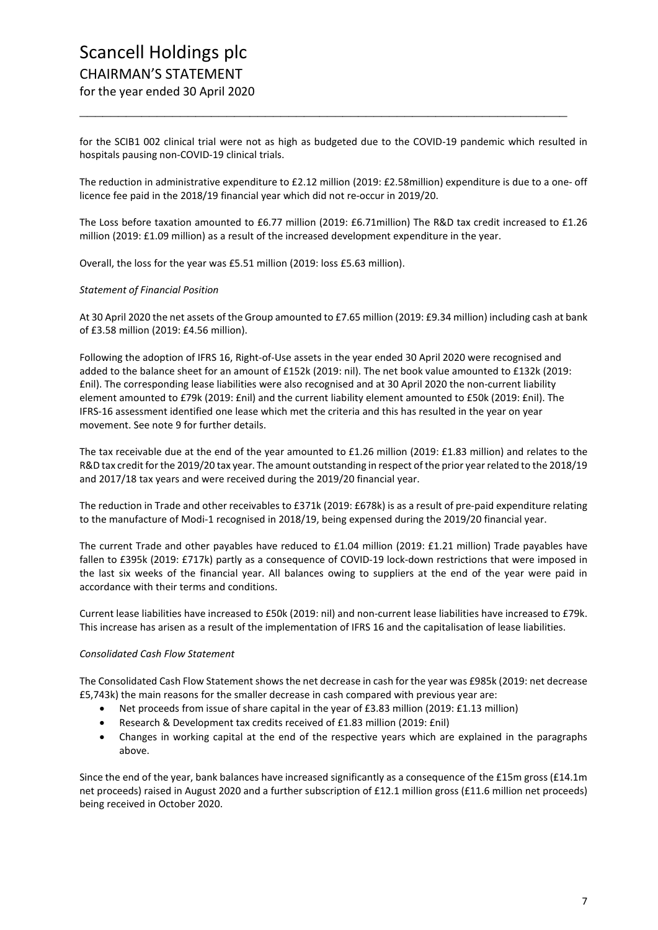for the SCIB1 002 clinical trial were not as high as budgeted due to the COVID-19 pandemic which resulted in hospitals pausing non-COVID-19 clinical trials.

\_\_\_\_\_\_\_\_\_\_\_\_\_\_\_\_\_\_\_\_\_\_\_\_\_\_\_\_\_\_\_\_\_\_\_\_\_\_\_\_\_\_\_\_\_\_\_\_\_\_\_\_\_\_\_\_\_\_\_\_\_\_\_

The reduction in administrative expenditure to £2.12 million (2019: £2.58million) expenditure is due to a one- off licence fee paid in the 2018/19 financial year which did not re-occur in 2019/20.

The Loss before taxation amounted to £6.77 million (2019: £6.71million) The R&D tax credit increased to £1.26 million (2019: £1.09 million) as a result of the increased development expenditure in the year.

Overall, the loss for the year was £5.51 million (2019: loss £5.63 million).

#### *Statement of Financial Position*

At 30 April 2020 the net assets of the Group amounted to £7.65 million (2019: £9.34 million) including cash at bank of £3.58 million (2019: £4.56 million).

Following the adoption of IFRS 16, Right-of-Use assets in the year ended 30 April 2020 were recognised and added to the balance sheet for an amount of £152k (2019: nil). The net book value amounted to £132k (2019: £nil). The corresponding lease liabilities were also recognised and at 30 April 2020 the non-current liability element amounted to £79k (2019: £nil) and the current liability element amounted to £50k (2019: £nil). The IFRS-16 assessment identified one lease which met the criteria and this has resulted in the year on year movement. See note 9 for further details.

The tax receivable due at the end of the year amounted to £1.26 million (2019: £1.83 million) and relates to the R&D tax credit for the 2019/20 tax year. The amount outstanding in respect of the prior year related to the 2018/19 and 2017/18 tax years and were received during the 2019/20 financial year.

The reduction in Trade and other receivables to £371k (2019: £678k) is as a result of pre-paid expenditure relating to the manufacture of Modi-1 recognised in 2018/19, being expensed during the 2019/20 financial year.

The current Trade and other payables have reduced to £1.04 million (2019: £1.21 million) Trade payables have fallen to £395k (2019: £717k) partly as a consequence of COVID-19 lock-down restrictions that were imposed in the last six weeks of the financial year. All balances owing to suppliers at the end of the year were paid in accordance with their terms and conditions.

Current lease liabilities have increased to £50k (2019: nil) and non-current lease liabilities have increased to £79k. This increase has arisen as a result of the implementation of IFRS 16 and the capitalisation of lease liabilities.

#### *Consolidated Cash Flow Statement*

The Consolidated Cash Flow Statement shows the net decrease in cash for the year was £985k (2019: net decrease £5,743k) the main reasons for the smaller decrease in cash compared with previous year are:

- Net proceeds from issue of share capital in the year of £3.83 million (2019: £1.13 million)
- Research & Development tax credits received of £1.83 million (2019: £nil)
- Changes in working capital at the end of the respective years which are explained in the paragraphs above.

Since the end of the year, bank balances have increased significantly as a consequence of the £15m gross (£14.1m net proceeds) raised in August 2020 and a further subscription of £12.1 million gross (£11.6 million net proceeds) being received in October 2020.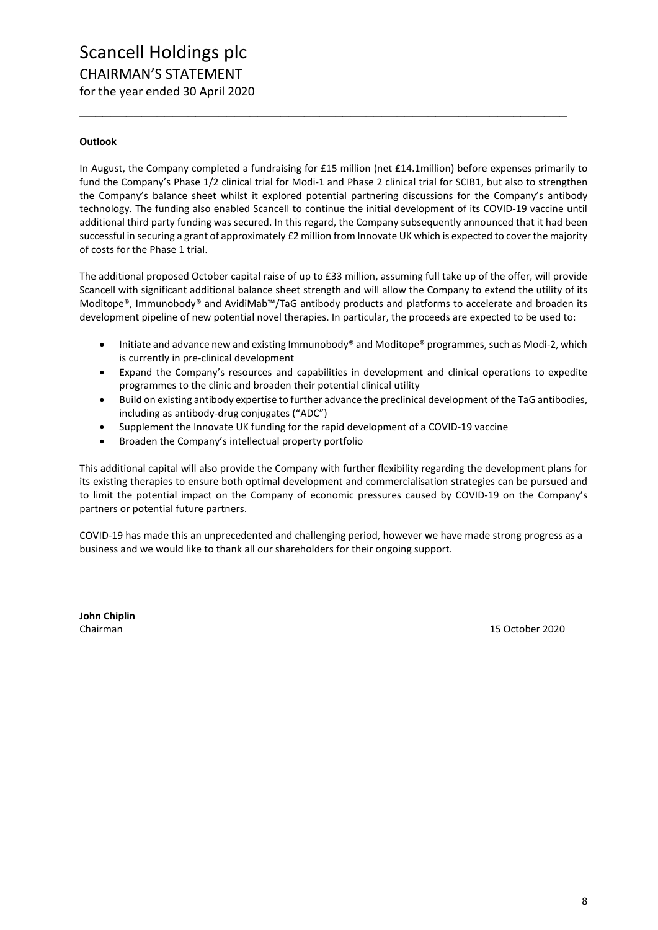## Scancell Holdings plc CHAIRMAN'S STATEMENT

for the year ended 30 April 2020

#### **Outlook**

In August, the Company completed a fundraising for £15 million (net £14.1million) before expenses primarily to fund the Company's Phase 1/2 clinical trial for Modi-1 and Phase 2 clinical trial for SCIB1, but also to strengthen the Company's balance sheet whilst it explored potential partnering discussions for the Company's antibody technology. The funding also enabled Scancell to continue the initial development of its COVID-19 vaccine until additional third party funding was secured. In this regard, the Company subsequently announced that it had been successful in securing a grant of approximately £2 million from Innovate UK which is expected to cover the majority of costs for the Phase 1 trial.

\_\_\_\_\_\_\_\_\_\_\_\_\_\_\_\_\_\_\_\_\_\_\_\_\_\_\_\_\_\_\_\_\_\_\_\_\_\_\_\_\_\_\_\_\_\_\_\_\_\_\_\_\_\_\_\_\_\_\_\_\_\_\_

The additional proposed October capital raise of up to £33 million, assuming full take up of the offer, will provide Scancell with significant additional balance sheet strength and will allow the Company to extend the utility of its Moditope®, Immunobody® and AvidiMab™/TaG antibody products and platforms to accelerate and broaden its development pipeline of new potential novel therapies. In particular, the proceeds are expected to be used to:

- Initiate and advance new and existing Immunobody® and Moditope® programmes, such as Modi-2, which is currently in pre-clinical development
- Expand the Company's resources and capabilities in development and clinical operations to expedite programmes to the clinic and broaden their potential clinical utility
- Build on existing antibody expertise to further advance the preclinical development of the TaG antibodies, including as antibody-drug conjugates ("ADC")
- Supplement the Innovate UK funding for the rapid development of a COVID-19 vaccine
- Broaden the Company's intellectual property portfolio

This additional capital will also provide the Company with further flexibility regarding the development plans for its existing therapies to ensure both optimal development and commercialisation strategies can be pursued and to limit the potential impact on the Company of economic pressures caused by COVID-19 on the Company's partners or potential future partners.

COVID-19 has made this an unprecedented and challenging period, however we have made strong progress as a business and we would like to thank all our shareholders for their ongoing support.

**John Chiplin**

Chairman 15 October 2020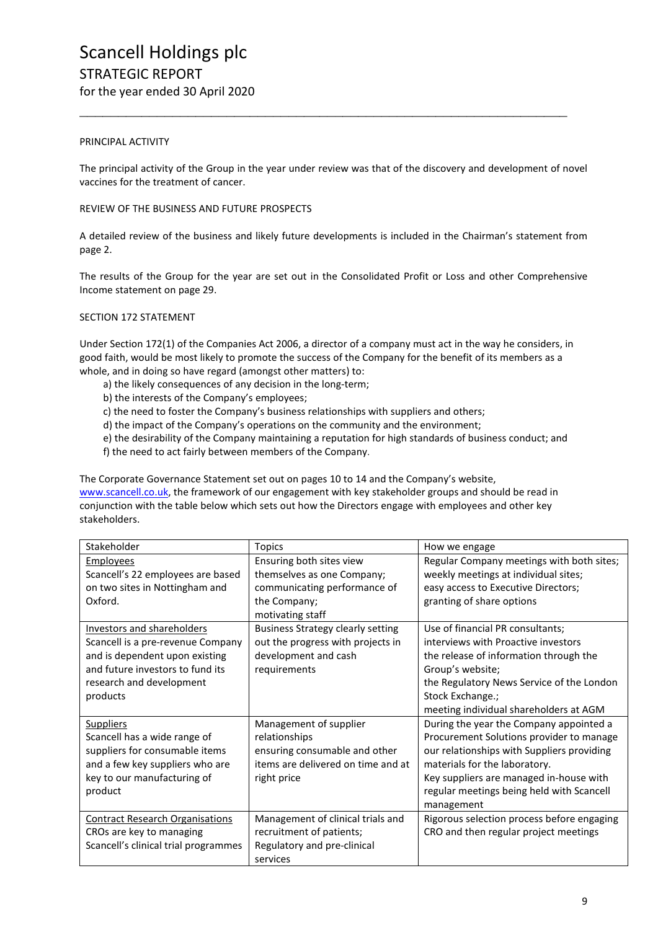#### PRINCIPAL ACTIVITY

The principal activity of the Group in the year under review was that of the discovery and development of novel vaccines for the treatment of cancer.

\_\_\_\_\_\_\_\_\_\_\_\_\_\_\_\_\_\_\_\_\_\_\_\_\_\_\_\_\_\_\_\_\_\_\_\_\_\_\_\_\_\_\_\_\_\_\_\_\_\_\_\_\_\_\_\_\_\_\_\_\_\_\_

#### REVIEW OF THE BUSINESS AND FUTURE PROSPECTS

A detailed review of the business and likely future developments is included in the Chairman's statement from page 2.

The results of the Group for the year are set out in the Consolidated Profit or Loss and other Comprehensive Income statement on page 29.

#### SECTION 172 STATEMENT

Under Section 172(1) of the Companies Act 2006, a director of a company must act in the way he considers, in good faith, would be most likely to promote the success of the Company for the benefit of its members as a whole, and in doing so have regard (amongst other matters) to:

- a) the likely consequences of any decision in the long-term;
- b) the interests of the Company's employees;
- c) the need to foster the Company's business relationships with suppliers and others;
- d) the impact of the Company's operations on the community and the environment;
- e) the desirability of the Company maintaining a reputation for high standards of business conduct; and
- f) the need to act fairly between members of the Company.

The Corporate Governance Statement set out on pages 10 to 14 and the Company's website, [www.scancell.co.uk,](http://www.scancell.co.uk/) the framework of our engagement with key stakeholder groups and should be read in conjunction with the table below which sets out how the Directors engage with employees and other key stakeholders.

| Stakeholder                            | <b>Topics</b>                            | How we engage                              |
|----------------------------------------|------------------------------------------|--------------------------------------------|
| <b>Employees</b>                       | Ensuring both sites view                 | Regular Company meetings with both sites;  |
| Scancell's 22 employees are based      | themselves as one Company;               | weekly meetings at individual sites;       |
| on two sites in Nottingham and         | communicating performance of             | easy access to Executive Directors;        |
| Oxford.                                | the Company;                             | granting of share options                  |
|                                        | motivating staff                         |                                            |
| <b>Investors and shareholders</b>      | <b>Business Strategy clearly setting</b> | Use of financial PR consultants;           |
| Scancell is a pre-revenue Company      | out the progress with projects in        | interviews with Proactive investors        |
| and is dependent upon existing         | development and cash                     | the release of information through the     |
| and future investors to fund its       | requirements                             | Group's website;                           |
| research and development               |                                          | the Regulatory News Service of the London  |
| products                               |                                          | Stock Exchange.;                           |
|                                        |                                          | meeting individual shareholders at AGM     |
| <b>Suppliers</b>                       | Management of supplier                   | During the year the Company appointed a    |
| Scancell has a wide range of           | relationships                            | Procurement Solutions provider to manage   |
| suppliers for consumable items         | ensuring consumable and other            | our relationships with Suppliers providing |
| and a few key suppliers who are        | items are delivered on time and at       | materials for the laboratory.              |
| key to our manufacturing of            | right price                              | Key suppliers are managed in-house with    |
| product                                |                                          | regular meetings being held with Scancell  |
|                                        |                                          | management                                 |
| <b>Contract Research Organisations</b> | Management of clinical trials and        | Rigorous selection process before engaging |
| CROs are key to managing               | recruitment of patients;                 | CRO and then regular project meetings      |
| Scancell's clinical trial programmes   | Regulatory and pre-clinical              |                                            |
|                                        | services                                 |                                            |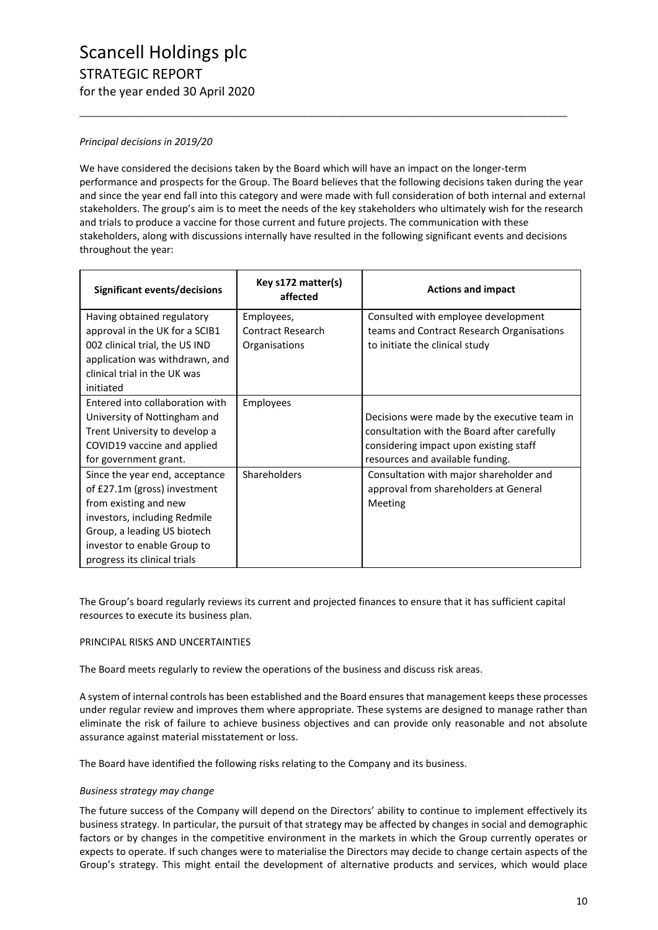## Scancell Holdings plc STRATEGIC REPORT for the year ended 30 April 2020

#### *Principal decisions in 2019/20*

We have considered the decisions taken by the Board which will have an impact on the longer-term performance and prospects for the Group. The Board believes that the following decisions taken during the year and since the year end fall into this category and were made with full consideration of both internal and external stakeholders. The group's aim is to meet the needs of the key stakeholders who ultimately wish for the research and trials to produce a vaccine for those current and future projects. The communication with these stakeholders, along with discussions internally have resulted in the following significant events and decisions throughout the year:

\_\_\_\_\_\_\_\_\_\_\_\_\_\_\_\_\_\_\_\_\_\_\_\_\_\_\_\_\_\_\_\_\_\_\_\_\_\_\_\_\_\_\_\_\_\_\_\_\_\_\_\_\_\_\_\_\_\_\_\_\_\_\_

| Significant events/decisions                                                                                                                                                                                          | Key s172 matter(s)<br>affected                   | <b>Actions and impact</b>                                                                                                                                                 |
|-----------------------------------------------------------------------------------------------------------------------------------------------------------------------------------------------------------------------|--------------------------------------------------|---------------------------------------------------------------------------------------------------------------------------------------------------------------------------|
| Having obtained regulatory<br>approval in the UK for a SCIB1<br>002 clinical trial, the US IND<br>application was withdrawn, and<br>clinical trial in the UK was<br>initiated                                         | Employees,<br>Contract Research<br>Organisations | Consulted with employee development<br>teams and Contract Research Organisations<br>to initiate the clinical study                                                        |
| Entered into collaboration with<br>University of Nottingham and<br>Trent University to develop a<br>COVID19 vaccine and applied<br>for government grant.                                                              | Employees                                        | Decisions were made by the executive team in<br>consultation with the Board after carefully<br>considering impact upon existing staff<br>resources and available funding. |
| Since the year end, acceptance<br>of £27.1m (gross) investment<br>from existing and new<br>investors, including Redmile<br>Group, a leading US biotech<br>investor to enable Group to<br>progress its clinical trials | Shareholders                                     | Consultation with major shareholder and<br>approval from shareholders at General<br>Meeting                                                                               |

The Group's board regularly reviews its current and projected finances to ensure that it has sufficient capital resources to execute its business plan.

#### PRINCIPAL RISKS AND UNCERTAINTIES

The Board meets regularly to review the operations of the business and discuss risk areas.

A system of internal controls has been established and the Board ensures that management keeps these processes under regular review and improves them where appropriate. These systems are designed to manage rather than eliminate the risk of failure to achieve business objectives and can provide only reasonable and not absolute assurance against material misstatement or loss.

The Board have identified the following risks relating to the Company and its business.

#### *Business strategy may change*

The future success of the Company will depend on the Directors' ability to continue to implement effectively its business strategy. In particular, the pursuit of that strategy may be affected by changes in social and demographic factors or by changes in the competitive environment in the markets in which the Group currently operates or expects to operate. If such changes were to materialise the Directors may decide to change certain aspects of the Group's strategy. This might entail the development of alternative products and services, which would place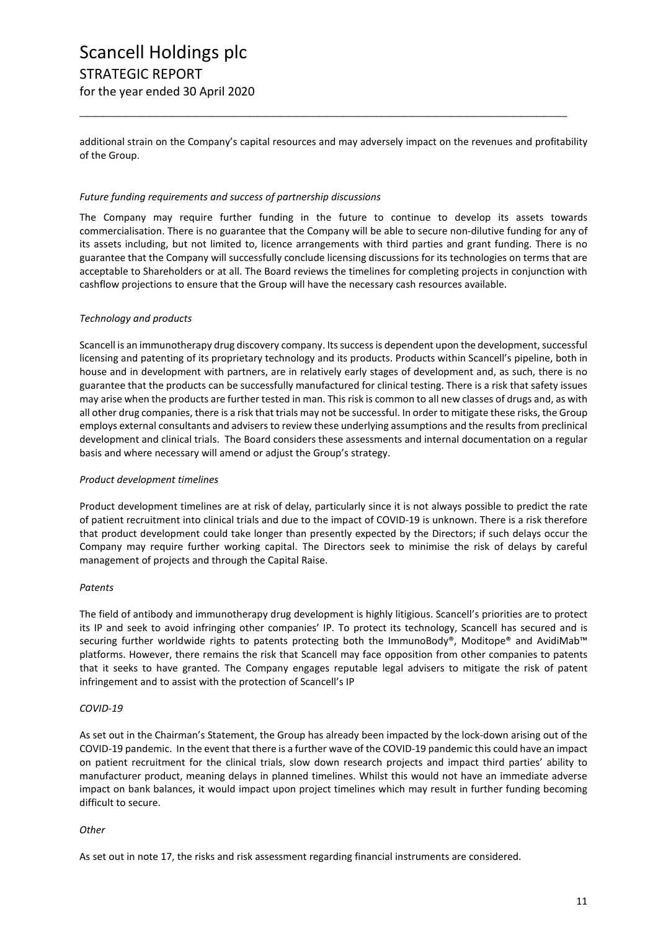additional strain on the Company's capital resources and may adversely impact on the revenues and profitability of the Group.

\_\_\_\_\_\_\_\_\_\_\_\_\_\_\_\_\_\_\_\_\_\_\_\_\_\_\_\_\_\_\_\_\_\_\_\_\_\_\_\_\_\_\_\_\_\_\_\_\_\_\_\_\_\_\_\_\_\_\_\_\_\_\_

#### *Future funding requirements and success of partnership discussions*

The Company may require further funding in the future to continue to develop its assets towards commercialisation. There is no guarantee that the Company will be able to secure non-dilutive funding for any of its assets including, but not limited to, licence arrangements with third parties and grant funding. There is no guarantee that the Company will successfully conclude licensing discussions for its technologies on terms that are acceptable to Shareholders or at all. The Board reviews the timelines for completing projects in conjunction with cashflow projections to ensure that the Group will have the necessary cash resources available.

#### *Technology and products*

Scancell is an immunotherapy drug discovery company. Its success is dependent upon the development, successful licensing and patenting of its proprietary technology and its products. Products within Scancell's pipeline, both in house and in development with partners, are in relatively early stages of development and, as such, there is no guarantee that the products can be successfully manufactured for clinical testing. There is a risk that safety issues may arise when the products are further tested in man. This risk is common to all new classes of drugs and, as with all other drug companies, there is a risk that trials may not be successful. In order to mitigate these risks, the Group employs external consultants and advisers to review these underlying assumptions and the results from preclinical development and clinical trials. The Board considers these assessments and internal documentation on a regular basis and where necessary will amend or adjust the Group's strategy.

#### *Product development timelines*

Product development timelines are at risk of delay, particularly since it is not always possible to predict the rate of patient recruitment into clinical trials and due to the impact of COVID-19 is unknown. There is a risk therefore that product development could take longer than presently expected by the Directors; if such delays occur the Company may require further working capital. The Directors seek to minimise the risk of delays by careful management of projects and through the Capital Raise.

#### *Patents*

The field of antibody and immunotherapy drug development is highly litigious. Scancell's priorities are to protect its IP and seek to avoid infringing other companies' IP. To protect its technology, Scancell has secured and is securing further worldwide rights to patents protecting both the ImmunoBody®, Moditope® and AvidiMab<sup>™</sup> platforms. However, there remains the risk that Scancell may face opposition from other companies to patents that it seeks to have granted. The Company engages reputable legal advisers to mitigate the risk of patent infringement and to assist with the protection of Scancell's IP

#### *COVID-19*

As set out in the Chairman's Statement, the Group has already been impacted by the lock-down arising out of the COVID-19 pandemic. In the event that there is a further wave of the COVID-19 pandemic this could have an impact on patient recruitment for the clinical trials, slow down research projects and impact third parties' ability to manufacturer product, meaning delays in planned timelines. Whilst this would not have an immediate adverse impact on bank balances, it would impact upon project timelines which may result in further funding becoming difficult to secure.

#### *Other*

As set out in note 17, the risks and risk assessment regarding financial instruments are considered.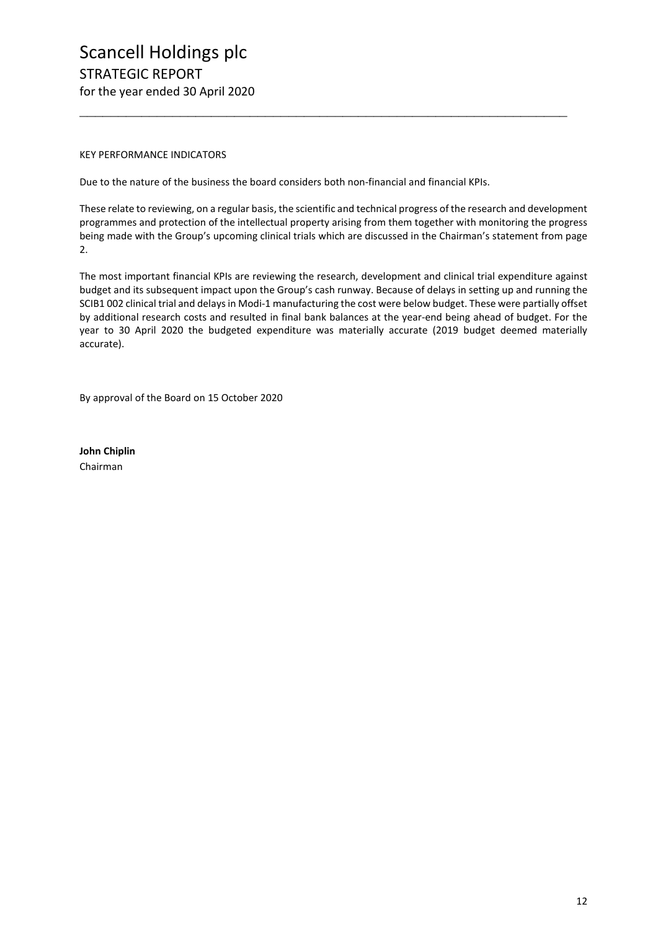## Scancell Holdings plc STRATEGIC REPORT for the year ended 30 April 2020

#### KEY PERFORMANCE INDICATORS

Due to the nature of the business the board considers both non-financial and financial KPIs.

These relate to reviewing, on a regular basis, the scientific and technical progress of the research and development programmes and protection of the intellectual property arising from them together with monitoring the progress being made with the Group's upcoming clinical trials which are discussed in the Chairman's statement from page 2.

\_\_\_\_\_\_\_\_\_\_\_\_\_\_\_\_\_\_\_\_\_\_\_\_\_\_\_\_\_\_\_\_\_\_\_\_\_\_\_\_\_\_\_\_\_\_\_\_\_\_\_\_\_\_\_\_\_\_\_\_\_\_\_

The most important financial KPIs are reviewing the research, development and clinical trial expenditure against budget and its subsequent impact upon the Group's cash runway. Because of delays in setting up and running the SCIB1 002 clinical trial and delays in Modi-1 manufacturing the cost were below budget. These were partially offset by additional research costs and resulted in final bank balances at the year-end being ahead of budget. For the year to 30 April 2020 the budgeted expenditure was materially accurate (2019 budget deemed materially accurate).

By approval of the Board on 15 October 2020

**John Chiplin** Chairman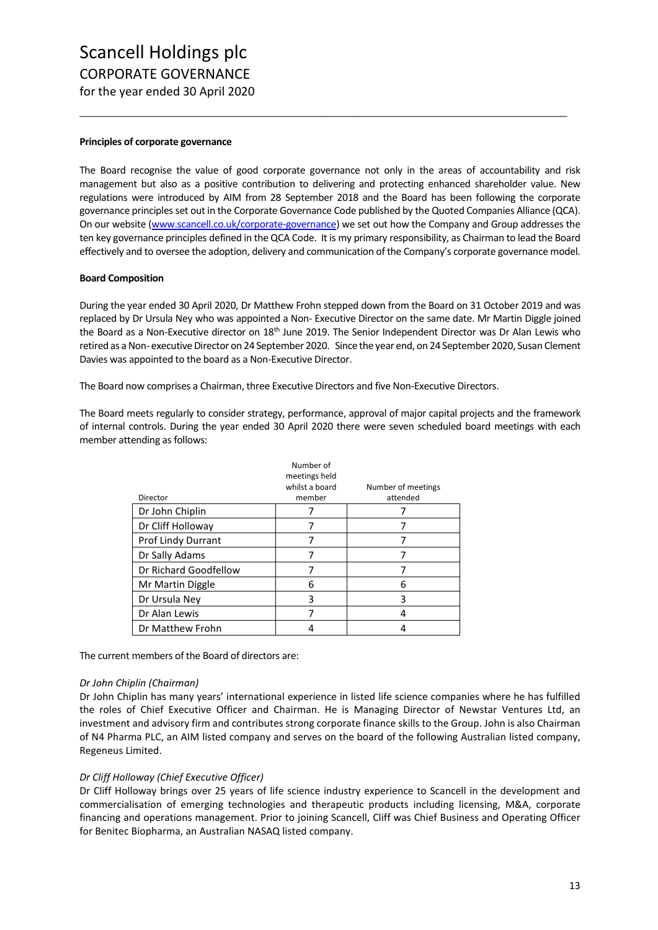# Scancell Holdings plc CORPORATE GOVERNANCE

for the year ended 30 April 2020

#### **Principles of corporate governance**

The Board recognise the value of good corporate governance not only in the areas of accountability and risk management but also as a positive contribution to delivering and protecting enhanced shareholder value. New regulations were introduced by AIM from 28 September 2018 and the Board has been following the corporate governance principles set out in the Corporate Governance Code published by the Quoted Companies Alliance (QCA). On our website [\(www.scancell.co.uk/corporate-governance\)](http://www.scancell.co.uk/corporate-governance) we set out how the Company and Group addresses the ten key governance principles defined in the QCA Code. It is my primary responsibility, as Chairman to lead the Board effectively and to oversee the adoption, delivery and communication of the Company's corporate governance model.

\_\_\_\_\_\_\_\_\_\_\_\_\_\_\_\_\_\_\_\_\_\_\_\_\_\_\_\_\_\_\_\_\_\_\_\_\_\_\_\_\_\_\_\_\_\_\_\_\_\_\_\_\_\_\_\_\_\_\_\_\_\_\_

#### **Board Composition**

During the year ended 30 April 2020, Dr Matthew Frohn stepped down from the Board on 31 October 2019 and was replaced by Dr Ursula Ney who was appointed a Non- Executive Director on the same date. Mr Martin Diggle joined the Board as a Non-Executive director on 18<sup>th</sup> June 2019. The Senior Independent Director was Dr Alan Lewis who retired as a Non- executive Director on 24 September 2020. Since the year end, on 24 September 2020, Susan Clement Davies was appointed to the board as a Non-Executive Director.

The Board now comprises a Chairman, three Executive Directors and five Non-Executive Directors.

The Board meets regularly to consider strategy, performance, approval of major capital projects and the framework of internal controls. During the year ended 30 April 2020 there were seven scheduled board meetings with each member attending as follows:

|                       | Number of<br>meetings held<br>whilst a board | Number of meetings |
|-----------------------|----------------------------------------------|--------------------|
| Director              | member                                       | attended           |
| Dr John Chiplin       |                                              |                    |
| Dr Cliff Holloway     |                                              |                    |
| Prof Lindy Durrant    |                                              |                    |
| Dr Sally Adams        |                                              |                    |
| Dr Richard Goodfellow |                                              |                    |
| Mr Martin Diggle      | 6                                            | 6                  |
| Dr Ursula Ney         | 3                                            | 3                  |
| Dr Alan Lewis         |                                              | 4                  |
| Dr Matthew Frohn      |                                              |                    |

The current members of the Board of directors are:

#### *Dr John Chiplin (Chairman)*

Dr John Chiplin has many years' international experience in listed life science companies where he has fulfilled the roles of Chief Executive Officer and Chairman. He is Managing Director of Newstar Ventures Ltd, an investment and advisory firm and contributes strong corporate finance skills to the Group. John is also Chairman of N4 Pharma PLC, an AIM listed company and serves on the board of the following Australian listed company, Regeneus Limited.

#### *Dr Cliff Holloway (Chief Executive Officer)*

Dr Cliff Holloway brings over 25 years of life science industry experience to Scancell in the development and commercialisation of emerging technologies and therapeutic products including licensing, M&A, corporate financing and operations management. Prior to joining Scancell, Cliff was Chief Business and Operating Officer for Benitec Biopharma, an Australian NASAQ listed company.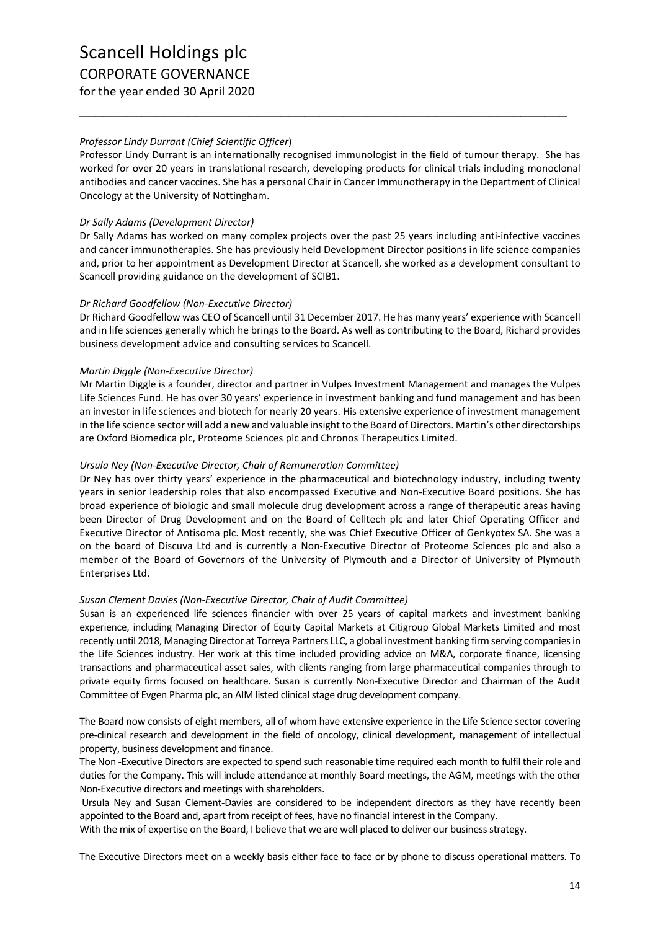## *Professor Lindy Durrant (Chief Scientific Officer*)

Professor Lindy Durrant is an internationally recognised immunologist in the field of tumour therapy. She has worked for over 20 years in translational research, developing products for clinical trials including monoclonal antibodies and cancer vaccines. She has a personal Chair in Cancer Immunotherapy in the Department of Clinical Oncology at the University of Nottingham.

\_\_\_\_\_\_\_\_\_\_\_\_\_\_\_\_\_\_\_\_\_\_\_\_\_\_\_\_\_\_\_\_\_\_\_\_\_\_\_\_\_\_\_\_\_\_\_\_\_\_\_\_\_\_\_\_\_\_\_\_\_\_\_

#### *Dr Sally Adams (Development Director)*

Dr Sally Adams has worked on many complex projects over the past 25 years including anti-infective vaccines and cancer immunotherapies. She has previously held Development Director positions in life science companies and, prior to her appointment as Development Director at Scancell, she worked as a development consultant to Scancell providing guidance on the development of SCIB1.

#### *Dr Richard Goodfellow (Non-Executive Director)*

Dr Richard Goodfellow was CEO of Scancell until 31 December 2017. He has many years' experience with Scancell and in life sciences generally which he brings to the Board. As well as contributing to the Board, Richard provides business development advice and consulting services to Scancell.

#### *Martin Diggle (Non-Executive Director)*

Mr Martin Diggle is a founder, director and partner in Vulpes Investment Management and manages the Vulpes Life Sciences Fund. He has over 30 years' experience in investment banking and fund management and has been an investor in life sciences and biotech for nearly 20 years. His extensive experience of investment management in the life science sector will add a new and valuable insight to the Board of Directors. Martin's other directorships are Oxford Biomedica plc, Proteome Sciences plc and Chronos Therapeutics Limited.

#### *Ursula Ney (Non-Executive Director, Chair of Remuneration Committee)*

Dr Ney has over thirty years' experience in the pharmaceutical and biotechnology industry, including twenty years in senior leadership roles that also encompassed Executive and Non-Executive Board positions. She has broad experience of biologic and small molecule drug development across a range of therapeutic areas having been Director of Drug Development and on the Board of Celltech plc and later Chief Operating Officer and Executive Director of Antisoma plc. Most recently, she was Chief Executive Officer of Genkyotex SA. She was a on the board of Discuva Ltd and is currently a Non-Executive Director of Proteome Sciences plc and also a member of the Board of Governors of the University of Plymouth and a Director of University of Plymouth Enterprises Ltd.

#### *Susan Clement Davies (Non-Executive Director, Chair of Audit Committee)*

Susan is an experienced life sciences financier with over 25 years of capital markets and investment banking experience, including Managing Director of Equity Capital Markets at Citigroup Global Markets Limited and most recently until 2018, Managing Director at Torreya Partners LLC, a global investment banking firm serving companies in the Life Sciences industry. Her work at this time included providing advice on M&A, corporate finance, licensing transactions and pharmaceutical asset sales, with clients ranging from large pharmaceutical companies through to private equity firms focused on healthcare. Susan is currently Non-Executive Director and Chairman of the Audit Committee of Evgen Pharma plc, an AIM listed clinical stage drug development company.

The Board now consists of eight members, all of whom have extensive experience in the Life Science sector covering pre-clinical research and development in the field of oncology, clinical development, management of intellectual property, business development and finance.

The Non -Executive Directors are expected to spend such reasonable time required each month to fulfil their role and duties for the Company. This will include attendance at monthly Board meetings, the AGM, meetings with the other Non-Executive directors and meetings with shareholders.

Ursula Ney and Susan Clement-Davies are considered to be independent directors as they have recently been appointed to the Board and, apart from receipt of fees, have no financial interest in the Company.

With the mix of expertise on the Board, I believe that we are well placed to deliver our business strategy.

The Executive Directors meet on a weekly basis either face to face or by phone to discuss operational matters. To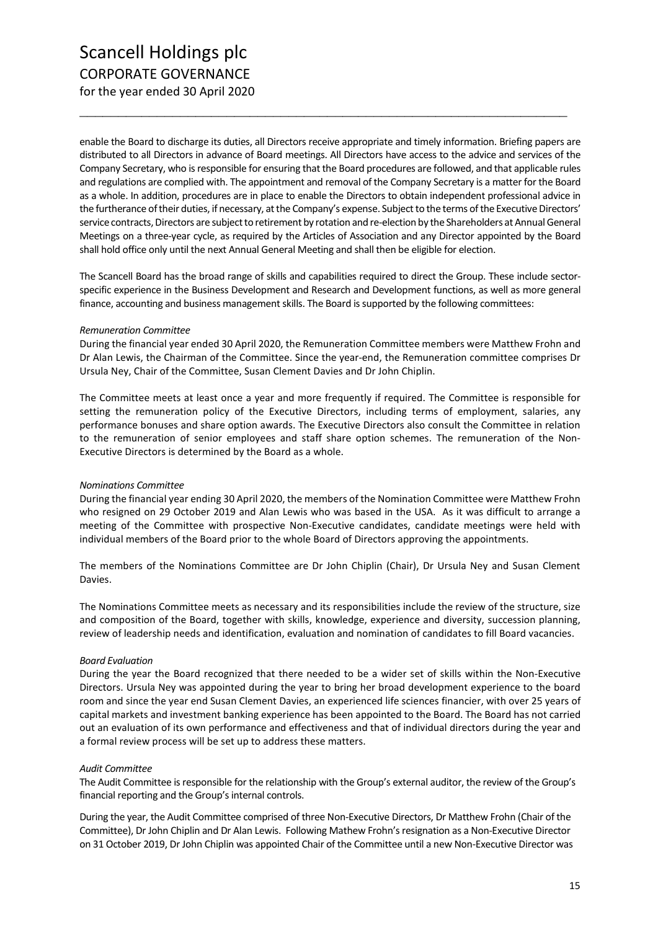for the year ended 30 April 2020 \_\_\_\_\_\_\_\_\_\_\_\_\_\_\_\_\_\_\_\_\_\_\_\_\_\_\_\_\_\_\_\_\_\_\_\_\_\_\_\_\_\_\_\_\_\_\_\_\_\_\_\_\_\_\_\_\_\_\_\_\_\_\_

enable the Board to discharge its duties, all Directors receive appropriate and timely information. Briefing papers are distributed to all Directors in advance of Board meetings. All Directors have access to the advice and services of the Company Secretary, who is responsible for ensuring that the Board procedures are followed, and that applicable rules and regulations are complied with. The appointment and removal of the Company Secretary is a matter for the Board as a whole. In addition, procedures are in place to enable the Directors to obtain independent professional advice in the furtherance of their duties, if necessary, at the Company's expense. Subject to the terms of the Executive Directors' service contracts, Directors are subject to retirement by rotation and re-election by the Shareholders at Annual General Meetings on a three-year cycle, as required by the Articles of Association and any Director appointed by the Board shall hold office only until the next Annual General Meeting and shall then be eligible for election.

The Scancell Board has the broad range of skills and capabilities required to direct the Group. These include sectorspecific experience in the Business Development and Research and Development functions, as well as more general finance, accounting and business management skills. The Board is supported by the following committees:

#### *Remuneration Committee*

During the financial year ended 30 April 2020, the Remuneration Committee members were Matthew Frohn and Dr Alan Lewis, the Chairman of the Committee. Since the year-end, the Remuneration committee comprises Dr Ursula Ney, Chair of the Committee, Susan Clement Davies and Dr John Chiplin.

The Committee meets at least once a year and more frequently if required. The Committee is responsible for setting the remuneration policy of the Executive Directors, including terms of employment, salaries, any performance bonuses and share option awards. The Executive Directors also consult the Committee in relation to the remuneration of senior employees and staff share option schemes. The remuneration of the Non-Executive Directors is determined by the Board as a whole.

#### *Nominations Committee*

During the financial year ending 30 April 2020, the members of the Nomination Committee were Matthew Frohn who resigned on 29 October 2019 and Alan Lewis who was based in the USA. As it was difficult to arrange a meeting of the Committee with prospective Non-Executive candidates, candidate meetings were held with individual members of the Board prior to the whole Board of Directors approving the appointments.

The members of the Nominations Committee are Dr John Chiplin (Chair), Dr Ursula Ney and Susan Clement Davies.

The Nominations Committee meets as necessary and its responsibilities include the review of the structure, size and composition of the Board, together with skills, knowledge, experience and diversity, succession planning, review of leadership needs and identification, evaluation and nomination of candidates to fill Board vacancies.

#### *Board Evaluation*

During the year the Board recognized that there needed to be a wider set of skills within the Non-Executive Directors. Ursula Ney was appointed during the year to bring her broad development experience to the board room and since the year end Susan Clement Davies, an experienced life sciences financier, with over 25 years of capital markets and investment banking experience has been appointed to the Board. The Board has not carried out an evaluation of its own performance and effectiveness and that of individual directors during the year and a formal review process will be set up to address these matters.

#### *Audit Committee*

The Audit Committee is responsible for the relationship with the Group's external auditor, the review of the Group's financial reporting and the Group's internal controls.

During the year, the Audit Committee comprised of three Non-Executive Directors, Dr Matthew Frohn (Chair of the Committee), Dr John Chiplin and Dr Alan Lewis. Following Mathew Frohn's resignation as a Non-Executive Director on 31 October 2019, Dr John Chiplin was appointed Chair of the Committee until a new Non-Executive Director was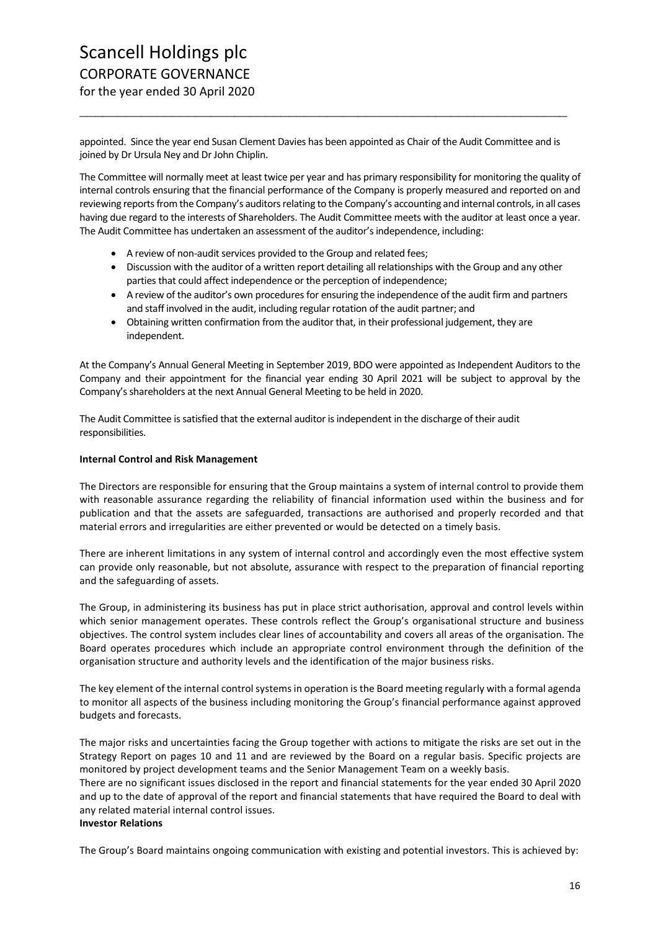appointed. Since the year end Susan Clement Davies has been appointed as Chair of the Audit Committee and is joined by Dr Ursula Ney and Dr John Chiplin.

\_\_\_\_\_\_\_\_\_\_\_\_\_\_\_\_\_\_\_\_\_\_\_\_\_\_\_\_\_\_\_\_\_\_\_\_\_\_\_\_\_\_\_\_\_\_\_\_\_\_\_\_\_\_\_\_\_\_\_\_\_\_\_

The Committee will normally meet at least twice per year and has primary responsibility for monitoring the quality of internal controls ensuring that the financial performance of the Company is properly measured and reported on and reviewing reports from the Company's auditors relating to the Company's accounting and internal controls, in all cases having due regard to the interests of Shareholders. The Audit Committee meets with the auditor at least once a year. The Audit Committee has undertaken an assessment of the auditor's independence, including:

- A review of non-audit services provided to the Group and related fees;
- Discussion with the auditor of a written report detailing all relationships with the Group and any other parties that could affect independence or the perception of independence;
- A review of the auditor's own procedures for ensuring the independence of the audit firm and partners and staff involved in the audit, including regular rotation of the audit partner; and
- Obtaining written confirmation from the auditor that, in their professional judgement, they are independent.

At the Company's Annual General Meeting in September 2019, BDO were appointed as Independent Auditors to the Company and their appointment for the financial year ending 30 April 2021 will be subject to approval by the Company's shareholders at the next Annual General Meeting to be held in 2020.

The Audit Committee is satisfied that the external auditor is independent in the discharge of their audit responsibilities.

#### **Internal Control and Risk Management**

The Directors are responsible for ensuring that the Group maintains a system of internal control to provide them with reasonable assurance regarding the reliability of financial information used within the business and for publication and that the assets are safeguarded, transactions are authorised and properly recorded and that material errors and irregularities are either prevented or would be detected on a timely basis.

There are inherent limitations in any system of internal control and accordingly even the most effective system can provide only reasonable, but not absolute, assurance with respect to the preparation of financial reporting and the safeguarding of assets.

The Group, in administering its business has put in place strict authorisation, approval and control levels within which senior management operates. These controls reflect the Group's organisational structure and business objectives. The control system includes clear lines of accountability and covers all areas of the organisation. The Board operates procedures which include an appropriate control environment through the definition of the organisation structure and authority levels and the identification of the major business risks.

The key element of the internal control systems in operation is the Board meeting regularly with a formal agenda to monitor all aspects of the business including monitoring the Group's financial performance against approved budgets and forecasts.

The major risks and uncertainties facing the Group together with actions to mitigate the risks are set out in the Strategy Report on pages 10 and 11 and are reviewed by the Board on a regular basis. Specific projects are monitored by project development teams and the Senior Management Team on a weekly basis.

There are no significant issues disclosed in the report and financial statements for the year ended 30 April 2020 and up to the date of approval of the report and financial statements that have required the Board to deal with any related material internal control issues.

#### **Investor Relations**

The Group's Board maintains ongoing communication with existing and potential investors. This is achieved by: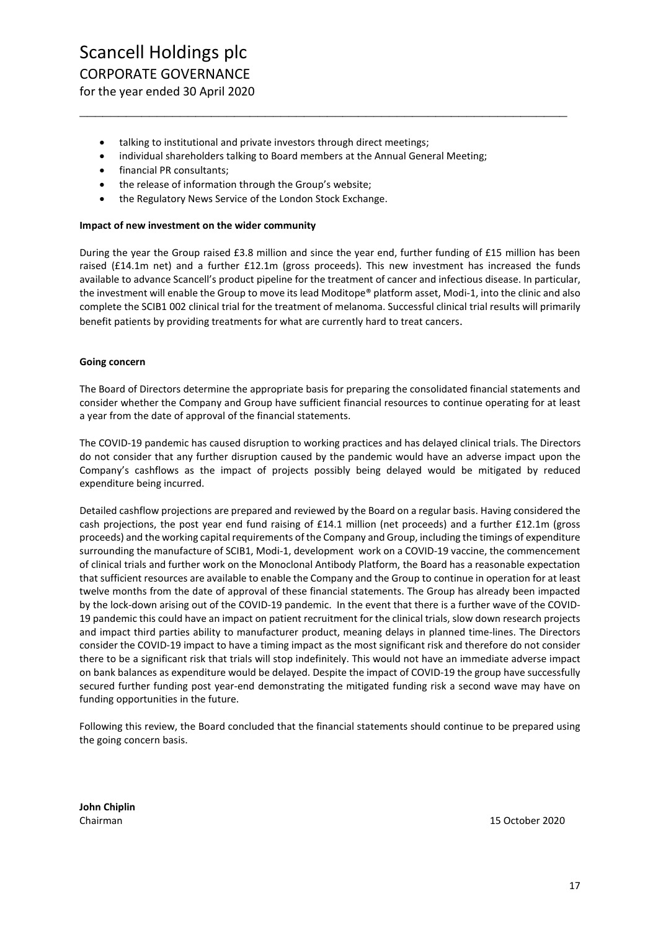- talking to institutional and private investors through direct meetings;
- individual shareholders talking to Board members at the Annual General Meeting;

\_\_\_\_\_\_\_\_\_\_\_\_\_\_\_\_\_\_\_\_\_\_\_\_\_\_\_\_\_\_\_\_\_\_\_\_\_\_\_\_\_\_\_\_\_\_\_\_\_\_\_\_\_\_\_\_\_\_\_\_\_\_\_

- financial PR consultants;
- the release of information through the Group's website;
- the Regulatory News Service of the London Stock Exchange.

#### **Impact of new investment on the wider community**

During the year the Group raised £3.8 million and since the year end, further funding of £15 million has been raised (£14.1m net) and a further £12.1m (gross proceeds). This new investment has increased the funds available to advance Scancell's product pipeline for the treatment of cancer and infectious disease. In particular, the investment will enable the Group to move its lead Moditope® platform asset, Modi-1, into the clinic and also complete the SCIB1 002 clinical trial for the treatment of melanoma. Successful clinical trial results will primarily benefit patients by providing treatments for what are currently hard to treat cancers.

#### **Going concern**

The Board of Directors determine the appropriate basis for preparing the consolidated financial statements and consider whether the Company and Group have sufficient financial resources to continue operating for at least a year from the date of approval of the financial statements.

The COVID-19 pandemic has caused disruption to working practices and has delayed clinical trials. The Directors do not consider that any further disruption caused by the pandemic would have an adverse impact upon the Company's cashflows as the impact of projects possibly being delayed would be mitigated by reduced expenditure being incurred.

Detailed cashflow projections are prepared and reviewed by the Board on a regular basis. Having considered the cash projections, the post year end fund raising of £14.1 million (net proceeds) and a further £12.1m (gross proceeds) and the working capital requirements of the Company and Group, including the timings of expenditure surrounding the manufacture of SCIB1, Modi-1, development work on a COVID-19 vaccine, the commencement of clinical trials and further work on the Monoclonal Antibody Platform, the Board has a reasonable expectation that sufficient resources are available to enable the Company and the Group to continue in operation for at least twelve months from the date of approval of these financial statements. The Group has already been impacted by the lock-down arising out of the COVID-19 pandemic. In the event that there is a further wave of the COVID-19 pandemic this could have an impact on patient recruitment for the clinical trials, slow down research projects and impact third parties ability to manufacturer product, meaning delays in planned time-lines. The Directors consider the COVID-19 impact to have a timing impact as the most significant risk and therefore do not consider there to be a significant risk that trials will stop indefinitely. This would not have an immediate adverse impact on bank balances as expenditure would be delayed. Despite the impact of COVID-19 the group have successfully secured further funding post year-end demonstrating the mitigated funding risk a second wave may have on funding opportunities in the future.

Following this review, the Board concluded that the financial statements should continue to be prepared using the going concern basis.

**John Chiplin**

Chairman 15 October 2020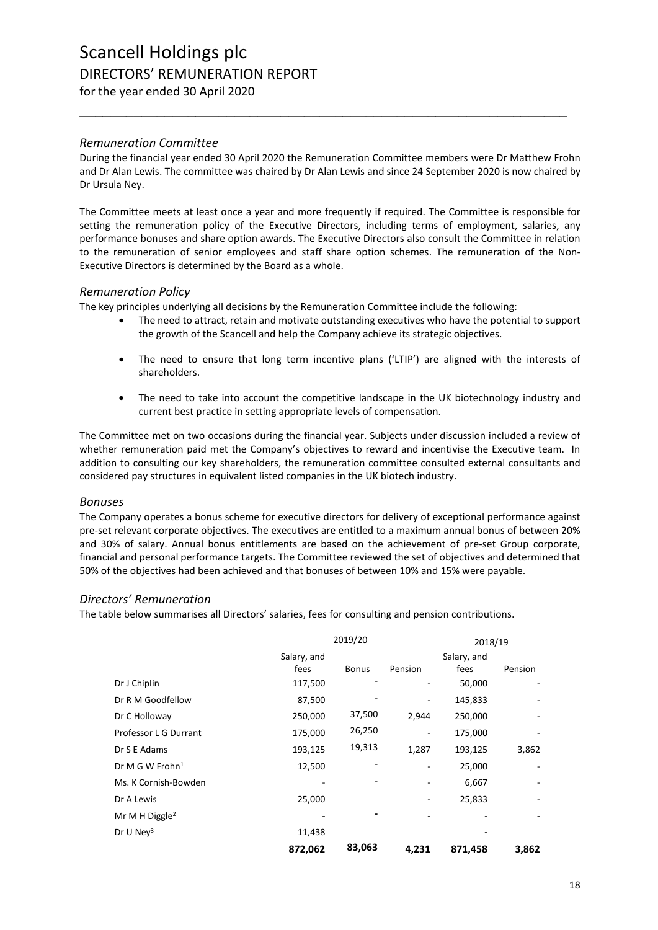# Scancell Holdings plc DIRECTORS' REMUNERATION REPORT

for the year ended 30 April 2020

### *Remuneration Committee*

During the financial year ended 30 April 2020 the Remuneration Committee members were Dr Matthew Frohn and Dr Alan Lewis. The committee was chaired by Dr Alan Lewis and since 24 September 2020 is now chaired by Dr Ursula Ney.

\_\_\_\_\_\_\_\_\_\_\_\_\_\_\_\_\_\_\_\_\_\_\_\_\_\_\_\_\_\_\_\_\_\_\_\_\_\_\_\_\_\_\_\_\_\_\_\_\_\_\_\_\_\_\_\_\_\_\_\_\_\_\_

The Committee meets at least once a year and more frequently if required. The Committee is responsible for setting the remuneration policy of the Executive Directors, including terms of employment, salaries, any performance bonuses and share option awards. The Executive Directors also consult the Committee in relation to the remuneration of senior employees and staff share option schemes. The remuneration of the Non-Executive Directors is determined by the Board as a whole.

#### *Remuneration Policy*

The key principles underlying all decisions by the Remuneration Committee include the following:

- The need to attract, retain and motivate outstanding executives who have the potential to support the growth of the Scancell and help the Company achieve its strategic objectives.
- The need to ensure that long term incentive plans ('LTIP') are aligned with the interests of shareholders.
- The need to take into account the competitive landscape in the UK biotechnology industry and current best practice in setting appropriate levels of compensation.

The Committee met on two occasions during the financial year. Subjects under discussion included a review of whether remuneration paid met the Company's objectives to reward and incentivise the Executive team. In addition to consulting our key shareholders, the remuneration committee consulted external consultants and considered pay structures in equivalent listed companies in the UK biotech industry.

#### *Bonuses*

The Company operates a bonus scheme for executive directors for delivery of exceptional performance against pre-set relevant corporate objectives. The executives are entitled to a maximum annual bonus of between 20% and 30% of salary. Annual bonus entitlements are based on the achievement of pre-set Group corporate, financial and personal performance targets. The Committee reviewed the set of objectives and determined that 50% of the objectives had been achieved and that bonuses of between 10% and 15% were payable.

#### *Directors' Remuneration*

The table below summarises all Directors' salaries, fees for consulting and pension contributions.

|                             |             | 2019/20      |         | 2018/19     |         |
|-----------------------------|-------------|--------------|---------|-------------|---------|
|                             | Salary, and |              |         | Salary, and |         |
|                             | fees        | <b>Bonus</b> | Pension | fees        | Pension |
| Dr J Chiplin                | 117,500     |              |         | 50,000      |         |
| Dr R M Goodfellow           | 87,500      |              |         | 145,833     |         |
| Dr C Holloway               | 250,000     | 37,500       | 2,944   | 250,000     |         |
| Professor L G Durrant       | 175,000     | 26,250       |         | 175,000     |         |
| Dr S E Adams                | 193,125     | 19,313       | 1,287   | 193,125     | 3,862   |
| Dr M G W Frohn <sup>1</sup> | 12,500      |              |         | 25,000      |         |
| Ms. K Cornish-Bowden        |             |              |         | 6,667       |         |
| Dr A Lewis                  | 25,000      |              |         | 25,833      |         |
| Mr M H Diggle <sup>2</sup>  |             |              |         |             |         |
| Dr U Ney <sup>3</sup>       | 11,438      |              |         |             |         |
|                             | 872,062     | 83,063       | 4,231   | 871,458     | 3,862   |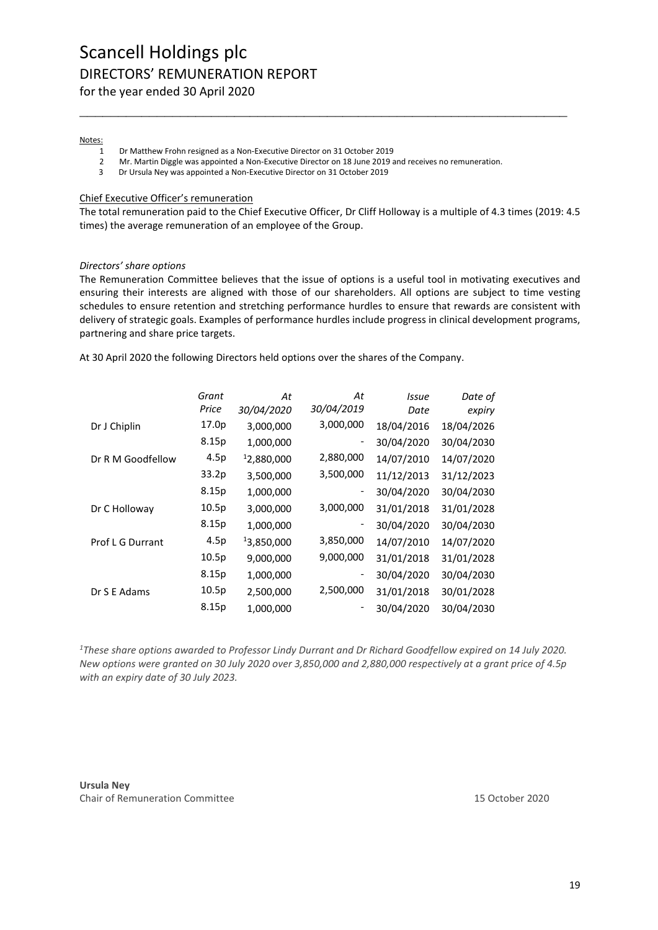# Scancell Holdings plc DIRECTORS' REMUNERATION REPORT

for the year ended 30 April 2020

#### Notes:

- 1 Dr Matthew Frohn resigned as a Non-Executive Director on 31 October 2019
- 2 Mr. Martin Diggle was appointed a Non-Executive Director on 18 June 2019 and receives no remuneration.
- 3 Dr Ursula Ney was appointed a Non-Executive Director on 31 October 2019

#### Chief Executive Officer's remuneration

The total remuneration paid to the Chief Executive Officer, Dr Cliff Holloway is a multiple of 4.3 times (2019: 4.5 times) the average remuneration of an employee of the Group.

\_\_\_\_\_\_\_\_\_\_\_\_\_\_\_\_\_\_\_\_\_\_\_\_\_\_\_\_\_\_\_\_\_\_\_\_\_\_\_\_\_\_\_\_\_\_\_\_\_\_\_\_\_\_\_\_\_\_\_\_\_\_\_

#### *Directors' share options*

The Remuneration Committee believes that the issue of options is a useful tool in motivating executives and ensuring their interests are aligned with those of our shareholders. All options are subject to time vesting schedules to ensure retention and stretching performance hurdles to ensure that rewards are consistent with delivery of strategic goals. Examples of performance hurdles include progress in clinical development programs, partnering and share price targets.

At 30 April 2020 the following Directors held options over the shares of the Company.

|                   | Grant | At         | At         | <b>Issue</b> | Date of    |
|-------------------|-------|------------|------------|--------------|------------|
|                   | Price | 30/04/2020 | 30/04/2019 | Date         | expiry     |
| Dr J Chiplin      | 17.0p | 3,000,000  | 3,000,000  | 18/04/2016   | 18/04/2026 |
|                   | 8.15p | 1,000,000  |            | 30/04/2020   | 30/04/2030 |
| Dr R M Goodfellow | 4.5p  | 12,880,000 | 2,880,000  | 14/07/2010   | 14/07/2020 |
|                   | 33.2p | 3,500,000  | 3,500,000  | 11/12/2013   | 31/12/2023 |
|                   | 8.15p | 1,000,000  |            | 30/04/2020   | 30/04/2030 |
| Dr C Holloway     | 10.5p | 3,000,000  | 3,000,000  | 31/01/2018   | 31/01/2028 |
|                   | 8.15p | 1,000,000  | -          | 30/04/2020   | 30/04/2030 |
| Prof L G Durrant  | 4.5p  | 13,850,000 | 3,850,000  | 14/07/2010   | 14/07/2020 |
|                   | 10.5p | 9,000,000  | 9,000,000  | 31/01/2018   | 31/01/2028 |
|                   | 8.15p | 1,000,000  |            | 30/04/2020   | 30/04/2030 |
| Dr S E Adams      | 10.5p | 2,500,000  | 2,500,000  | 31/01/2018   | 30/01/2028 |
|                   | 8.15p | 1,000,000  |            | 30/04/2020   | 30/04/2030 |

*1 These share options awarded to Professor Lindy Durrant and Dr Richard Goodfellow expired on 14 July 2020. New options were granted on 30 July 2020 over 3,850,000 and 2,880,000 respectively at a grant price of 4.5p with an expiry date of 30 July 2023.*

**Ursula Ney** Chair of Remuneration Committee 15 October 2020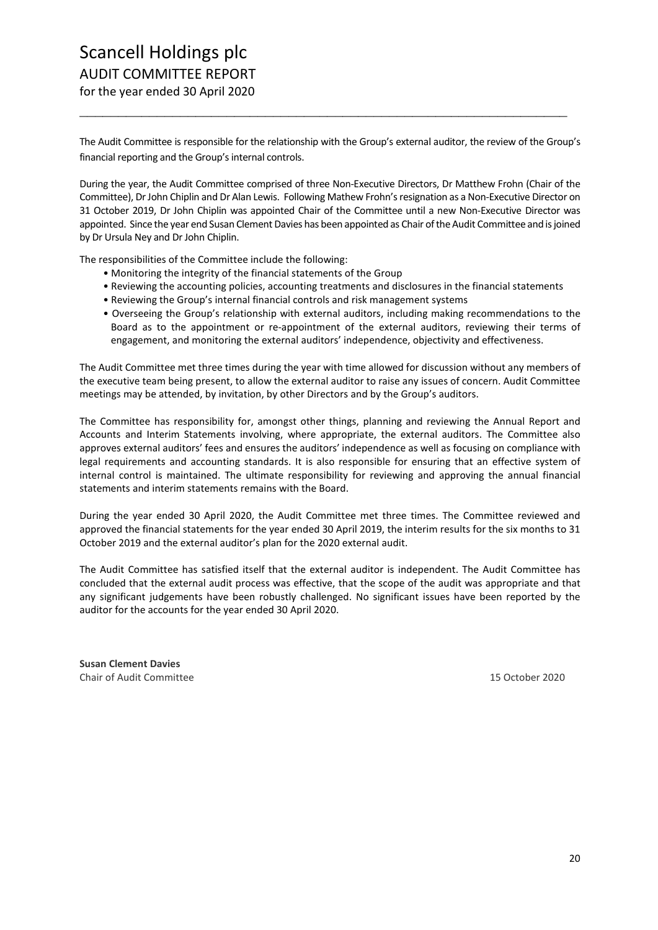The Audit Committee is responsible for the relationship with the Group's external auditor, the review of the Group's financial reporting and the Group's internal controls.

\_\_\_\_\_\_\_\_\_\_\_\_\_\_\_\_\_\_\_\_\_\_\_\_\_\_\_\_\_\_\_\_\_\_\_\_\_\_\_\_\_\_\_\_\_\_\_\_\_\_\_\_\_\_\_\_\_\_\_\_\_\_\_

During the year, the Audit Committee comprised of three Non-Executive Directors, Dr Matthew Frohn (Chair of the Committee), Dr John Chiplin and Dr Alan Lewis. Following Mathew Frohn's resignation as a Non-Executive Director on 31 October 2019, Dr John Chiplin was appointed Chair of the Committee until a new Non-Executive Director was appointed. Since the year end Susan Clement Davies has been appointed as Chair of the Audit Committee and is joined by Dr Ursula Ney and Dr John Chiplin.

The responsibilities of the Committee include the following:

- Monitoring the integrity of the financial statements of the Group
- Reviewing the accounting policies, accounting treatments and disclosures in the financial statements
- Reviewing the Group's internal financial controls and risk management systems
- Overseeing the Group's relationship with external auditors, including making recommendations to the Board as to the appointment or re-appointment of the external auditors, reviewing their terms of engagement, and monitoring the external auditors' independence, objectivity and effectiveness.

The Audit Committee met three times during the year with time allowed for discussion without any members of the executive team being present, to allow the external auditor to raise any issues of concern. Audit Committee meetings may be attended, by invitation, by other Directors and by the Group's auditors.

The Committee has responsibility for, amongst other things, planning and reviewing the Annual Report and Accounts and Interim Statements involving, where appropriate, the external auditors. The Committee also approves external auditors' fees and ensures the auditors' independence as well as focusing on compliance with legal requirements and accounting standards. It is also responsible for ensuring that an effective system of internal control is maintained. The ultimate responsibility for reviewing and approving the annual financial statements and interim statements remains with the Board.

During the year ended 30 April 2020, the Audit Committee met three times. The Committee reviewed and approved the financial statements for the year ended 30 April 2019, the interim results for the six months to 31 October 2019 and the external auditor's plan for the 2020 external audit.

The Audit Committee has satisfied itself that the external auditor is independent. The Audit Committee has concluded that the external audit process was effective, that the scope of the audit was appropriate and that any significant judgements have been robustly challenged. No significant issues have been reported by the auditor for the accounts for the year ended 30 April 2020.

**Susan Clement Davies** Chair of Audit Committee 15 October 2020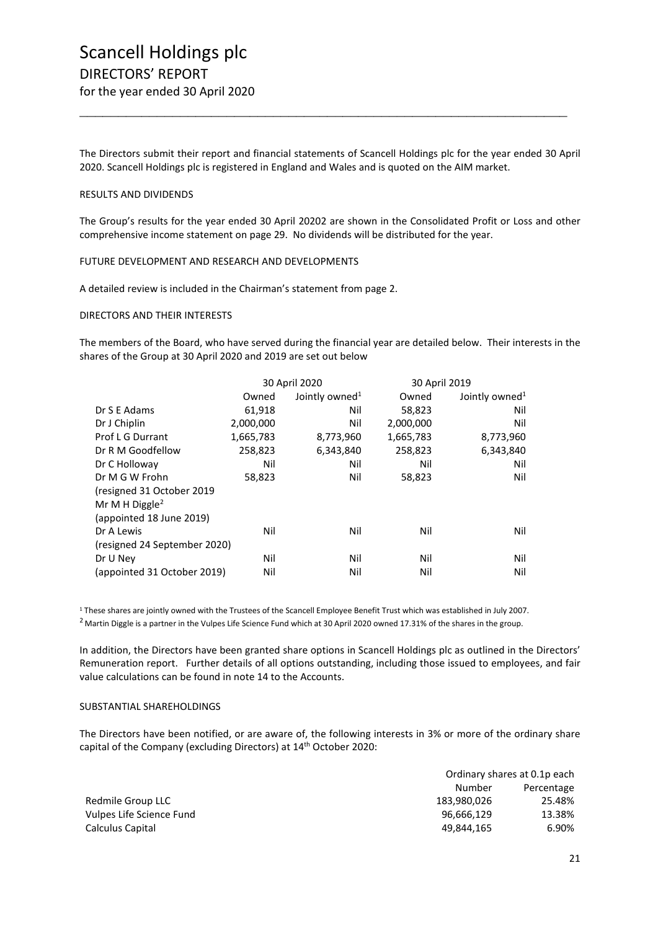The Directors submit their report and financial statements of Scancell Holdings plc for the year ended 30 April 2020. Scancell Holdings plc is registered in England and Wales and is quoted on the AIM market.

\_\_\_\_\_\_\_\_\_\_\_\_\_\_\_\_\_\_\_\_\_\_\_\_\_\_\_\_\_\_\_\_\_\_\_\_\_\_\_\_\_\_\_\_\_\_\_\_\_\_\_\_\_\_\_\_\_\_\_\_\_\_\_

#### RESULTS AND DIVIDENDS

The Group's results for the year ended 30 April 20202 are shown in the Consolidated Profit or Loss and other comprehensive income statement on page 29. No dividends will be distributed for the year.

#### FUTURE DEVELOPMENT AND RESEARCH AND DEVELOPMENTS

A detailed review is included in the Chairman's statement from page 2.

#### DIRECTORS AND THEIR INTERESTS

The members of the Board, who have served during the financial year are detailed below. Their interests in the shares of the Group at 30 April 2020 and 2019 are set out below

|                              |           | 30 April 2020              |           | 30 April 2019              |
|------------------------------|-----------|----------------------------|-----------|----------------------------|
|                              | Owned     | Jointly owned <sup>1</sup> | Owned     | Jointly owned <sup>1</sup> |
| Dr S E Adams                 | 61,918    | Nil                        | 58,823    | Nil                        |
| Dr J Chiplin                 | 2,000,000 | Nil                        | 2,000,000 | Nil                        |
| <b>Prof L G Durrant</b>      | 1,665,783 | 8,773,960                  | 1,665,783 | 8,773,960                  |
| Dr R M Goodfellow            | 258,823   | 6,343,840                  | 258,823   | 6,343,840                  |
| Dr C Holloway                | Nil       | Nil                        | Nil       | Nil                        |
| Dr M G W Frohn               | 58,823    | Nil                        | 58,823    | Nil                        |
| (resigned 31 October 2019)   |           |                            |           |                            |
| Mr M H Diggle <sup>2</sup>   |           |                            |           |                            |
| (appointed 18 June 2019)     |           |                            |           |                            |
| Dr A Lewis                   | Nil       | Nil                        | Nil       | Nil                        |
| (resigned 24 September 2020) |           |                            |           |                            |
| Dr U Ney                     | Nil       | Nil                        | Nil       | Nil                        |
| (appointed 31 October 2019)  | Nil       | Nil                        | Nil       | Nil                        |

<sup>1</sup> These shares are jointly owned with the Trustees of the Scancell Employee Benefit Trust which was established in July 2007.

 $2$  Martin Diggle is a partner in the Vulpes Life Science Fund which at 30 April 2020 owned 17.31% of the shares in the group.

In addition, the Directors have been granted share options in Scancell Holdings plc as outlined in the Directors' Remuneration report. Further details of all options outstanding, including those issued to employees, and fair value calculations can be found in note 14 to the Accounts.

#### SUBSTANTIAL SHAREHOLDINGS

The Directors have been notified, or are aware of, the following interests in 3% or more of the ordinary share capital of the Company (excluding Directors) at 14<sup>th</sup> October 2020:

|                          | Ordinary shares at 0.1p each |            |  |
|--------------------------|------------------------------|------------|--|
|                          | Number                       | Percentage |  |
| Redmile Group LLC        | 183.980.026                  | 25.48%     |  |
| Vulpes Life Science Fund | 96.666.129                   | 13.38%     |  |
| Calculus Capital         | 49,844,165                   | 6.90%      |  |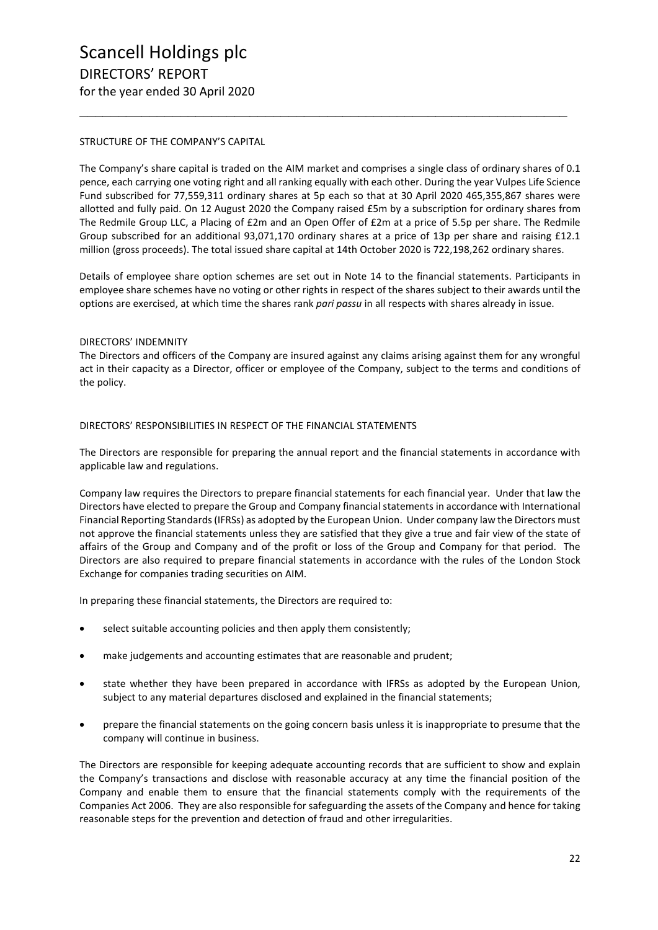#### STRUCTURE OF THE COMPANY'S CAPITAL

The Company's share capital is traded on the AIM market and comprises a single class of ordinary shares of 0.1 pence, each carrying one voting right and all ranking equally with each other. During the year Vulpes Life Science Fund subscribed for 77,559,311 ordinary shares at 5p each so that at 30 April 2020 465,355,867 shares were allotted and fully paid. On 12 August 2020 the Company raised £5m by a subscription for ordinary shares from The Redmile Group LLC, a Placing of £2m and an Open Offer of £2m at a price of 5.5p per share. The Redmile Group subscribed for an additional 93,071,170 ordinary shares at a price of 13p per share and raising £12.1 million (gross proceeds). The total issued share capital at 14th October 2020 is 722,198,262 ordinary shares.

\_\_\_\_\_\_\_\_\_\_\_\_\_\_\_\_\_\_\_\_\_\_\_\_\_\_\_\_\_\_\_\_\_\_\_\_\_\_\_\_\_\_\_\_\_\_\_\_\_\_\_\_\_\_\_\_\_\_\_\_\_\_\_

Details of employee share option schemes are set out in Note 14 to the financial statements. Participants in employee share schemes have no voting or other rights in respect of the shares subject to their awards until the options are exercised, at which time the shares rank *pari passu* in all respects with shares already in issue.

#### DIRECTORS' INDEMNITY

The Directors and officers of the Company are insured against any claims arising against them for any wrongful act in their capacity as a Director, officer or employee of the Company, subject to the terms and conditions of the policy.

#### DIRECTORS' RESPONSIBILITIES IN RESPECT OF THE FINANCIAL STATEMENTS

The Directors are responsible for preparing the annual report and the financial statements in accordance with applicable law and regulations.

Company law requires the Directors to prepare financial statements for each financial year. Under that law the Directors have elected to prepare the Group and Company financial statements in accordance with International Financial Reporting Standards (IFRSs) as adopted by the European Union. Under company law the Directors must not approve the financial statements unless they are satisfied that they give a true and fair view of the state of affairs of the Group and Company and of the profit or loss of the Group and Company for that period. The Directors are also required to prepare financial statements in accordance with the rules of the London Stock Exchange for companies trading securities on AIM.

In preparing these financial statements, the Directors are required to:

- select suitable accounting policies and then apply them consistently;
- make judgements and accounting estimates that are reasonable and prudent;
- state whether they have been prepared in accordance with IFRSs as adopted by the European Union, subject to any material departures disclosed and explained in the financial statements;
- prepare the financial statements on the going concern basis unless it is inappropriate to presume that the company will continue in business.

The Directors are responsible for keeping adequate accounting records that are sufficient to show and explain the Company's transactions and disclose with reasonable accuracy at any time the financial position of the Company and enable them to ensure that the financial statements comply with the requirements of the Companies Act 2006. They are also responsible for safeguarding the assets of the Company and hence for taking reasonable steps for the prevention and detection of fraud and other irregularities.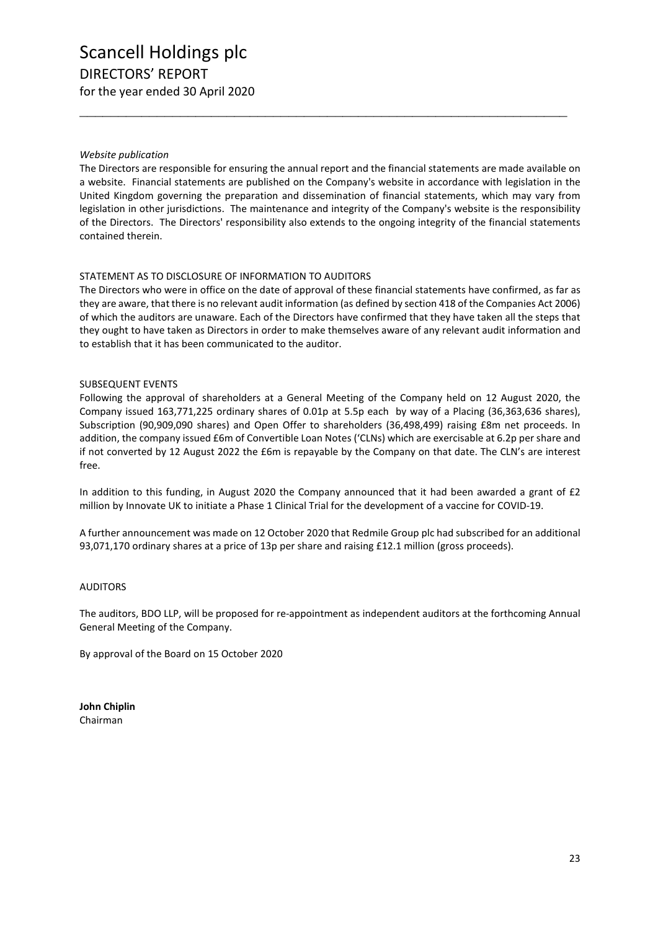## Scancell Holdings plc DIRECTORS' REPORT for the year ended 30 April 2020

#### *Website publication*

The Directors are responsible for ensuring the annual report and the financial statements are made available on a website. Financial statements are published on the Company's website in accordance with legislation in the United Kingdom governing the preparation and dissemination of financial statements, which may vary from legislation in other jurisdictions. The maintenance and integrity of the Company's website is the responsibility of the Directors. The Directors' responsibility also extends to the ongoing integrity of the financial statements contained therein.

\_\_\_\_\_\_\_\_\_\_\_\_\_\_\_\_\_\_\_\_\_\_\_\_\_\_\_\_\_\_\_\_\_\_\_\_\_\_\_\_\_\_\_\_\_\_\_\_\_\_\_\_\_\_\_\_\_\_\_\_\_\_\_

#### STATEMENT AS TO DISCLOSURE OF INFORMATION TO AUDITORS

The Directors who were in office on the date of approval of these financial statements have confirmed, as far as they are aware, that there is no relevant audit information (as defined by section 418 of the Companies Act 2006) of which the auditors are unaware. Each of the Directors have confirmed that they have taken all the steps that they ought to have taken as Directors in order to make themselves aware of any relevant audit information and to establish that it has been communicated to the auditor.

#### SUBSEQUENT EVENTS

Following the approval of shareholders at a General Meeting of the Company held on 12 August 2020, the Company issued 163,771,225 ordinary shares of 0.01p at 5.5p each by way of a Placing (36,363,636 shares), Subscription (90,909,090 shares) and Open Offer to shareholders (36,498,499) raising £8m net proceeds. In addition, the company issued £6m of Convertible Loan Notes ('CLNs) which are exercisable at 6.2p per share and if not converted by 12 August 2022 the £6m is repayable by the Company on that date. The CLN's are interest free.

In addition to this funding, in August 2020 the Company announced that it had been awarded a grant of £2 million by Innovate UK to initiate a Phase 1 Clinical Trial for the development of a vaccine for COVID-19.

A further announcement was made on 12 October 2020 that Redmile Group plc had subscribed for an additional 93,071,170 ordinary shares at a price of 13p per share and raising £12.1 million (gross proceeds).

#### AUDITORS

The auditors, BDO LLP, will be proposed for re-appointment as independent auditors at the forthcoming Annual General Meeting of the Company.

By approval of the Board on 15 October 2020

**John Chiplin** Chairman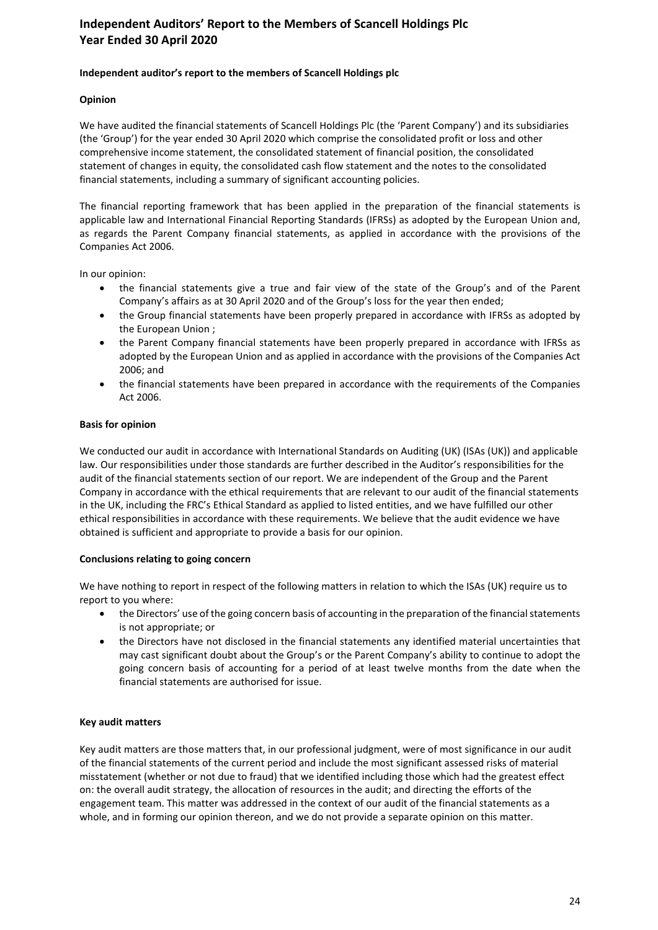#### **Independent auditor's report to the members of Scancell Holdings plc**

#### **Opinion**

We have audited the financial statements of Scancell Holdings Plc (the 'Parent Company') and its subsidiaries (the 'Group') for the year ended 30 April 2020 which comprise the consolidated profit or loss and other comprehensive income statement, the consolidated statement of financial position, the consolidated statement of changes in equity, the consolidated cash flow statement and the notes to the consolidated financial statements, including a summary of significant accounting policies.

The financial reporting framework that has been applied in the preparation of the financial statements is applicable law and International Financial Reporting Standards (IFRSs) as adopted by the European Union and, as regards the Parent Company financial statements, as applied in accordance with the provisions of the Companies Act 2006.

In our opinion:

- the financial statements give a true and fair view of the state of the Group's and of the Parent Company's affairs as at 30 April 2020 and of the Group's loss for the year then ended;
- the Group financial statements have been properly prepared in accordance with IFRSs as adopted by the European Union ;
- the Parent Company financial statements have been properly prepared in accordance with IFRSs as adopted by the European Union and as applied in accordance with the provisions of the Companies Act 2006; and
- the financial statements have been prepared in accordance with the requirements of the Companies Act 2006.

#### **Basis for opinion**

We conducted our audit in accordance with International Standards on Auditing (UK) (ISAs (UK)) and applicable law. Our responsibilities under those standards are further described in the Auditor's responsibilities for the audit of the financial statements section of our report. We are independent of the Group and the Parent Company in accordance with the ethical requirements that are relevant to our audit of the financial statements in the UK, including the FRC's Ethical Standard as applied to listed entities, and we have fulfilled our other ethical responsibilities in accordance with these requirements. We believe that the audit evidence we have obtained is sufficient and appropriate to provide a basis for our opinion.

#### **Conclusions relating to going concern**

We have nothing to report in respect of the following matters in relation to which the ISAs (UK) require us to report to you where:

- the Directors' use of the going concern basis of accounting in the preparation of the financial statements is not appropriate; or
- the Directors have not disclosed in the financial statements any identified material uncertainties that may cast significant doubt about the Group's or the Parent Company's ability to continue to adopt the going concern basis of accounting for a period of at least twelve months from the date when the financial statements are authorised for issue.

#### **Key audit matters**

Key audit matters are those matters that, in our professional judgment, were of most significance in our audit of the financial statements of the current period and include the most significant assessed risks of material misstatement (whether or not due to fraud) that we identified including those which had the greatest effect on: the overall audit strategy, the allocation of resources in the audit; and directing the efforts of the engagement team. This matter was addressed in the context of our audit of the financial statements as a whole, and in forming our opinion thereon, and we do not provide a separate opinion on this matter.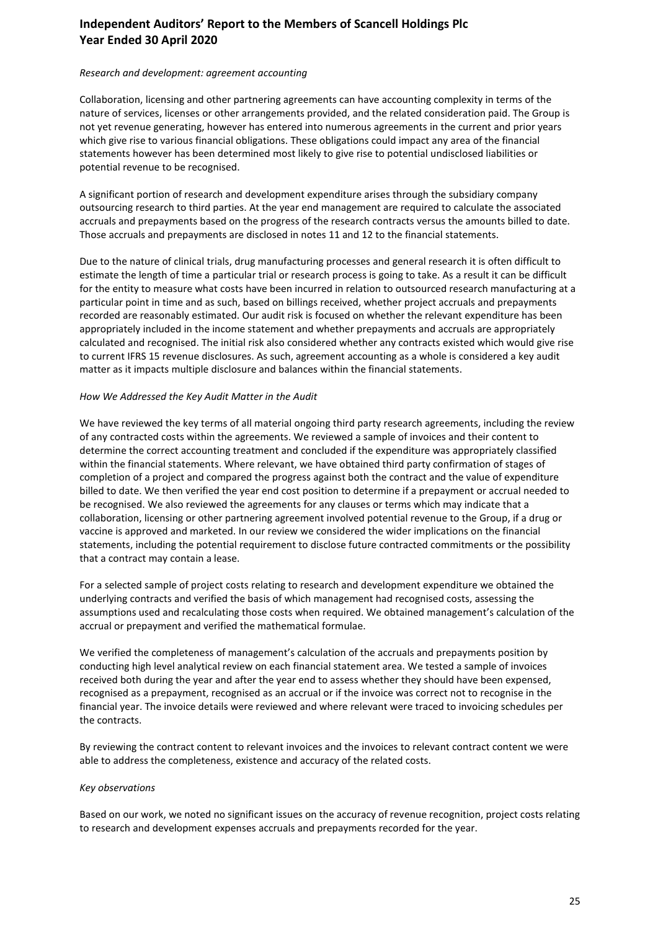#### *Research and development: agreement accounting*

Collaboration, licensing and other partnering agreements can have accounting complexity in terms of the nature of services, licenses or other arrangements provided, and the related consideration paid. The Group is not yet revenue generating, however has entered into numerous agreements in the current and prior years which give rise to various financial obligations. These obligations could impact any area of the financial statements however has been determined most likely to give rise to potential undisclosed liabilities or potential revenue to be recognised.

A significant portion of research and development expenditure arises through the subsidiary company outsourcing research to third parties. At the year end management are required to calculate the associated accruals and prepayments based on the progress of the research contracts versus the amounts billed to date. Those accruals and prepayments are disclosed in notes 11 and 12 to the financial statements.

Due to the nature of clinical trials, drug manufacturing processes and general research it is often difficult to estimate the length of time a particular trial or research process is going to take. As a result it can be difficult for the entity to measure what costs have been incurred in relation to outsourced research manufacturing at a particular point in time and as such, based on billings received, whether project accruals and prepayments recorded are reasonably estimated. Our audit risk is focused on whether the relevant expenditure has been appropriately included in the income statement and whether prepayments and accruals are appropriately calculated and recognised. The initial risk also considered whether any contracts existed which would give rise to current IFRS 15 revenue disclosures. As such, agreement accounting as a whole is considered a key audit matter as it impacts multiple disclosure and balances within the financial statements.

#### *How We Addressed the Key Audit Matter in the Audit*

We have reviewed the key terms of all material ongoing third party research agreements, including the review of any contracted costs within the agreements. We reviewed a sample of invoices and their content to determine the correct accounting treatment and concluded if the expenditure was appropriately classified within the financial statements. Where relevant, we have obtained third party confirmation of stages of completion of a project and compared the progress against both the contract and the value of expenditure billed to date. We then verified the year end cost position to determine if a prepayment or accrual needed to be recognised. We also reviewed the agreements for any clauses or terms which may indicate that a collaboration, licensing or other partnering agreement involved potential revenue to the Group, if a drug or vaccine is approved and marketed. In our review we considered the wider implications on the financial statements, including the potential requirement to disclose future contracted commitments or the possibility that a contract may contain a lease.

For a selected sample of project costs relating to research and development expenditure we obtained the underlying contracts and verified the basis of which management had recognised costs, assessing the assumptions used and recalculating those costs when required. We obtained management's calculation of the accrual or prepayment and verified the mathematical formulae.

We verified the completeness of management's calculation of the accruals and prepayments position by conducting high level analytical review on each financial statement area. We tested a sample of invoices received both during the year and after the year end to assess whether they should have been expensed, recognised as a prepayment, recognised as an accrual or if the invoice was correct not to recognise in the financial year. The invoice details were reviewed and where relevant were traced to invoicing schedules per the contracts.

By reviewing the contract content to relevant invoices and the invoices to relevant contract content we were able to address the completeness, existence and accuracy of the related costs.

#### *Key observations*

Based on our work, we noted no significant issues on the accuracy of revenue recognition, project costs relating to research and development expenses accruals and prepayments recorded for the year.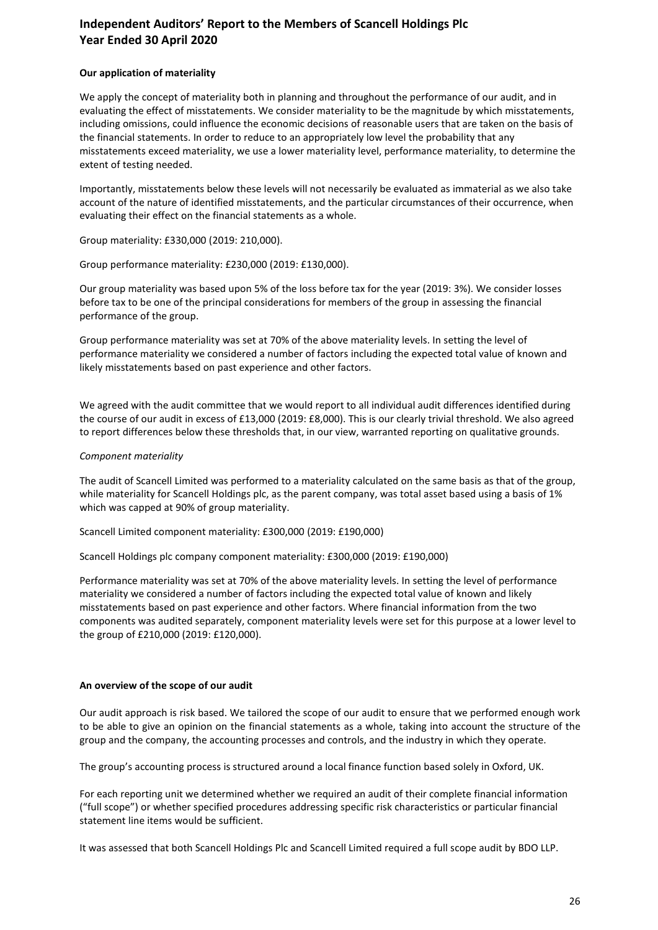#### **Our application of materiality**

We apply the concept of materiality both in planning and throughout the performance of our audit, and in evaluating the effect of misstatements. We consider materiality to be the magnitude by which misstatements, including omissions, could influence the economic decisions of reasonable users that are taken on the basis of the financial statements. In order to reduce to an appropriately low level the probability that any misstatements exceed materiality, we use a lower materiality level, performance materiality, to determine the extent of testing needed.

Importantly, misstatements below these levels will not necessarily be evaluated as immaterial as we also take account of the nature of identified misstatements, and the particular circumstances of their occurrence, when evaluating their effect on the financial statements as a whole.

Group materiality: £330,000 (2019: 210,000).

Group performance materiality: £230,000 (2019: £130,000).

Our group materiality was based upon 5% of the loss before tax for the year (2019: 3%). We consider losses before tax to be one of the principal considerations for members of the group in assessing the financial performance of the group.

Group performance materiality was set at 70% of the above materiality levels. In setting the level of performance materiality we considered a number of factors including the expected total value of known and likely misstatements based on past experience and other factors.

We agreed with the audit committee that we would report to all individual audit differences identified during the course of our audit in excess of £13,000 (2019: £8,000). This is our clearly trivial threshold. We also agreed to report differences below these thresholds that, in our view, warranted reporting on qualitative grounds.

#### *Component materiality*

The audit of Scancell Limited was performed to a materiality calculated on the same basis as that of the group, while materiality for Scancell Holdings plc, as the parent company, was total asset based using a basis of 1% which was capped at 90% of group materiality.

Scancell Limited component materiality: £300,000 (2019: £190,000)

Scancell Holdings plc company component materiality: £300,000 (2019: £190,000)

Performance materiality was set at 70% of the above materiality levels. In setting the level of performance materiality we considered a number of factors including the expected total value of known and likely misstatements based on past experience and other factors. Where financial information from the two components was audited separately, component materiality levels were set for this purpose at a lower level to the group of £210,000 (2019: £120,000).

#### **An overview of the scope of our audit**

Our audit approach is risk based. We tailored the scope of our audit to ensure that we performed enough work to be able to give an opinion on the financial statements as a whole, taking into account the structure of the group and the company, the accounting processes and controls, and the industry in which they operate.

The group's accounting process is structured around a local finance function based solely in Oxford, UK.

For each reporting unit we determined whether we required an audit of their complete financial information ("full scope") or whether specified procedures addressing specific risk characteristics or particular financial statement line items would be sufficient.

It was assessed that both Scancell Holdings Plc and Scancell Limited required a full scope audit by BDO LLP.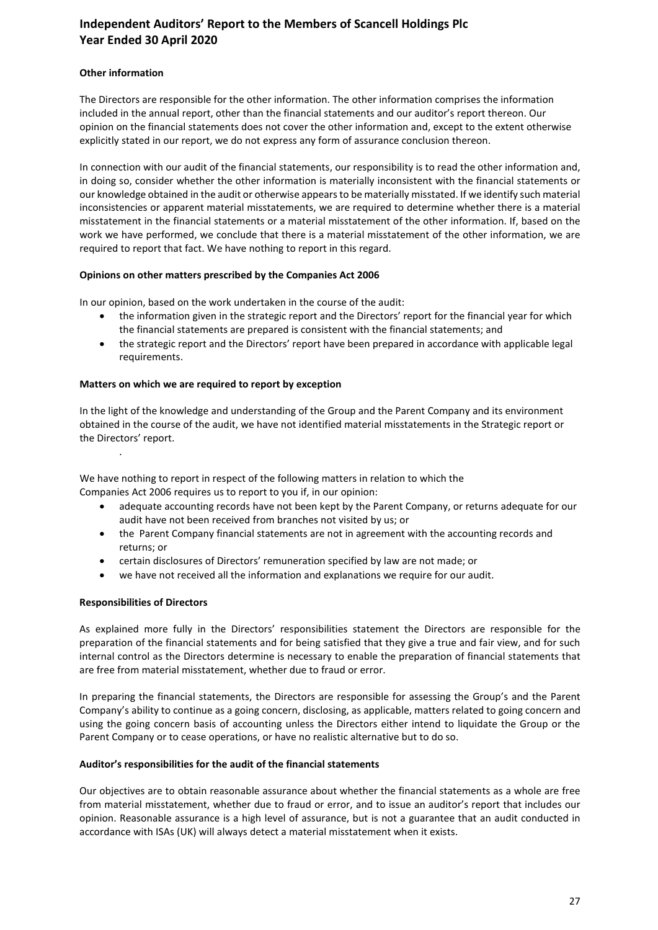#### **Other information**

The Directors are responsible for the other information. The other information comprises the information included in the annual report, other than the financial statements and our auditor's report thereon. Our opinion on the financial statements does not cover the other information and, except to the extent otherwise explicitly stated in our report, we do not express any form of assurance conclusion thereon.

In connection with our audit of the financial statements, our responsibility is to read the other information and, in doing so, consider whether the other information is materially inconsistent with the financial statements or our knowledge obtained in the audit or otherwise appears to be materially misstated. If we identify such material inconsistencies or apparent material misstatements, we are required to determine whether there is a material misstatement in the financial statements or a material misstatement of the other information. If, based on the work we have performed, we conclude that there is a material misstatement of the other information, we are required to report that fact. We have nothing to report in this regard.

#### **Opinions on other matters prescribed by the Companies Act 2006**

In our opinion, based on the work undertaken in the course of the audit:

- the information given in the strategic report and the Directors' report for the financial year for which the financial statements are prepared is consistent with the financial statements; and
- the strategic report and the Directors' report have been prepared in accordance with applicable legal requirements.

#### **Matters on which we are required to report by exception**

In the light of the knowledge and understanding of the Group and the Parent Company and its environment obtained in the course of the audit, we have not identified material misstatements in the Strategic report or the Directors' report.

We have nothing to report in respect of the following matters in relation to which the Companies Act 2006 requires us to report to you if, in our opinion:

- adequate accounting records have not been kept by the Parent Company, or returns adequate for our audit have not been received from branches not visited by us; or
- the Parent Company financial statements are not in agreement with the accounting records and returns; or
- certain disclosures of Directors' remuneration specified by law are not made; or
- we have not received all the information and explanations we require for our audit.

#### **Responsibilities of Directors**

.

As explained more fully in the Directors' responsibilities statement the Directors are responsible for the preparation of the financial statements and for being satisfied that they give a true and fair view, and for such internal control as the Directors determine is necessary to enable the preparation of financial statements that are free from material misstatement, whether due to fraud or error.

In preparing the financial statements, the Directors are responsible for assessing the Group's and the Parent Company's ability to continue as a going concern, disclosing, as applicable, matters related to going concern and using the going concern basis of accounting unless the Directors either intend to liquidate the Group or the Parent Company or to cease operations, or have no realistic alternative but to do so.

#### **Auditor's responsibilities for the audit of the financial statements**

Our objectives are to obtain reasonable assurance about whether the financial statements as a whole are free from material misstatement, whether due to fraud or error, and to issue an auditor's report that includes our opinion. Reasonable assurance is a high level of assurance, but is not a guarantee that an audit conducted in accordance with ISAs (UK) will always detect a material misstatement when it exists.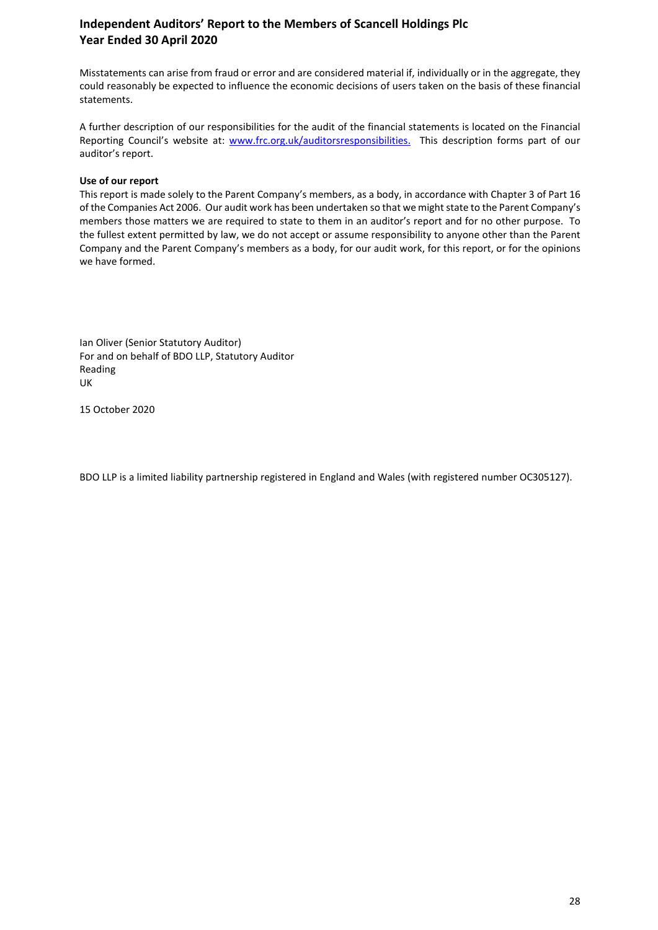Misstatements can arise from fraud or error and are considered material if, individually or in the aggregate, they could reasonably be expected to influence the economic decisions of users taken on the basis of these financial statements.

A further description of our responsibilities for the audit of the financial statements is located on the Financial Reporting Council's website at: www.frc.org.uk/auditorsresponsibilities. This description forms part of our auditor's report.

#### **Use of our report**

This report is made solely to the Parent Company's members, as a body, in accordance with Chapter 3 of Part 16 of the Companies Act 2006. Our audit work has been undertaken so that we might state to the Parent Company's members those matters we are required to state to them in an auditor's report and for no other purpose. To the fullest extent permitted by law, we do not accept or assume responsibility to anyone other than the Parent Company and the Parent Company's members as a body, for our audit work, for this report, or for the opinions we have formed.

Ian Oliver (Senior Statutory Auditor) For and on behalf of BDO LLP, Statutory Auditor Reading UK

15 October 2020

BDO LLP is a limited liability partnership registered in England and Wales (with registered number OC305127).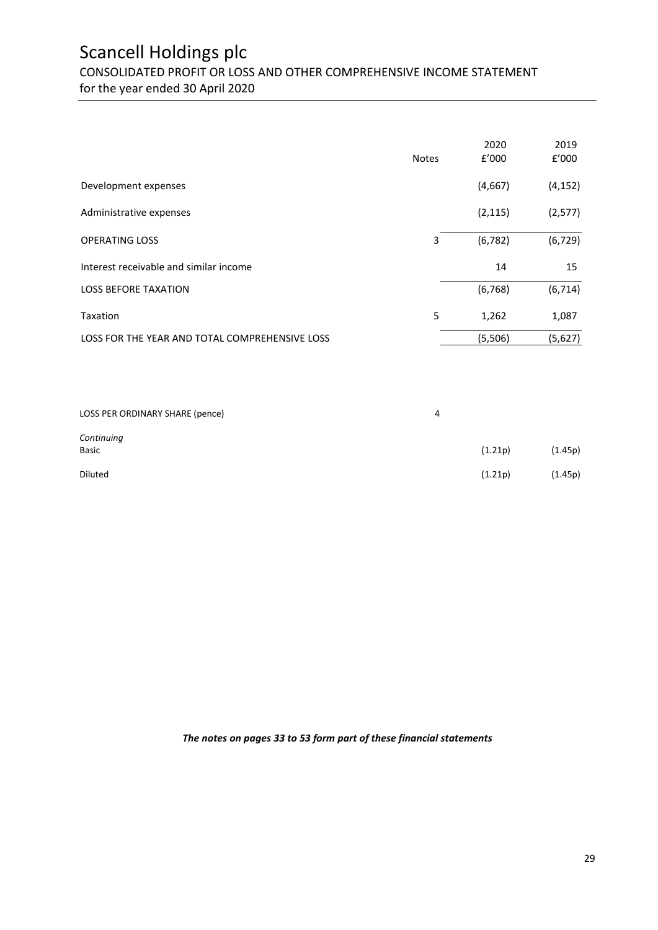CONSOLIDATED PROFIT OR LOSS AND OTHER COMPREHENSIVE INCOME STATEMENT for the year ended 30 April 2020

|                                                | <b>Notes</b> | 2020<br>f'000 | 2019<br>f'000 |
|------------------------------------------------|--------------|---------------|---------------|
| Development expenses                           |              | (4,667)       | (4, 152)      |
| Administrative expenses                        |              | (2, 115)      | (2,577)       |
| <b>OPERATING LOSS</b>                          | 3            | (6, 782)      | (6, 729)      |
| Interest receivable and similar income         |              | 14            | 15            |
| <b>LOSS BEFORE TAXATION</b>                    |              | (6, 768)      | (6, 714)      |
| Taxation                                       | 5            | 1,262         | 1,087         |
| LOSS FOR THE YEAR AND TOTAL COMPREHENSIVE LOSS |              | (5,506)       | (5,627)       |
|                                                |              |               |               |

| LOSS PER ORDINARY SHARE (pence) | 4 |         |         |
|---------------------------------|---|---------|---------|
| Continuing<br>Basic             |   | (1.21p) | (1.45p) |
| <b>Diluted</b>                  |   | (1.21p) | (1.45p) |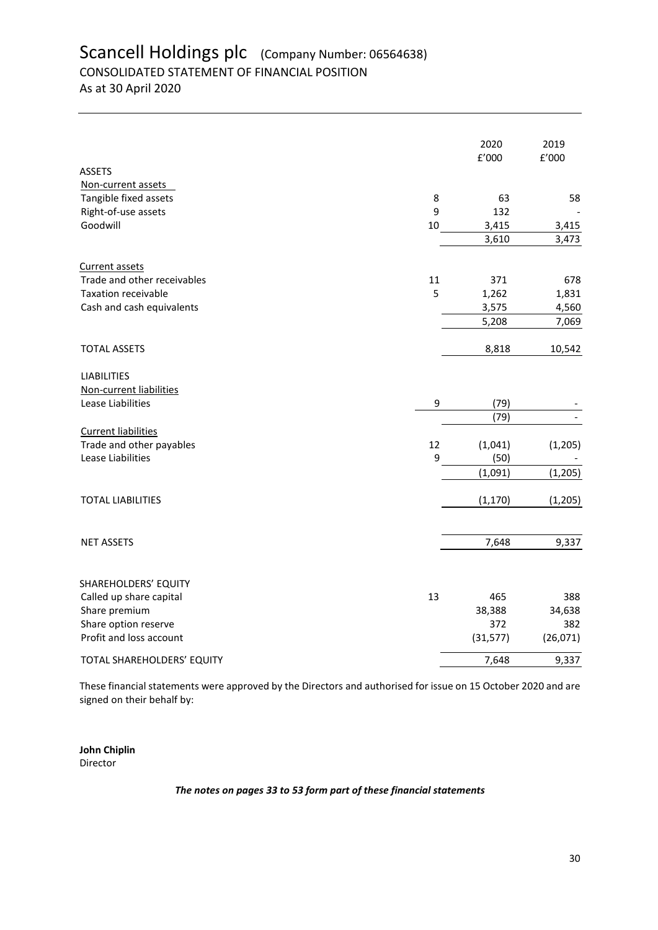## Scancell Holdings plc (Company Number: 06564638) CONSOLIDATED STATEMENT OF FINANCIAL POSITION As at 30 April 2020

|                             |    | 2020<br>f'000 | 2019<br>$\text{f}'000$ |
|-----------------------------|----|---------------|------------------------|
| <b>ASSETS</b>               |    |               |                        |
| Non-current assets          |    |               |                        |
| Tangible fixed assets       | 8  | 63            | 58                     |
| Right-of-use assets         | 9  | 132           |                        |
| Goodwill                    | 10 | 3,415         | 3,415                  |
|                             |    | 3,610         | 3,473                  |
| Current assets              |    |               |                        |
| Trade and other receivables | 11 | 371           | 678                    |
| <b>Taxation receivable</b>  | 5  | 1,262         | 1,831                  |
| Cash and cash equivalents   |    | 3,575         | 4,560                  |
|                             |    | 5,208         | 7,069                  |
| <b>TOTAL ASSETS</b>         |    | 8,818         | 10,542                 |
| <b>LIABILITIES</b>          |    |               |                        |
| Non-current liabilities     |    |               |                        |
| Lease Liabilities           | 9  | (79)          |                        |
|                             |    | (79)          |                        |
| <b>Current liabilities</b>  |    |               |                        |
| Trade and other payables    | 12 | (1,041)       | (1, 205)               |
| Lease Liabilities           | 9  | (50)          |                        |
|                             |    | (1,091)       | (1, 205)               |
| <b>TOTAL LIABILITIES</b>    |    | (1, 170)      | (1, 205)               |
|                             |    |               |                        |
| <b>NET ASSETS</b>           |    | 7,648         | 9,337                  |
| SHAREHOLDERS' EQUITY        |    |               |                        |
| Called up share capital     | 13 | 465           | 388                    |
| Share premium               |    | 38,388        | 34,638                 |
| Share option reserve        |    | 372           | 382                    |
| Profit and loss account     |    | (31, 577)     | (26,071)               |
| TOTAL SHAREHOLDERS' EQUITY  |    | 7,648         | 9,337                  |

These financial statements were approved by the Directors and authorised for issue on 15 October 2020 and are signed on their behalf by:

**John Chiplin** Director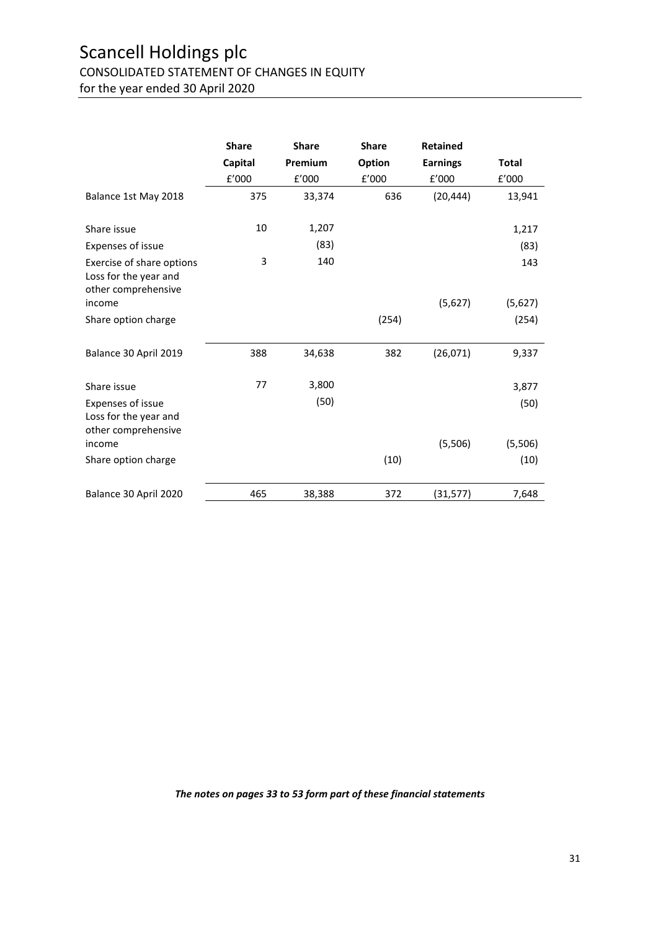## CONSOLIDATED STATEMENT OF CHANGES IN EQUITY

for the year ended 30 April 2020

|                                                                           | <b>Share</b> | <b>Share</b> | <b>Share</b> | <b>Retained</b> |              |
|---------------------------------------------------------------------------|--------------|--------------|--------------|-----------------|--------------|
|                                                                           | Capital      | Premium      | Option       | <b>Earnings</b> | <b>Total</b> |
|                                                                           | f'000        | f'000        | f'000        | f'000           | f'000        |
| Balance 1st May 2018                                                      | 375          | 33,374       | 636          | (20, 444)       | 13,941       |
| Share issue                                                               | $10\,$       | 1,207        |              |                 | 1,217        |
| Expenses of issue                                                         |              | (83)         |              |                 | (83)         |
| Exercise of share options<br>Loss for the year and<br>other comprehensive | 3            | 140          |              |                 | 143          |
| income                                                                    |              |              |              | (5,627)         | (5,627)      |
| Share option charge                                                       |              |              | (254)        |                 | (254)        |
| Balance 30 April 2019                                                     | 388          | 34,638       | 382          | (26,071)        | 9,337        |
| Share issue                                                               | 77           | 3,800        |              |                 | 3,877        |
| Expenses of issue<br>Loss for the year and<br>other comprehensive         |              | (50)         |              |                 | (50)         |
| income                                                                    |              |              |              | (5,506)         | (5,506)      |
| Share option charge                                                       |              |              | (10)         |                 | (10)         |
| Balance 30 April 2020                                                     | 465          | 38,388       | 372          | (31, 577)       | 7,648        |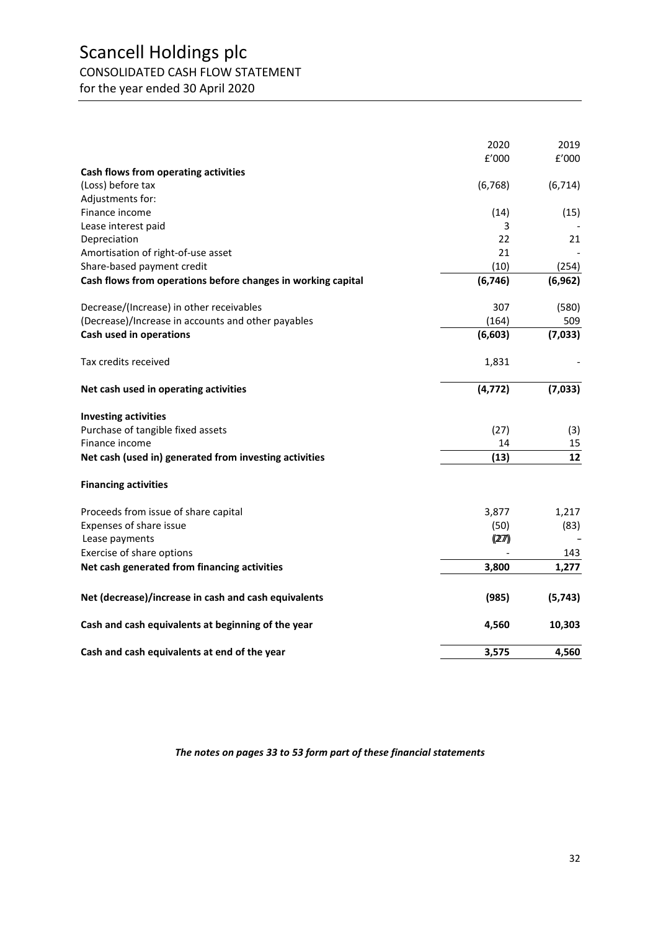## CONSOLIDATED CASH FLOW STATEMENT

for the year ended 30 April 2020

|                                                              | 2020      | 2019     |
|--------------------------------------------------------------|-----------|----------|
|                                                              | f'000     | f'000    |
| Cash flows from operating activities<br>(Loss) before tax    |           |          |
| Adjustments for:                                             | (6, 768)  | (6, 714) |
| Finance income                                               |           |          |
|                                                              | (14)<br>3 | (15)     |
| Lease interest paid                                          | 22        | 21       |
| Depreciation<br>Amortisation of right-of-use asset           | 21        |          |
| Share-based payment credit                                   | (10)      | (254)    |
| Cash flows from operations before changes in working capital | (6, 746)  | (6, 962) |
|                                                              |           |          |
| Decrease/(Increase) in other receivables                     | 307       | (580)    |
| (Decrease)/Increase in accounts and other payables           | (164)     | 509      |
| Cash used in operations                                      | (6, 603)  | (7,033)  |
| Tax credits received                                         | 1,831     |          |
| Net cash used in operating activities                        | (4, 772)  | (7,033)  |
| <b>Investing activities</b>                                  |           |          |
| Purchase of tangible fixed assets                            | (27)      | (3)      |
| Finance income                                               | 14        | 15       |
| Net cash (used in) generated from investing activities       | (13)      | 12       |
| <b>Financing activities</b>                                  |           |          |
| Proceeds from issue of share capital                         | 3,877     | 1,217    |
| Expenses of share issue                                      | (50)      | (83)     |
| Lease payments                                               | (27)      |          |
| Exercise of share options                                    |           | 143      |
| Net cash generated from financing activities                 | 3,800     | 1,277    |
| Net (decrease)/increase in cash and cash equivalents         | (985)     | (5, 743) |
| Cash and cash equivalents at beginning of the year           | 4,560     | 10,303   |
| Cash and cash equivalents at end of the year                 | 3,575     | 4,560    |
|                                                              |           |          |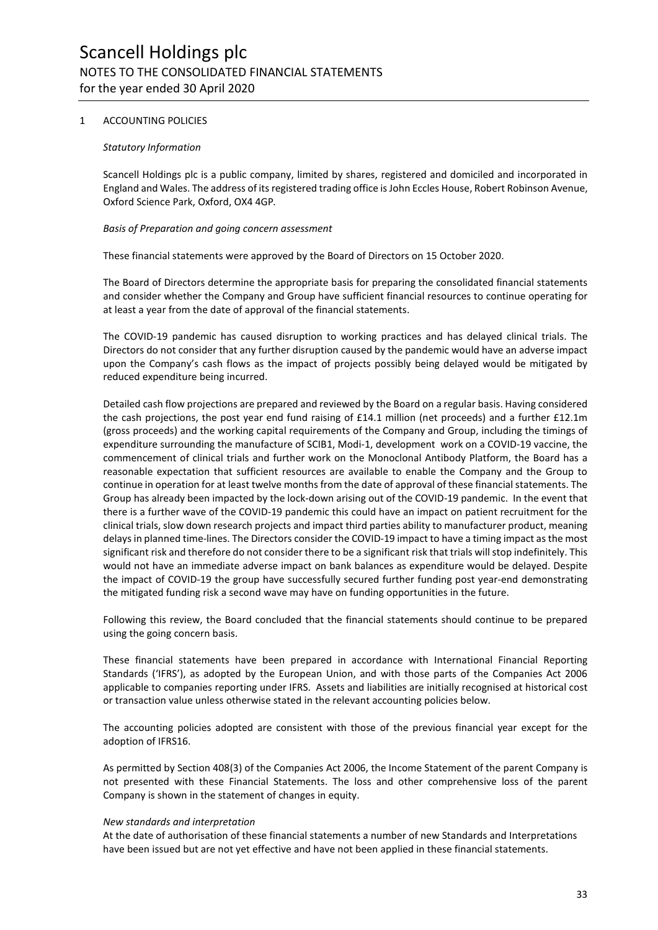## Scancell Holdings plc NOTES TO THE CONSOLIDATED FINANCIAL STATEMENTS for the year ended 30 April 2020

#### 1 ACCOUNTING POLICIES

#### *Statutory Information*

Scancell Holdings plc is a public company, limited by shares, registered and domiciled and incorporated in England and Wales. The address of its registered trading office is John Eccles House, Robert Robinson Avenue, Oxford Science Park, Oxford, OX4 4GP*.*

#### *Basis of Preparation and going concern assessment*

These financial statements were approved by the Board of Directors on 15 October 2020.

The Board of Directors determine the appropriate basis for preparing the consolidated financial statements and consider whether the Company and Group have sufficient financial resources to continue operating for at least a year from the date of approval of the financial statements.

The COVID-19 pandemic has caused disruption to working practices and has delayed clinical trials. The Directors do not consider that any further disruption caused by the pandemic would have an adverse impact upon the Company's cash flows as the impact of projects possibly being delayed would be mitigated by reduced expenditure being incurred.

Detailed cash flow projections are prepared and reviewed by the Board on a regular basis. Having considered the cash projections, the post year end fund raising of £14.1 million (net proceeds) and a further £12.1m (gross proceeds) and the working capital requirements of the Company and Group, including the timings of expenditure surrounding the manufacture of SCIB1, Modi-1, development work on a COVID-19 vaccine, the commencement of clinical trials and further work on the Monoclonal Antibody Platform, the Board has a reasonable expectation that sufficient resources are available to enable the Company and the Group to continue in operation for at least twelve months from the date of approval of these financial statements. The Group has already been impacted by the lock-down arising out of the COVID-19 pandemic. In the event that there is a further wave of the COVID-19 pandemic this could have an impact on patient recruitment for the clinical trials, slow down research projects and impact third parties ability to manufacturer product, meaning delays in planned time-lines. The Directors consider the COVID-19 impact to have a timing impact as the most significant risk and therefore do not consider there to be a significant risk that trials will stop indefinitely. This would not have an immediate adverse impact on bank balances as expenditure would be delayed. Despite the impact of COVID-19 the group have successfully secured further funding post year-end demonstrating the mitigated funding risk a second wave may have on funding opportunities in the future.

Following this review, the Board concluded that the financial statements should continue to be prepared using the going concern basis.

These financial statements have been prepared in accordance with International Financial Reporting Standards ('IFRS'), as adopted by the European Union, and with those parts of the Companies Act 2006 applicable to companies reporting under IFRS. Assets and liabilities are initially recognised at historical cost or transaction value unless otherwise stated in the relevant accounting policies below.

The accounting policies adopted are consistent with those of the previous financial year except for the adoption of IFRS16.

As permitted by Section 408(3) of the Companies Act 2006, the Income Statement of the parent Company is not presented with these Financial Statements. The loss and other comprehensive loss of the parent Company is shown in the statement of changes in equity.

#### *New standards and interpretation*

At the date of authorisation of these financial statements a number of new Standards and Interpretations have been issued but are not yet effective and have not been applied in these financial statements.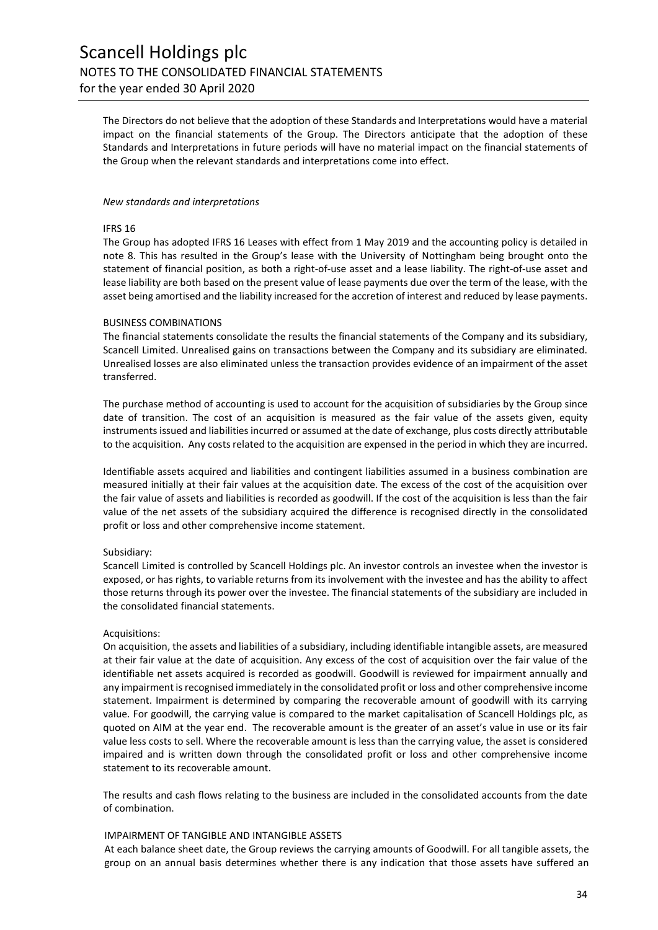The Directors do not believe that the adoption of these Standards and Interpretations would have a material impact on the financial statements of the Group. The Directors anticipate that the adoption of these Standards and Interpretations in future periods will have no material impact on the financial statements of the Group when the relevant standards and interpretations come into effect.

#### *New standards and interpretations*

#### IFRS 16

The Group has adopted IFRS 16 Leases with effect from 1 May 2019 and the accounting policy is detailed in note 8. This has resulted in the Group's lease with the University of Nottingham being brought onto the statement of financial position, as both a right-of-use asset and a lease liability. The right-of-use asset and lease liability are both based on the present value of lease payments due over the term of the lease, with the asset being amortised and the liability increased for the accretion of interest and reduced by lease payments.

#### BUSINESS COMBINATIONS

The financial statements consolidate the results the financial statements of the Company and its subsidiary, Scancell Limited. Unrealised gains on transactions between the Company and its subsidiary are eliminated. Unrealised losses are also eliminated unless the transaction provides evidence of an impairment of the asset transferred.

The purchase method of accounting is used to account for the acquisition of subsidiaries by the Group since date of transition. The cost of an acquisition is measured as the fair value of the assets given, equity instruments issued and liabilities incurred or assumed at the date of exchange, plus costs directly attributable to the acquisition. Any costs related to the acquisition are expensed in the period in which they are incurred.

Identifiable assets acquired and liabilities and contingent liabilities assumed in a business combination are measured initially at their fair values at the acquisition date. The excess of the cost of the acquisition over the fair value of assets and liabilities is recorded as goodwill. If the cost of the acquisition is less than the fair value of the net assets of the subsidiary acquired the difference is recognised directly in the consolidated profit or loss and other comprehensive income statement.

#### Subsidiary:

Scancell Limited is controlled by Scancell Holdings plc. An investor controls an investee when the investor is exposed, or has rights, to variable returns from its involvement with the investee and has the ability to affect those returns through its power over the investee. The financial statements of the subsidiary are included in the consolidated financial statements.

#### Acquisitions:

On acquisition, the assets and liabilities of a subsidiary, including identifiable intangible assets, are measured at their fair value at the date of acquisition. Any excess of the cost of acquisition over the fair value of the identifiable net assets acquired is recorded as goodwill. Goodwill is reviewed for impairment annually and any impairment is recognised immediately in the consolidated profit or loss and other comprehensive income statement. Impairment is determined by comparing the recoverable amount of goodwill with its carrying value. For goodwill, the carrying value is compared to the market capitalisation of Scancell Holdings plc, as quoted on AIM at the year end. The recoverable amount is the greater of an asset's value in use or its fair value less costs to sell. Where the recoverable amount is less than the carrying value, the asset is considered impaired and is written down through the consolidated profit or loss and other comprehensive income statement to its recoverable amount.

The results and cash flows relating to the business are included in the consolidated accounts from the date of combination.

#### IMPAIRMENT OF TANGIBLE AND INTANGIBLE ASSETS

At each balance sheet date, the Group reviews the carrying amounts of Goodwill. For all tangible assets, the group on an annual basis determines whether there is any indication that those assets have suffered an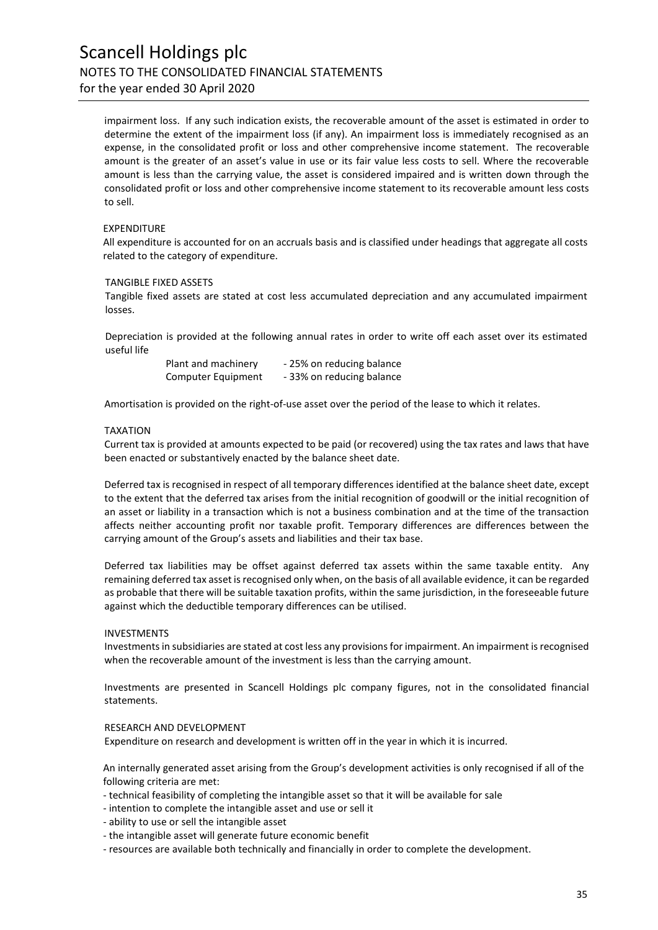### Scancell Holdings plc NOTES TO THE CONSOLIDATED FINANCIAL STATEMENTS for the year ended 30 April 2020

impairment loss. If any such indication exists, the recoverable amount of the asset is estimated in order to determine the extent of the impairment loss (if any). An impairment loss is immediately recognised as an expense, in the consolidated profit or loss and other comprehensive income statement. The recoverable amount is the greater of an asset's value in use or its fair value less costs to sell. Where the recoverable amount is less than the carrying value, the asset is considered impaired and is written down through the consolidated profit or loss and other comprehensive income statement to its recoverable amount less costs to sell.

#### **EXPENDITURE**

All expenditure is accounted for on an accruals basis and is classified under headings that aggregate all costs related to the category of expenditure.

#### TANGIBLE FIXED ASSETS

Tangible fixed assets are stated at cost less accumulated depreciation and any accumulated impairment losses.

Depreciation is provided at the following annual rates in order to write off each asset over its estimated useful life

| Plant and machinery | - 25% on reducing balance |
|---------------------|---------------------------|
| Computer Equipment  | -33% on reducing balance  |

Amortisation is provided on the right-of-use asset over the period of the lease to which it relates.

#### TAXATION

Current tax is provided at amounts expected to be paid (or recovered) using the tax rates and laws that have been enacted or substantively enacted by the balance sheet date.

Deferred tax is recognised in respect of all temporary differences identified at the balance sheet date, except to the extent that the deferred tax arises from the initial recognition of goodwill or the initial recognition of an asset or liability in a transaction which is not a business combination and at the time of the transaction affects neither accounting profit nor taxable profit. Temporary differences are differences between the carrying amount of the Group's assets and liabilities and their tax base.

Deferred tax liabilities may be offset against deferred tax assets within the same taxable entity. Any remaining deferred tax asset is recognised only when, on the basis of all available evidence, it can be regarded as probable that there will be suitable taxation profits, within the same jurisdiction, in the foreseeable future against which the deductible temporary differences can be utilised.

#### INVESTMENTS

Investments in subsidiaries are stated at cost less any provisions for impairment. An impairment is recognised when the recoverable amount of the investment is less than the carrying amount.

Investments are presented in Scancell Holdings plc company figures, not in the consolidated financial statements.

#### RESEARCH AND DEVELOPMENT

Expenditure on research and development is written off in the year in which it is incurred.

An internally generated asset arising from the Group's development activities is only recognised if all of the following criteria are met:

- technical feasibility of completing the intangible asset so that it will be available for sale
- intention to complete the intangible asset and use or sell it
- ability to use or sell the intangible asset
- the intangible asset will generate future economic benefit
- resources are available both technically and financially in order to complete the development.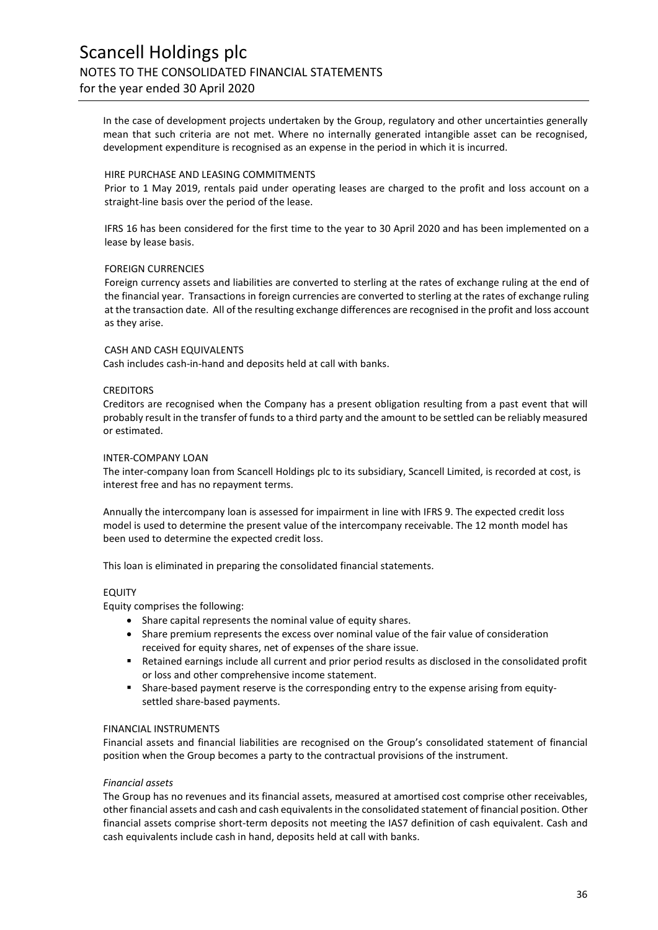### Scancell Holdings plc NOTES TO THE CONSOLIDATED FINANCIAL STATEMENTS for the year ended 30 April 2020

In the case of development projects undertaken by the Group, regulatory and other uncertainties generally mean that such criteria are not met. Where no internally generated intangible asset can be recognised, development expenditure is recognised as an expense in the period in which it is incurred.

#### HIRE PURCHASE AND LEASING COMMITMENTS

Prior to 1 May 2019, rentals paid under operating leases are charged to the profit and loss account on a straight-line basis over the period of the lease.

IFRS 16 has been considered for the first time to the year to 30 April 2020 and has been implemented on a lease by lease basis.

#### FOREIGN CURRENCIES

Foreign currency assets and liabilities are converted to sterling at the rates of exchange ruling at the end of the financial year. Transactions in foreign currencies are converted to sterling at the rates of exchange ruling at the transaction date. All of the resulting exchange differences are recognised in the profit and loss account as they arise.

#### CASH AND CASH EQUIVALENTS

Cash includes cash-in-hand and deposits held at call with banks.

#### CREDITORS

Creditors are recognised when the Company has a present obligation resulting from a past event that will probably result in the transfer of funds to a third party and the amount to be settled can be reliably measured or estimated.

#### INTER-COMPANY LOAN

The inter-company loan from Scancell Holdings plc to its subsidiary, Scancell Limited, is recorded at cost, is interest free and has no repayment terms.

Annually the intercompany loan is assessed for impairment in line with IFRS 9. The expected credit loss model is used to determine the present value of the intercompany receivable. The 12 month model has been used to determine the expected credit loss.

This loan is eliminated in preparing the consolidated financial statements.

#### EQUITY

Equity comprises the following:

- Share capital represents the nominal value of equity shares.
- Share premium represents the excess over nominal value of the fair value of consideration received for equity shares, net of expenses of the share issue.
- Retained earnings include all current and prior period results as disclosed in the consolidated profit or loss and other comprehensive income statement.
- Share-based payment reserve is the corresponding entry to the expense arising from equitysettled share-based payments.

#### FINANCIAL INSTRUMENTS

Financial assets and financial liabilities are recognised on the Group's consolidated statement of financial position when the Group becomes a party to the contractual provisions of the instrument.

#### *Financial assets*

The Group has no revenues and its financial assets, measured at amortised cost comprise other receivables, other financial assets and cash and cash equivalentsin the consolidated statement of financial position. Other financial assets comprise short-term deposits not meeting the IAS7 definition of cash equivalent. Cash and cash equivalents include cash in hand, deposits held at call with banks.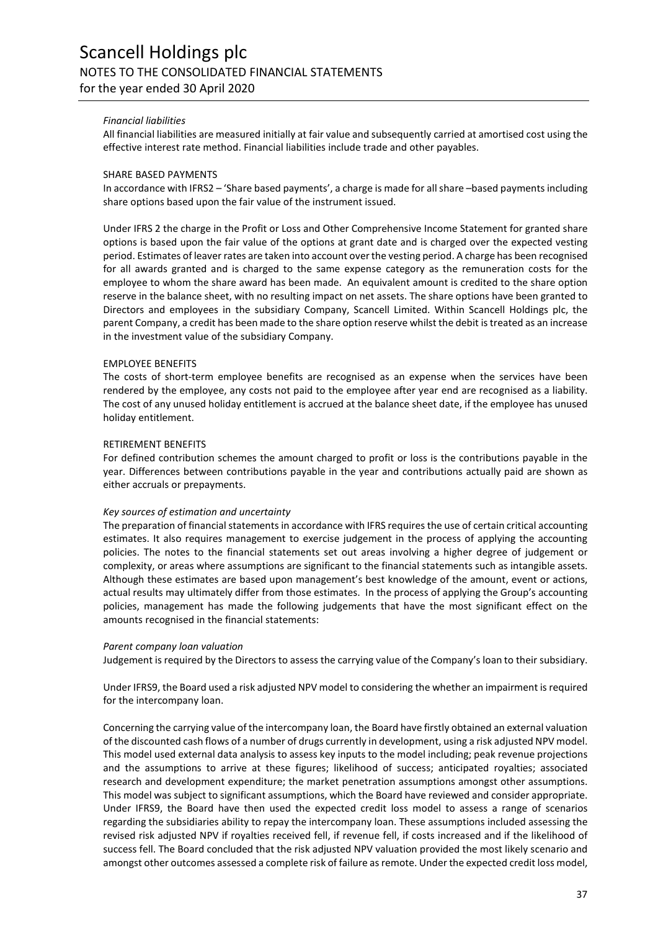## Scancell Holdings plc NOTES TO THE CONSOLIDATED FINANCIAL STATEMENTS

for the year ended 30 April 2020

#### *Financial liabilities*

All financial liabilities are measured initially at fair value and subsequently carried at amortised cost using the effective interest rate method. Financial liabilities include trade and other payables.

#### SHARE BASED PAYMENTS

In accordance with IFRS2 – 'Share based payments', a charge is made for all share –based payments including share options based upon the fair value of the instrument issued.

Under IFRS 2 the charge in the Profit or Loss and Other Comprehensive Income Statement for granted share options is based upon the fair value of the options at grant date and is charged over the expected vesting period. Estimates of leaver rates are taken into account over the vesting period. A charge has been recognised for all awards granted and is charged to the same expense category as the remuneration costs for the employee to whom the share award has been made. An equivalent amount is credited to the share option reserve in the balance sheet, with no resulting impact on net assets. The share options have been granted to Directors and employees in the subsidiary Company, Scancell Limited. Within Scancell Holdings plc, the parent Company, a credit has been made to the share option reserve whilst the debit is treated as an increase in the investment value of the subsidiary Company.

#### EMPLOYEE BENEFITS

The costs of short-term employee benefits are recognised as an expense when the services have been rendered by the employee, any costs not paid to the employee after year end are recognised as a liability. The cost of any unused holiday entitlement is accrued at the balance sheet date, if the employee has unused holiday entitlement.

#### RETIREMENT BENEFITS

For defined contribution schemes the amount charged to profit or loss is the contributions payable in the year. Differences between contributions payable in the year and contributions actually paid are shown as either accruals or prepayments.

#### *Key sources of estimation and uncertainty*

The preparation of financial statements in accordance with IFRS requires the use of certain critical accounting estimates. It also requires management to exercise judgement in the process of applying the accounting policies. The notes to the financial statements set out areas involving a higher degree of judgement or complexity, or areas where assumptions are significant to the financial statements such as intangible assets. Although these estimates are based upon management's best knowledge of the amount, event or actions, actual results may ultimately differ from those estimates. In the process of applying the Group's accounting policies, management has made the following judgements that have the most significant effect on the amounts recognised in the financial statements:

#### *Parent company loan valuation*

Judgement is required by the Directors to assess the carrying value of the Company's loan to their subsidiary.

Under IFRS9, the Board used a risk adjusted NPV model to considering the whether an impairment is required for the intercompany loan.

Concerning the carrying value of the intercompany loan, the Board have firstly obtained an external valuation of the discounted cash flows of a number of drugs currently in development, using a risk adjusted NPV model. This model used external data analysis to assess key inputs to the model including; peak revenue projections and the assumptions to arrive at these figures; likelihood of success; anticipated royalties; associated research and development expenditure; the market penetration assumptions amongst other assumptions. This model was subject to significant assumptions, which the Board have reviewed and consider appropriate. Under IFRS9, the Board have then used the expected credit loss model to assess a range of scenarios regarding the subsidiaries ability to repay the intercompany loan. These assumptions included assessing the revised risk adjusted NPV if royalties received fell, if revenue fell, if costs increased and if the likelihood of success fell. The Board concluded that the risk adjusted NPV valuation provided the most likely scenario and amongst other outcomes assessed a complete risk of failure as remote. Under the expected credit loss model,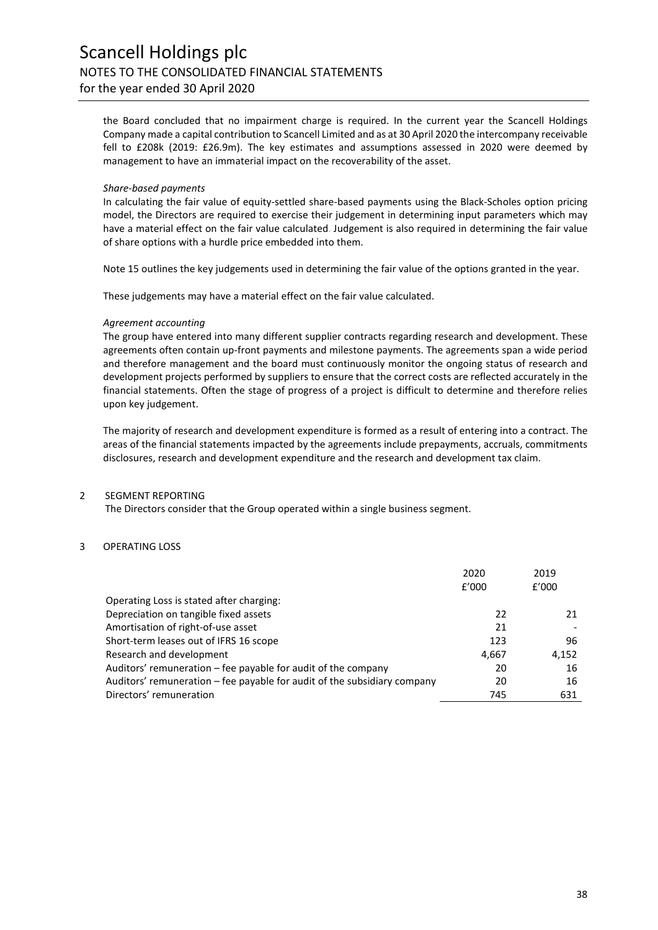### Scancell Holdings plc NOTES TO THE CONSOLIDATED FINANCIAL STATEMENTS for the year ended 30 April 2020

the Board concluded that no impairment charge is required. In the current year the Scancell Holdings Company made a capital contribution to Scancell Limited and as at 30 April 2020 the intercompany receivable fell to £208k (2019: £26.9m). The key estimates and assumptions assessed in 2020 were deemed by management to have an immaterial impact on the recoverability of the asset.

#### *Share-based payments*

In calculating the fair value of equity-settled share-based payments using the Black-Scholes option pricing model, the Directors are required to exercise their judgement in determining input parameters which may have a material effect on the fair value calculated. Judgement is also required in determining the fair value of share options with a hurdle price embedded into them.

Note 15 outlines the key judgements used in determining the fair value of the options granted in the year.

These judgements may have a material effect on the fair value calculated.

#### *Agreement accounting*

The group have entered into many different supplier contracts regarding research and development. These agreements often contain up-front payments and milestone payments. The agreements span a wide period and therefore management and the board must continuously monitor the ongoing status of research and development projects performed by suppliers to ensure that the correct costs are reflected accurately in the financial statements. Often the stage of progress of a project is difficult to determine and therefore relies upon key judgement.

The majority of research and development expenditure is formed as a result of entering into a contract. The areas of the financial statements impacted by the agreements include prepayments, accruals, commitments disclosures, research and development expenditure and the research and development tax claim.

#### 2 SEGMENT REPORTING

The Directors consider that the Group operated within a single business segment.

#### 3 OPERATING LOSS

|                                                                          | 2020  | 2019  |
|--------------------------------------------------------------------------|-------|-------|
|                                                                          | f'000 | f'000 |
| Operating Loss is stated after charging:                                 |       |       |
| Depreciation on tangible fixed assets                                    | 22    | 21    |
| Amortisation of right-of-use asset                                       | 21    |       |
| Short-term leases out of IFRS 16 scope                                   | 123   | 96    |
| Research and development                                                 | 4,667 | 4,152 |
| Auditors' remuneration - fee payable for audit of the company            | 20    | 16    |
| Auditors' remuneration – fee payable for audit of the subsidiary company | 20    | 16    |
| Directors' remuneration                                                  | 745   | 631   |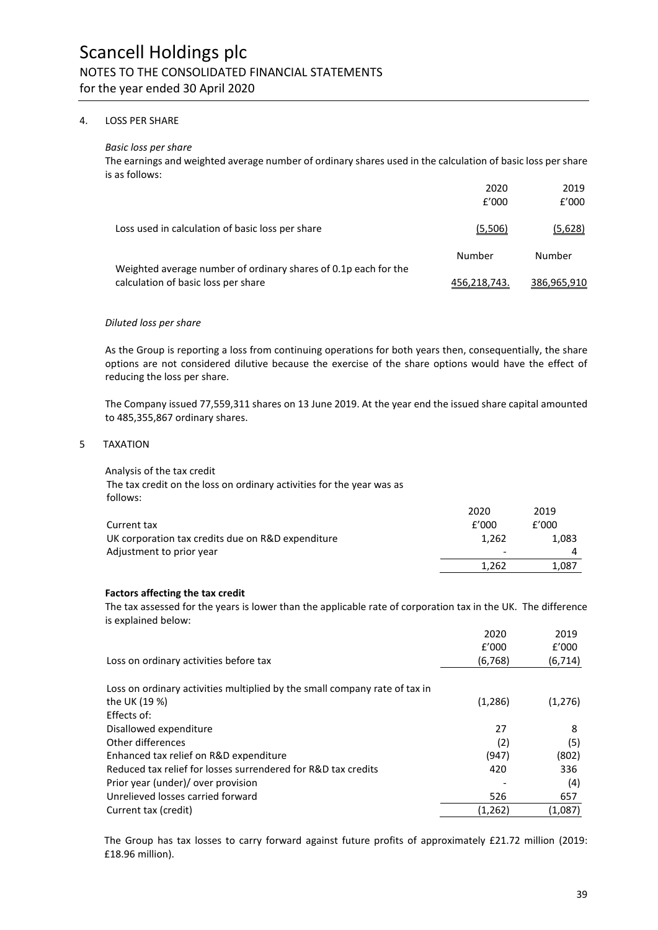#### 4. LOSS PER SHARE

#### *Basic loss per share*

The earnings and weighted average number of ordinary shares used in the calculation of basic loss per share is as follows:

|                                                                 | 2020         | 2019        |
|-----------------------------------------------------------------|--------------|-------------|
|                                                                 | f'000        | f'000       |
| Loss used in calculation of basic loss per share                | (5,506)      | (5,628)     |
| Weighted average number of ordinary shares of 0.1p each for the | Number       | Number      |
| calculation of basic loss per share                             | 456,218,743. | 386,965,910 |

#### *Diluted loss per share*

As the Group is reporting a loss from continuing operations for both years then, consequentially, the share options are not considered dilutive because the exercise of the share options would have the effect of reducing the loss per share.

The Company issued 77,559,311 shares on 13 June 2019. At the year end the issued share capital amounted to 485,355,867 ordinary shares.

#### 5 TAXATION

Analysis of the tax credit The tax credit on the loss on ordinary activities for the year was as follows:

|                                                   | 2020  | 2019  |
|---------------------------------------------------|-------|-------|
| Current tax                                       | f'000 | f'000 |
| UK corporation tax credits due on R&D expenditure | 1.262 | 1,083 |
| Adjustment to prior year                          | -     |       |
|                                                   | 1.262 | 1.087 |

#### **Factors affecting the tax credit**

The tax assessed for the years is lower than the applicable rate of corporation tax in the UK. The difference is explained below:

|                                                                            | 2020    | 2019     |
|----------------------------------------------------------------------------|---------|----------|
|                                                                            | f'000   | f'000    |
| Loss on ordinary activities before tax                                     | (6,768) | (6, 714) |
| Loss on ordinary activities multiplied by the small company rate of tax in |         |          |
| the UK (19 %)                                                              | (1,286) | (1,276)  |
| Effects of:                                                                |         |          |
| Disallowed expenditure                                                     | 27      | 8        |
| Other differences                                                          | (2)     | (5)      |
| Enhanced tax relief on R&D expenditure                                     | (947)   | (802)    |
| Reduced tax relief for losses surrendered for R&D tax credits              | 420     | 336      |
| Prior year (under)/ over provision                                         |         | (4)      |
| Unrelieved losses carried forward                                          | 526     | 657      |
| Current tax (credit)                                                       | (1,262) | (1,087)  |

The Group has tax losses to carry forward against future profits of approximately £21.72 million (2019: £18.96 million).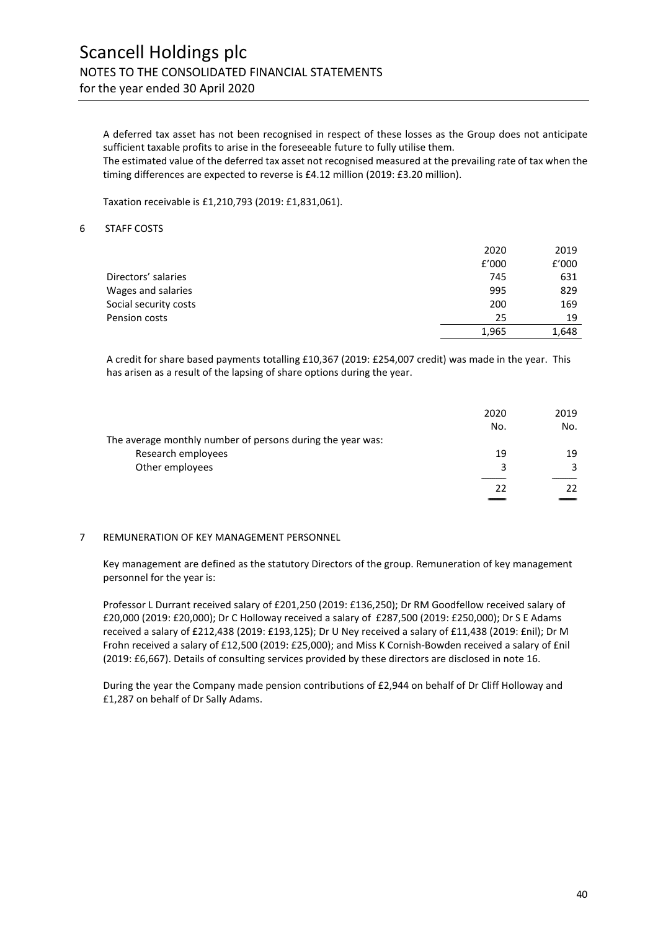A deferred tax asset has not been recognised in respect of these losses as the Group does not anticipate sufficient taxable profits to arise in the foreseeable future to fully utilise them.

The estimated value of the deferred tax asset not recognised measured at the prevailing rate of tax when the timing differences are expected to reverse is £4.12 million (2019: £3.20 million).

Taxation receivable is £1,210,793 (2019: £1,831,061).

#### 6 STAFF COSTS

|                       | 2020  | 2019  |
|-----------------------|-------|-------|
|                       | f'000 | f'000 |
| Directors' salaries   | 745   | 631   |
| Wages and salaries    | 995   | 829   |
| Social security costs | 200   | 169   |
| Pension costs         | 25    | 19    |
|                       | 1,965 | 1,648 |
|                       |       |       |

A credit for share based payments totalling £10,367 (2019: £254,007 credit) was made in the year. This has arisen as a result of the lapsing of share options during the year.

|                                                            | 2020<br>No. | 2019<br>No. |
|------------------------------------------------------------|-------------|-------------|
| The average monthly number of persons during the year was: |             |             |
| Research employees                                         | 19          | 19          |
| Other employees                                            | 3           | 3           |
|                                                            | 22          | 22          |
|                                                            |             |             |

#### 7 REMUNERATION OF KEY MANAGEMENT PERSONNEL

Key management are defined as the statutory Directors of the group. Remuneration of key management personnel for the year is:

Professor L Durrant received salary of £201,250 (2019: £136,250); Dr RM Goodfellow received salary of £20,000 (2019: £20,000); Dr C Holloway received a salary of £287,500 (2019: £250,000); Dr S E Adams received a salary of £212,438 (2019: £193,125); Dr U Ney received a salary of £11,438 (2019: £nil); Dr M Frohn received a salary of £12,500 (2019: £25,000); and Miss K Cornish-Bowden received a salary of £nil (2019: £6,667). Details of consulting services provided by these directors are disclosed in note 16.

During the year the Company made pension contributions of £2,944 on behalf of Dr Cliff Holloway and £1,287 on behalf of Dr Sally Adams.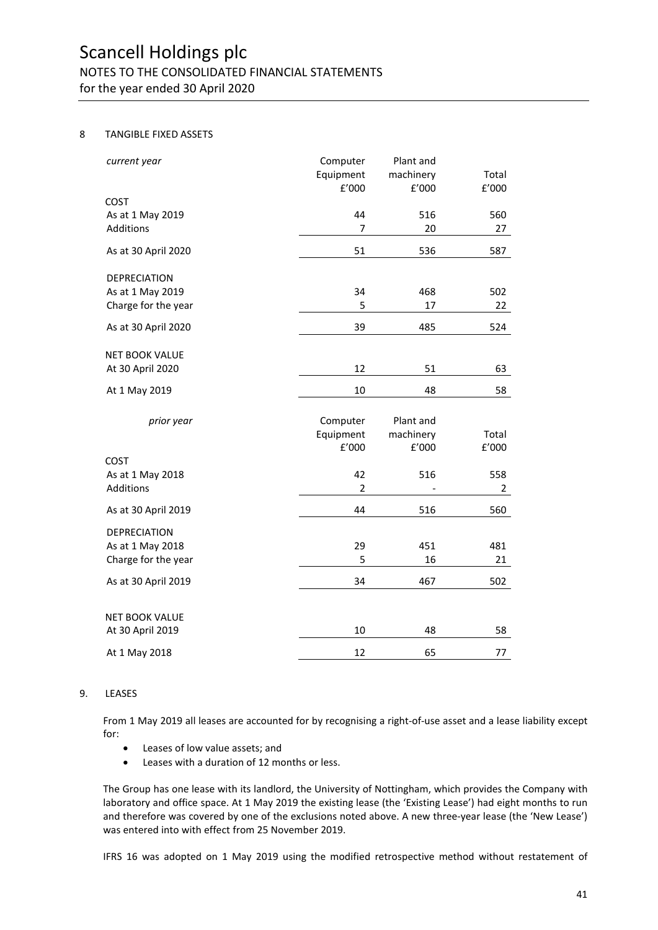### NOTES TO THE CONSOLIDATED FINANCIAL STATEMENTS

for the year ended 30 April 2020

#### 8 TANGIBLE FIXED ASSETS

| current year          | Computer<br>Equipment<br>f'000 | Plant and<br>machinery<br>f'000 | Total<br>f'000        |
|-----------------------|--------------------------------|---------------------------------|-----------------------|
| COST                  |                                |                                 |                       |
| As at 1 May 2019      | 44                             | 516                             | 560                   |
| Additions             | 7                              | 20                              | 27                    |
| As at 30 April 2020   | 51                             | 536                             | 587                   |
| <b>DEPRECIATION</b>   |                                |                                 |                       |
| As at 1 May 2019      | 34                             | 468                             | 502                   |
| Charge for the year   | 5                              | 17                              | 22                    |
| As at 30 April 2020   | 39                             | 485                             | 524                   |
| <b>NET BOOK VALUE</b> |                                |                                 |                       |
| At 30 April 2020      | 12                             | 51                              | 63                    |
| At 1 May 2019         | 10                             | 48                              | 58                    |
| prior year            | Computer                       | Plant and                       |                       |
|                       | Equipment                      | machinery                       | Total                 |
|                       | f'000                          | f'000                           | ${\tt f}^{\prime}000$ |
| COST                  |                                |                                 |                       |
| As at 1 May 2018      | 42                             | 516                             | 558                   |
| Additions             | $\overline{2}$                 |                                 | $\mathbf{2}$          |
| As at 30 April 2019   | 44                             | 516                             | 560                   |
| <b>DEPRECIATION</b>   |                                |                                 |                       |
| As at 1 May 2018      | 29                             | 451                             | 481                   |
| Charge for the year   | 5                              | 16                              | 21                    |
| As at 30 April 2019   | 34                             | 467                             | 502                   |
|                       |                                |                                 |                       |
| <b>NET BOOK VALUE</b> |                                |                                 |                       |
| At 30 April 2019      | 10                             | 48                              | 58                    |
| At 1 May 2018         | 12                             | 65                              | 77                    |

#### 9. LEASES

From 1 May 2019 all leases are accounted for by recognising a right-of-use asset and a lease liability except for:

- Leases of low value assets; and
- Leases with a duration of 12 months or less.

The Group has one lease with its landlord, the University of Nottingham, which provides the Company with laboratory and office space. At 1 May 2019 the existing lease (the 'Existing Lease') had eight months to run and therefore was covered by one of the exclusions noted above. A new three-year lease (the 'New Lease') was entered into with effect from 25 November 2019.

IFRS 16 was adopted on 1 May 2019 using the modified retrospective method without restatement of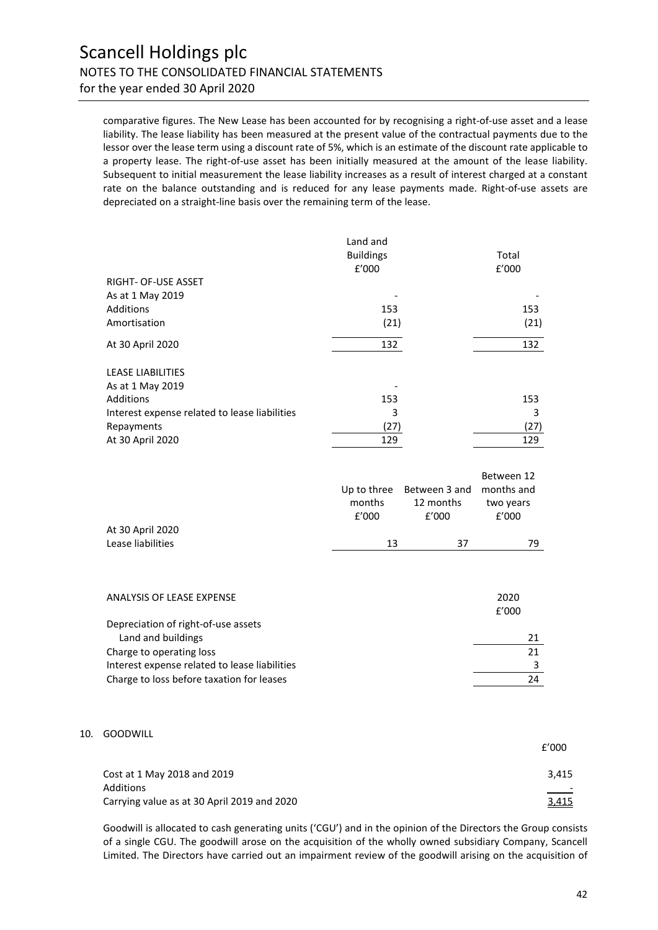### Scancell Holdings plc NOTES TO THE CONSOLIDATED FINANCIAL STATEMENTS for the year ended 30 April 2020

comparative figures. The New Lease has been accounted for by recognising a right-of-use asset and a lease liability. The lease liability has been measured at the present value of the contractual payments due to the lessor over the lease term using a discount rate of 5%, which is an estimate of the discount rate applicable to a property lease. The right-of-use asset has been initially measured at the amount of the lease liability. Subsequent to initial measurement the lease liability increases as a result of interest charged at a constant rate on the balance outstanding and is reduced for any lease payments made. Right-of-use assets are depreciated on a straight-line basis over the remaining term of the lease.

|                                               | Land and         |               |            |
|-----------------------------------------------|------------------|---------------|------------|
|                                               | <b>Buildings</b> |               | Total      |
|                                               | f'000            |               | f'000      |
| <b>RIGHT- OF-USE ASSET</b>                    |                  |               |            |
| As at 1 May 2019                              |                  |               |            |
| Additions                                     | 153              |               | 153        |
| Amortisation                                  | (21)             |               | (21)       |
| At 30 April 2020                              | 132              |               | 132        |
| <b>LEASE LIABILITIES</b>                      |                  |               |            |
| As at 1 May 2019                              |                  |               |            |
| Additions                                     | 153              |               | 153        |
| Interest expense related to lease liabilities | 3                |               | 3          |
| Repayments                                    | (27)             |               | (27)       |
| At 30 April 2020                              | 129              |               | 129        |
|                                               |                  |               |            |
|                                               |                  |               | Between 12 |
|                                               | Up to three      | Between 3 and | months and |
|                                               | months           | 12 months     | two years  |
|                                               | f'000            | f'000         | f'000      |
| At 30 April 2020                              |                  |               |            |

Lease liabilities 13 37 79

| ANALYSIS OF LEASE EXPENSE                     | 2020<br>f'000 |
|-----------------------------------------------|---------------|
| Depreciation of right-of-use assets           |               |
| Land and buildings                            | 21            |
| Charge to operating loss                      |               |
| Interest expense related to lease liabilities |               |
| Charge to loss before taxation for leases     | 24            |

10. GOODWILL

|                                             | f'000        |
|---------------------------------------------|--------------|
| Cost at 1 May 2018 and 2019                 | 3.415        |
| Additions                                   |              |
| Carrying value as at 30 April 2019 and 2020 | <u>3,415</u> |

Goodwill is allocated to cash generating units ('CGU') and in the opinion of the Directors the Group consists of a single CGU. The goodwill arose on the acquisition of the wholly owned subsidiary Company, Scancell Limited. The Directors have carried out an impairment review of the goodwill arising on the acquisition of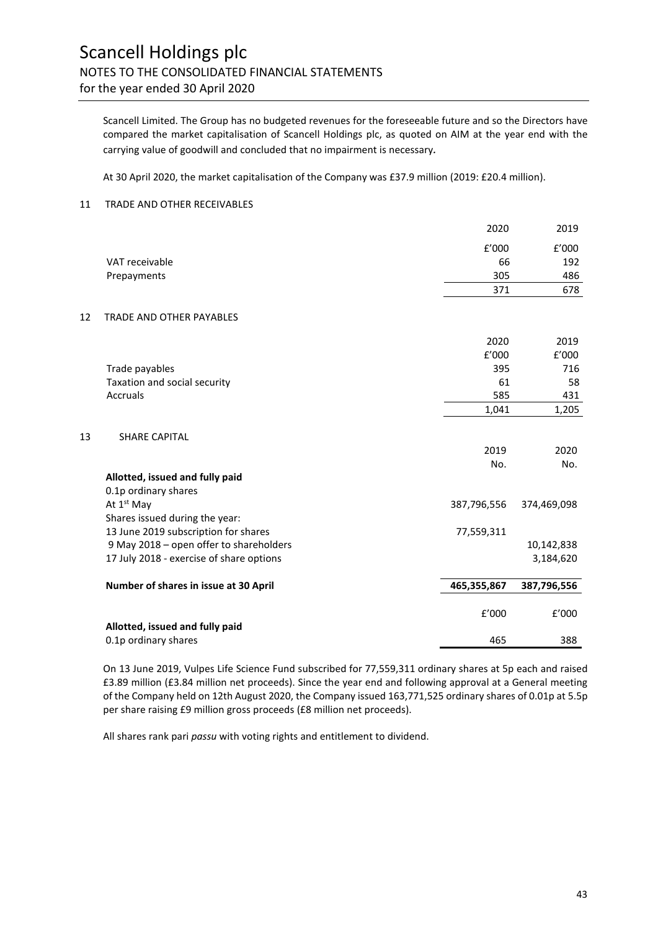## Scancell Holdings plc NOTES TO THE CONSOLIDATED FINANCIAL STATEMENTS for the year ended 30 April 2020

Scancell Limited. The Group has no budgeted revenues for the foreseeable future and so the Directors have compared the market capitalisation of Scancell Holdings plc, as quoted on AIM at the year end with the carrying value of goodwill and concluded that no impairment is necessary*.*

At 30 April 2020, the market capitalisation of the Company was £37.9 million (2019: £20.4 million).

11 TRADE AND OTHER RECEIVABLES

|    |                                          | 2020        | 2019        |
|----|------------------------------------------|-------------|-------------|
|    |                                          | f'000       | f'000       |
|    | VAT receivable                           | 66          | 192         |
|    | Prepayments                              | 305         | 486         |
|    |                                          | 371         | 678         |
| 12 | <b>TRADE AND OTHER PAYABLES</b>          |             |             |
|    |                                          | 2020        | 2019        |
|    |                                          | f'000       | f'000       |
|    | Trade payables                           | 395         | 716         |
|    | Taxation and social security             | 61          | 58          |
|    | <b>Accruals</b>                          | 585         | 431         |
|    |                                          | 1,041       | 1,205       |
| 13 | <b>SHARE CAPITAL</b>                     |             |             |
|    |                                          | 2019        | 2020        |
|    |                                          | No.         | No.         |
|    | Allotted, issued and fully paid          |             |             |
|    | 0.1p ordinary shares                     |             |             |
|    | At 1 <sup>st</sup> May                   | 387,796,556 | 374,469,098 |
|    | Shares issued during the year:           |             |             |
|    | 13 June 2019 subscription for shares     | 77,559,311  |             |
|    | 9 May 2018 - open offer to shareholders  |             | 10,142,838  |
|    | 17 July 2018 - exercise of share options |             | 3,184,620   |
|    | Number of shares in issue at 30 April    | 465,355,867 | 387,796,556 |
|    |                                          | f'000       | f'000       |
|    | Allotted, issued and fully paid          |             |             |
|    | 0.1p ordinary shares                     | 465         | 388         |

On 13 June 2019, Vulpes Life Science Fund subscribed for 77,559,311 ordinary shares at 5p each and raised £3.89 million (£3.84 million net proceeds). Since the year end and following approval at a General meeting of the Company held on 12th August 2020, the Company issued 163,771,525 ordinary shares of 0.01p at 5.5p per share raising £9 million gross proceeds (£8 million net proceeds).

All shares rank pari *passu* with voting rights and entitlement to dividend.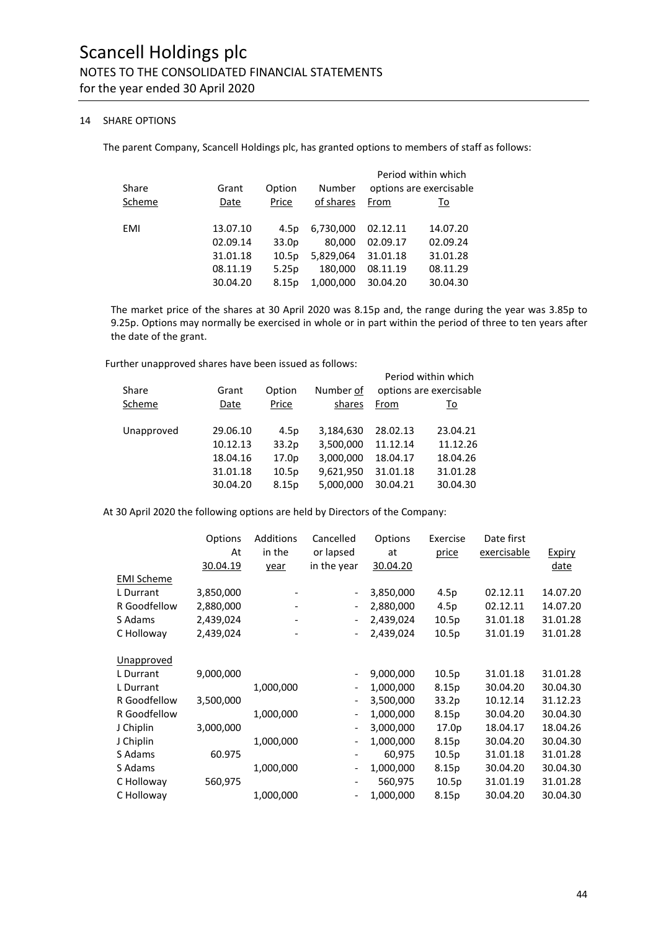#### 14 SHARE OPTIONS

The parent Company, Scancell Holdings plc, has granted options to members of staff as follows:

|        |          |                   |           |          | Period within which     |
|--------|----------|-------------------|-----------|----------|-------------------------|
| Share  | Grant    | Option            | Number    |          | options are exercisable |
| Scheme | Date     | Price             | of shares | From     | <u>To</u>               |
| EMI    | 13.07.10 | 4.5p              | 6,730,000 | 02.12.11 | 14.07.20                |
|        | 02.09.14 | 33.0 <sub>p</sub> | 80,000    | 02.09.17 | 02.09.24                |
|        | 31.01.18 | 10.5p             | 5.829.064 | 31.01.18 | 31.01.28                |
|        | 08.11.19 | 5.25p             | 180,000   | 08.11.19 | 08.11.29                |
|        | 30.04.20 | 8.15 <sub>p</sub> | 1,000,000 | 30.04.20 | 30.04.30                |

The market price of the shares at 30 April 2020 was 8.15p and, the range during the year was 3.85p to 9.25p. Options may normally be exercised in whole or in part within the period of three to ten years after the date of the grant.

Further unapproved shares have been issued as follows:

|            |          |                   |           |          | Period within which     |
|------------|----------|-------------------|-----------|----------|-------------------------|
| Share      | Grant    | Option            | Number of |          | options are exercisable |
| Scheme     | Date     | Price             | shares    | From     | <u>To</u>               |
| Unapproved | 29.06.10 | 4.5p              | 3,184,630 | 28.02.13 | 23.04.21                |
|            | 10.12.13 | 33.2 <sub>p</sub> | 3,500,000 | 11.12.14 | 11.12.26                |
|            | 18.04.16 | 17.0 <sub>p</sub> | 3,000,000 | 18.04.17 | 18.04.26                |
|            | 31.01.18 | 10.5p             | 9,621,950 | 31.01.18 | 31.01.28                |
|            | 30.04.20 | 8.15p             | 5,000,000 | 30.04.21 | 30.04.30                |

At 30 April 2020 the following options are held by Directors of the Company:

|                   | Options<br>At | Additions<br>in the | Cancelled<br>or lapsed   | Options<br>at | Exercise<br>price | Date first<br>exercisable | <u>Expiry</u> |
|-------------------|---------------|---------------------|--------------------------|---------------|-------------------|---------------------------|---------------|
|                   | 30.04.19      | year                | in the year              | 30.04.20      |                   |                           | <u>date</u>   |
| <b>EMI Scheme</b> |               |                     |                          |               |                   |                           |               |
| L Durrant         | 3,850,000     |                     | $\overline{\phantom{a}}$ | 3,850,000     | 4.5p              | 02.12.11                  | 14.07.20      |
| R Goodfellow      | 2,880,000     |                     | $\overline{\phantom{a}}$ | 2,880,000     | 4.5p              | 02.12.11                  | 14.07.20      |
| S Adams           | 2,439,024     |                     | $\overline{\phantom{a}}$ | 2,439,024     | 10.5p             | 31.01.18                  | 31.01.28      |
| C Holloway        | 2,439,024     |                     | $\overline{\phantom{a}}$ | 2,439,024     | 10.5p             | 31.01.19                  | 31.01.28      |
|                   |               |                     |                          |               |                   |                           |               |
| Unapproved        |               |                     |                          |               |                   |                           |               |
| L Durrant         | 9,000,000     |                     | $\overline{\phantom{a}}$ | 9,000,000     | 10.5p             | 31.01.18                  | 31.01.28      |
| L Durrant         |               | 1,000,000           | $\overline{\phantom{a}}$ | 1,000,000     | 8.15p             | 30.04.20                  | 30.04.30      |
| R Goodfellow      | 3,500,000     |                     |                          | 3,500,000     | 33.2 <sub>p</sub> | 10.12.14                  | 31.12.23      |
| R Goodfellow      |               | 1,000,000           | $\overline{\phantom{a}}$ | 1,000,000     | 8.15p             | 30.04.20                  | 30.04.30      |
| J Chiplin         | 3,000,000     |                     | $\overline{\phantom{a}}$ | 3,000,000     | 17.0p             | 18.04.17                  | 18.04.26      |
| J Chiplin         |               | 1,000,000           | $\overline{\phantom{a}}$ | 1,000,000     | 8.15p             | 30.04.20                  | 30.04.30      |
| S Adams           | 60.975        |                     |                          | 60,975        | 10.5p             | 31.01.18                  | 31.01.28      |
| S Adams           |               | 1,000,000           | $\overline{\phantom{a}}$ | 1,000,000     | 8.15p             | 30.04.20                  | 30.04.30      |
| C Holloway        | 560,975       |                     |                          | 560,975       | 10.5p             | 31.01.19                  | 31.01.28      |
| C Holloway        |               | 1,000,000           |                          | 1,000,000     | 8.15p             | 30.04.20                  | 30.04.30      |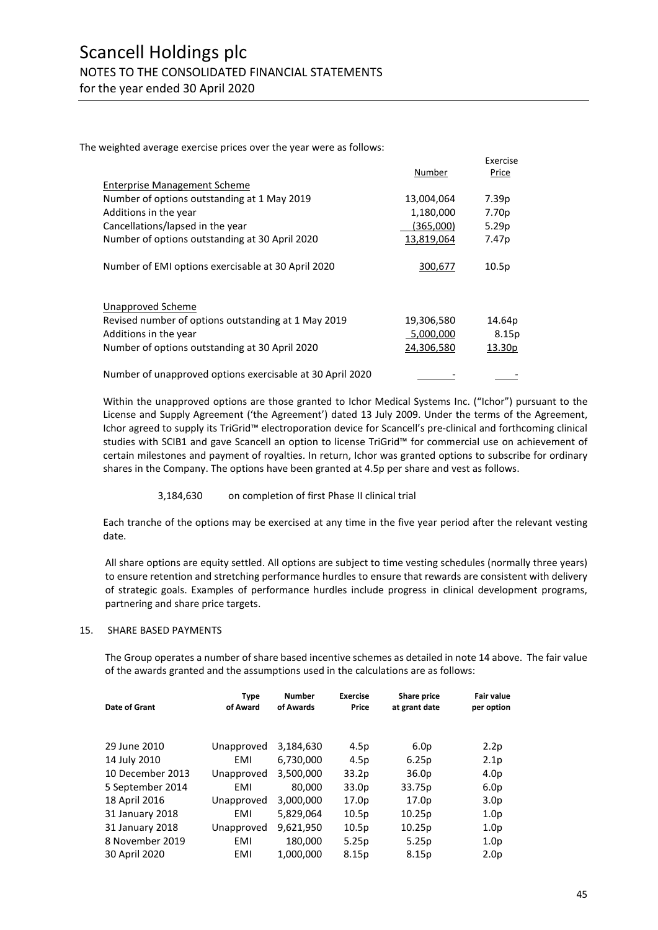The weighted average exercise prices over the year were as follows:

|                                                           | Number     | Price             |
|-----------------------------------------------------------|------------|-------------------|
| <b>Enterprise Management Scheme</b>                       |            |                   |
| Number of options outstanding at 1 May 2019               | 13,004,064 | 7.39p             |
| Additions in the year                                     | 1,180,000  | 7.70p             |
| Cancellations/lapsed in the year                          | (365,000)  | 5.29 <sub>p</sub> |
| Number of options outstanding at 30 April 2020            | 13,819,064 | 7.47 <sub>p</sub> |
| Number of EMI options exercisable at 30 April 2020        | 300,677    | 10.5p             |
| Unapproved Scheme                                         |            |                   |
| Revised number of options outstanding at 1 May 2019       | 19,306,580 | 14.64p            |
| Additions in the year                                     | 5,000,000  | 8.15p             |
| Number of options outstanding at 30 April 2020            | 24,306,580 | 13.30p            |
| Number of unapproved options exercisable at 30 April 2020 |            |                   |

Within the unapproved options are those granted to Ichor Medical Systems Inc. ("Ichor") pursuant to the License and Supply Agreement ('the Agreement') dated 13 July 2009. Under the terms of the Agreement, Ichor agreed to supply its TriGrid™ electroporation device for Scancell's pre-clinical and forthcoming clinical studies with SCIB1 and gave Scancell an option to license TriGrid™ for commercial use on achievement of certain milestones and payment of royalties. In return, Ichor was granted options to subscribe for ordinary shares in the Company. The options have been granted at 4.5p per share and vest as follows.

Exercise

3,184,630 on completion of first Phase II clinical trial

Each tranche of the options may be exercised at any time in the five year period after the relevant vesting date.

All share options are equity settled. All options are subject to time vesting schedules (normally three years) to ensure retention and stretching performance hurdles to ensure that rewards are consistent with delivery of strategic goals. Examples of performance hurdles include progress in clinical development programs, partnering and share price targets.

#### 15. SHARE BASED PAYMENTS

The Group operates a number of share based incentive schemes as detailed in note 14 above. The fair value of the awards granted and the assumptions used in the calculations are as follows:

| Date of Grant    | <b>Type</b><br>of Award | <b>Number</b><br>of Awards | <b>Exercise</b><br>Price | Share price<br>at grant date | <b>Fair value</b><br>per option |
|------------------|-------------------------|----------------------------|--------------------------|------------------------------|---------------------------------|
|                  |                         |                            |                          |                              |                                 |
| 29 June 2010     | Unapproved              | 3,184,630                  | 4.5p                     | 6.0 <sub>p</sub>             | 2.2p                            |
| 14 July 2010     | EMI                     | 6,730,000                  | 4.5p                     | 6.25p                        | 2.1 <sub>p</sub>                |
| 10 December 2013 | Unapproved              | 3,500,000                  | 33.2 <sub>p</sub>        | 36.0p                        | 4.0 <sub>p</sub>                |
| 5 September 2014 | EMI                     | 80,000                     | 33.0 <sub>p</sub>        | 33.75p                       | 6.0 <sub>p</sub>                |
| 18 April 2016    | Unapproved              | 3,000,000                  | 17.0p                    | 17.0p                        | 3.0 <sub>p</sub>                |
| 31 January 2018  | EMI                     | 5,829,064                  | 10.5p                    | 10.25p                       | 1.0 <sub>p</sub>                |
| 31 January 2018  | Unapproved              | 9,621,950                  | 10.5p                    | 10.25p                       | 1.0 <sub>p</sub>                |
| 8 November 2019  | EMI                     | 180,000                    | 5.25p                    | 5.25p                        | 1.0 <sub>p</sub>                |
| 30 April 2020    | EMI                     | 1,000,000                  | 8.15p                    | 8.15p                        | 2.0 <sub>p</sub>                |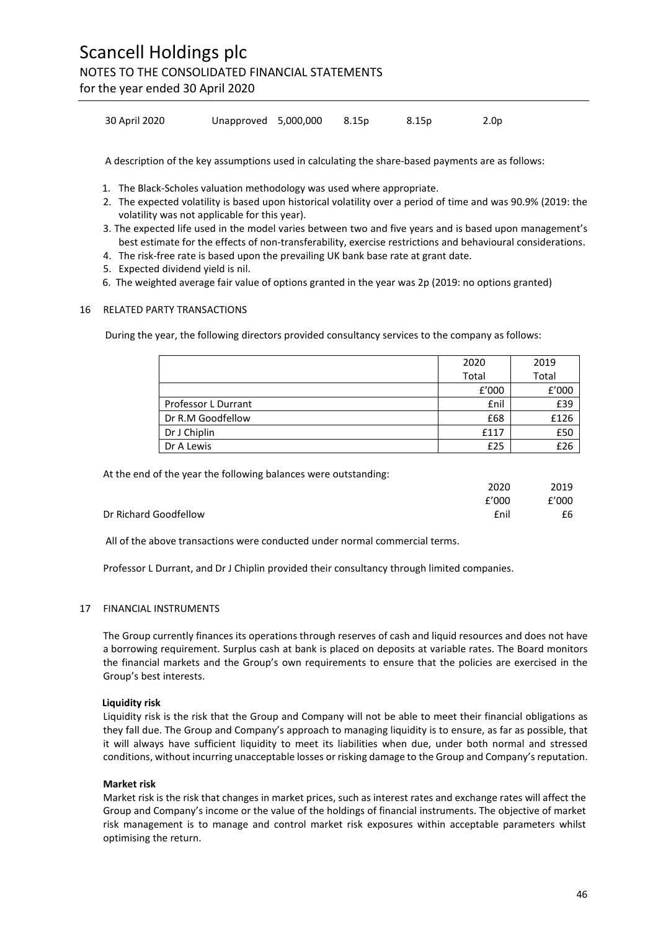| 30 April 2020 | Unapproved 5,000,000 | 8.15p | 8.15p | 2.0p |
|---------------|----------------------|-------|-------|------|
|               |                      |       |       |      |

A description of the key assumptions used in calculating the share-based payments are as follows:

- 1. The Black-Scholes valuation methodology was used where appropriate.
- 2. The expected volatility is based upon historical volatility over a period of time and was 90.9% (2019: the volatility was not applicable for this year).
- 3. The expected life used in the model varies between two and five years and is based upon management's best estimate for the effects of non-transferability, exercise restrictions and behavioural considerations.
- 4. The risk-free rate is based upon the prevailing UK bank base rate at grant date.
- 5. Expected dividend yield is nil.
- 6. The weighted average fair value of options granted in the year was 2p (2019: no options granted)

#### 16 RELATED PARTY TRANSACTIONS

During the year, the following directors provided consultancy services to the company as follows:

|                     | 2020         | 2019  |
|---------------------|--------------|-------|
|                     | Total        | Total |
|                     | f'000        | f'000 |
| Professor L Durrant | <b>f</b> nil | £39   |
| Dr R.M Goodfellow   | £68          | £126  |
| Dr J Chiplin        | £117         | £50   |
| Dr A Lewis          | £25          | £26   |

At the end of the year the following balances were outstanding:

|                       | 2020  | 2019  |
|-----------------------|-------|-------|
|                       | f'000 | f'000 |
| Dr Richard Goodfellow | £nil  | £6    |

All of the above transactions were conducted under normal commercial terms.

Professor L Durrant, and Dr J Chiplin provided their consultancy through limited companies.

#### 17 FINANCIAL INSTRUMENTS

The Group currently finances its operations through reserves of cash and liquid resources and does not have a borrowing requirement. Surplus cash at bank is placed on deposits at variable rates. The Board monitors the financial markets and the Group's own requirements to ensure that the policies are exercised in the Group's best interests.

#### **Liquidity risk**

Liquidity risk is the risk that the Group and Company will not be able to meet their financial obligations as they fall due. The Group and Company's approach to managing liquidity is to ensure, as far as possible, that it will always have sufficient liquidity to meet its liabilities when due, under both normal and stressed conditions, without incurring unacceptable losses or risking damage to the Group and Company's reputation.

#### **Market risk**

Market risk is the risk that changes in market prices, such as interest rates and exchange rates will affect the Group and Company's income or the value of the holdings of financial instruments. The objective of market risk management is to manage and control market risk exposures within acceptable parameters whilst optimising the return.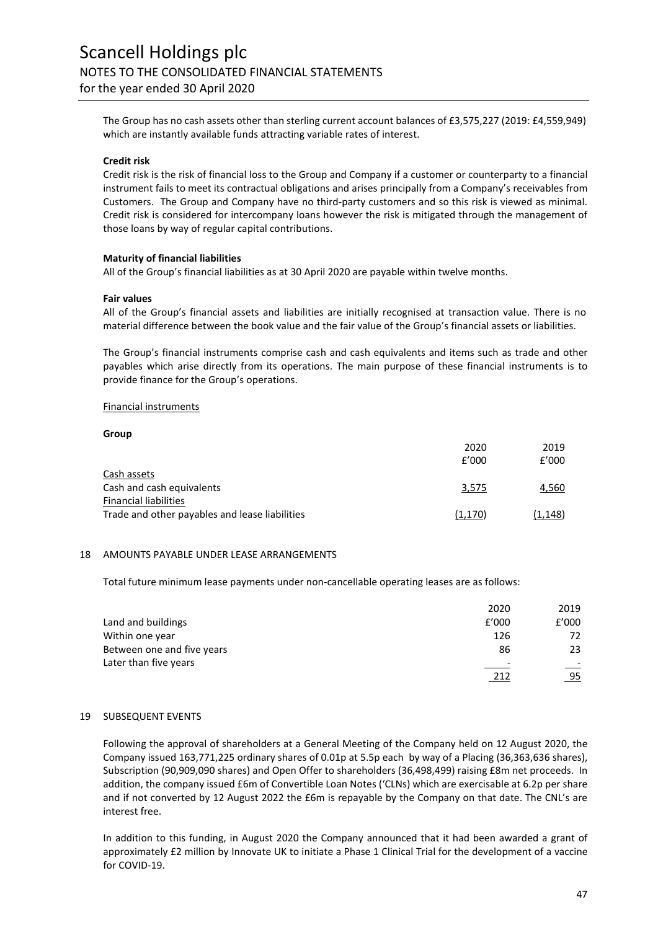### Scancell Holdings plc NOTES TO THE CONSOLIDATED FINANCIAL STATEMENTS for the year ended 30 April 2020

The Group has no cash assets other than sterling current account balances of £3,575,227 (2019: £4,559,949) which are instantly available funds attracting variable rates of interest.

#### **Credit risk**

Credit risk is the risk of financial loss to the Group and Company if a customer or counterparty to a financial instrument fails to meet its contractual obligations and arises principally from a Company's receivables from Customers. The Group and Company have no third-party customers and so this risk is viewed as minimal. Credit risk is considered for intercompany loans however the risk is mitigated through the management of those loans by way of regular capital contributions.

#### **Maturity of financial liabilities**

All of the Group's financial liabilities as at 30 April 2020 are payable within twelve months.

#### **Fair values**

All of the Group's financial assets and liabilities are initially recognised at transaction value. There is no material difference between the book value and the fair value of the Group's financial assets or liabilities.

The Group's financial instruments comprise cash and cash equivalents and items such as trade and other payables which arise directly from its operations. The main purpose of these financial instruments is to provide finance for the Group's operations.

#### Financial instruments

#### **Group**

|                                                | 2020     | 2019     |
|------------------------------------------------|----------|----------|
|                                                | f'000    | f'000    |
| Cash assets                                    |          |          |
| Cash and cash equivalents                      | 3,575    | 4,560    |
| <b>Financial liabilities</b>                   |          |          |
| Trade and other payables and lease liabilities | (1, 170) | (1, 148) |

#### 18 AMOUNTS PAYABLE UNDER LEASE ARRANGEMENTS

Total future minimum lease payments under non-cancellable operating leases are as follows:

|                            | 2020  | 2019  |
|----------------------------|-------|-------|
| Land and buildings         | f'000 | f'000 |
| Within one year            | 126   | 72    |
| Between one and five years | 86    | 23    |
| Later than five years      |       |       |
|                            | 212   | 95    |

#### 19 SUBSEQUENT EVENTS

Following the approval of shareholders at a General Meeting of the Company held on 12 August 2020, the Company issued 163,771,225 ordinary shares of 0.01p at 5.5p each by way of a Placing (36,363,636 shares), Subscription (90,909,090 shares) and Open Offer to shareholders (36,498,499) raising £8m net proceeds. In addition, the company issued £6m of Convertible Loan Notes ('CLNs) which are exercisable at 6.2p per share and if not converted by 12 August 2022 the £6m is repayable by the Company on that date. The CNL's are interest free.

In addition to this funding, in August 2020 the Company announced that it had been awarded a grant of approximately £2 million by Innovate UK to initiate a Phase 1 Clinical Trial for the development of a vaccine for COVID-19.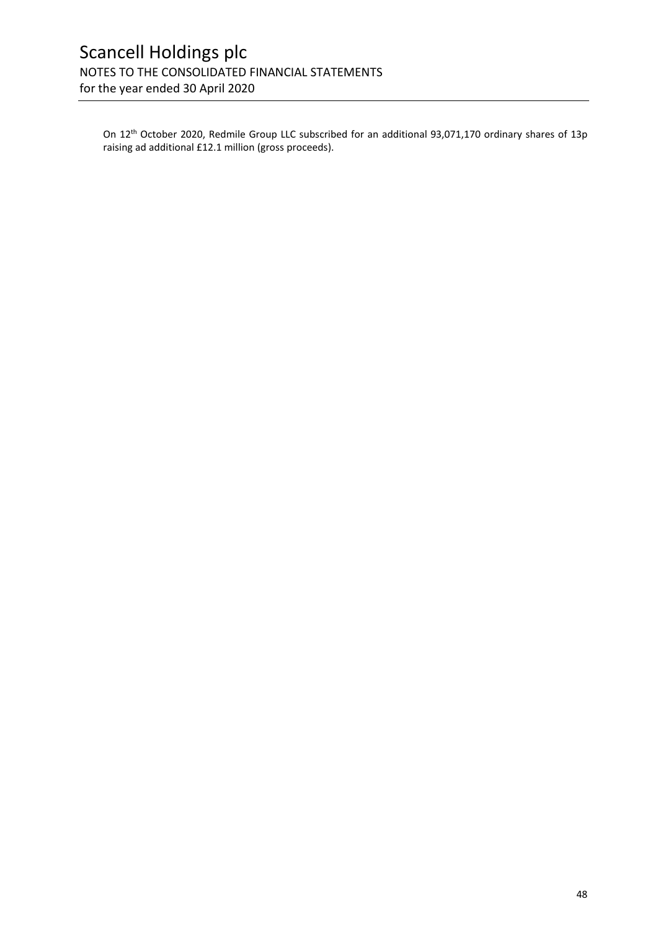## Scancell Holdings plc NOTES TO THE CONSOLIDATED FINANCIAL STATEMENTS for the year ended 30 April 2020

On 12th October 2020, Redmile Group LLC subscribed for an additional 93,071,170 ordinary shares of 13p raising ad additional £12.1 million (gross proceeds).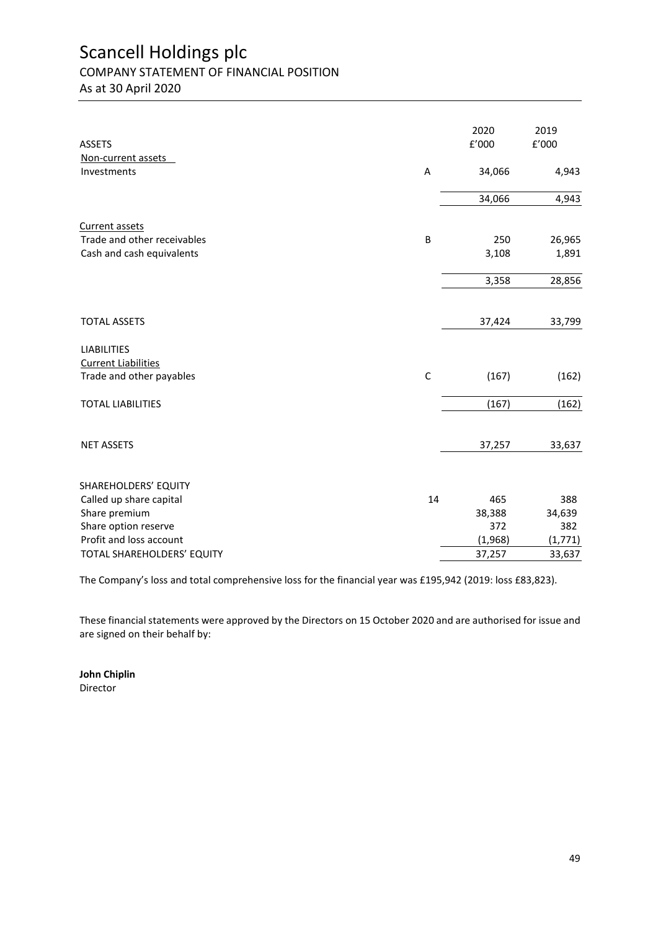### COMPANY STATEMENT OF FINANCIAL POSITION

As at 30 April 2020

| <b>ASSETS</b><br>Non-current assets   |             | 2020<br>f'000 | 2019<br>f'000 |
|---------------------------------------|-------------|---------------|---------------|
| Investments                           | A           | 34,066        | 4,943         |
|                                       |             | 34,066        | 4,943         |
| Current assets                        |             |               |               |
| Trade and other receivables           | B           | 250           | 26,965        |
| Cash and cash equivalents             |             | 3,108         | 1,891         |
|                                       |             | 3,358         | 28,856        |
|                                       |             |               |               |
| <b>TOTAL ASSETS</b>                   |             | 37,424        | 33,799        |
| <b>LIABILITIES</b>                    |             |               |               |
| <b>Current Liabilities</b>            |             |               |               |
| Trade and other payables              | $\mathsf C$ | (167)         | (162)         |
| <b>TOTAL LIABILITIES</b>              |             | (167)         | (162)         |
|                                       |             |               |               |
| <b>NET ASSETS</b>                     |             | 37,257        | 33,637        |
|                                       |             |               |               |
| SHAREHOLDERS' EQUITY                  |             |               |               |
| Called up share capital               | 14          | 465           | 388           |
| Share premium<br>Share option reserve |             | 38,388<br>372 | 34,639<br>382 |
| Profit and loss account               |             | (1,968)       | (1, 771)      |
| TOTAL SHAREHOLDERS' EQUITY            |             | 37,257        | 33,637        |
|                                       |             |               |               |

The Company's loss and total comprehensive loss for the financial year was £195,942 (2019: loss £83,823).

These financial statements were approved by the Directors on 15 October 2020 and are authorised for issue and are signed on their behalf by:

**John Chiplin** Director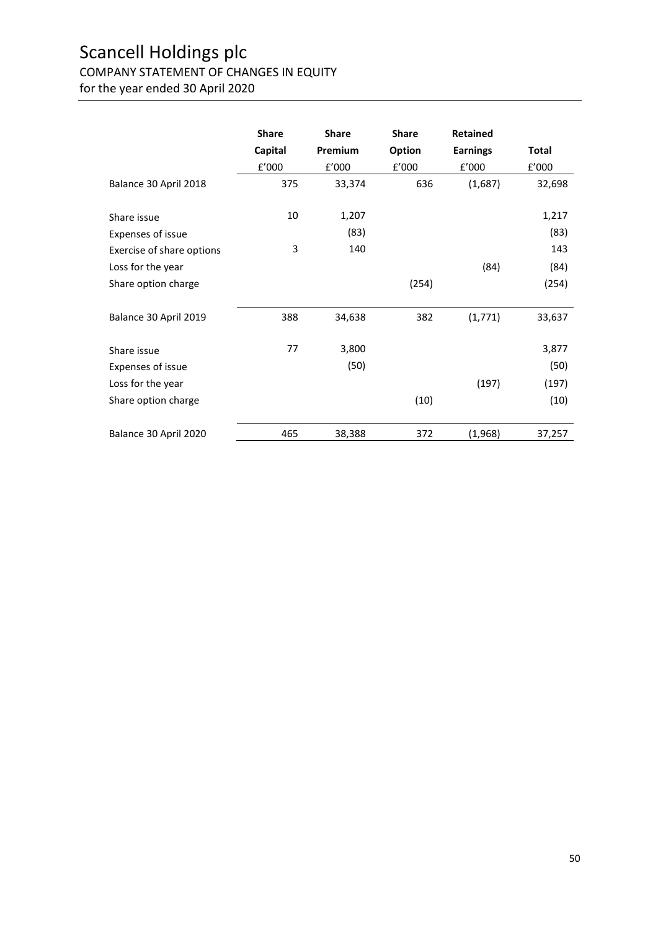## COMPANY STATEMENT OF CHANGES IN EQUITY

for the year ended 30 April 2020

|                           | <b>Share</b> | <b>Share</b> | <b>Share</b>  | <b>Retained</b> |              |
|---------------------------|--------------|--------------|---------------|-----------------|--------------|
|                           | Capital      | Premium      | <b>Option</b> | <b>Earnings</b> | <b>Total</b> |
|                           | f'000        | f'000        | £'000         | £'000           | £'000        |
| Balance 30 April 2018     | 375          | 33,374       | 636           | (1,687)         | 32,698       |
| Share issue               | 10           | 1,207        |               |                 | 1,217        |
| Expenses of issue         |              | (83)         |               |                 | (83)         |
| Exercise of share options | 3            | 140          |               |                 | 143          |
| Loss for the year         |              |              |               | (84)            | (84)         |
| Share option charge       |              |              | (254)         |                 | (254)        |
| Balance 30 April 2019     | 388          | 34,638       | 382           | (1, 771)        | 33,637       |
| Share issue               | 77           | 3,800        |               |                 | 3,877        |
| Expenses of issue         |              | (50)         |               |                 | (50)         |
| Loss for the year         |              |              |               | (197)           | (197)        |
| Share option charge       |              |              | (10)          |                 | (10)         |
| Balance 30 April 2020     | 465          | 38,388       | 372           | (1,968)         | 37,257       |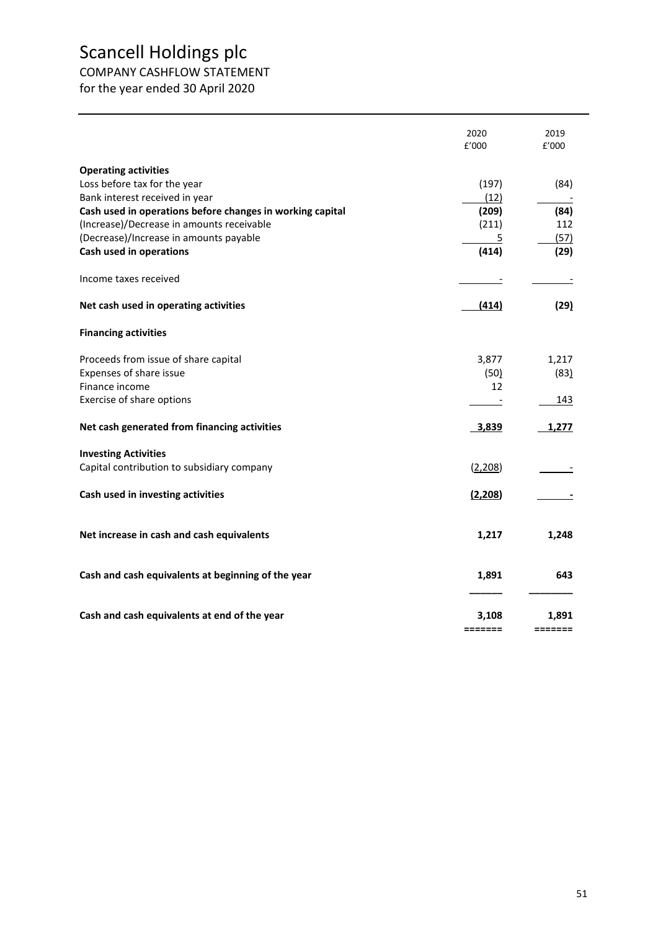## COMPANY CASHFLOW STATEMENT

for the year ended 30 April 2020

|                                                                                                                                                                                                                                                                              | 2020<br>£'000                            | 2019<br>f'000                       |
|------------------------------------------------------------------------------------------------------------------------------------------------------------------------------------------------------------------------------------------------------------------------------|------------------------------------------|-------------------------------------|
| <b>Operating activities</b><br>Loss before tax for the year<br>Bank interest received in year<br>Cash used in operations before changes in working capital<br>(Increase)/Decrease in amounts receivable<br>(Decrease)/Increase in amounts payable<br>Cash used in operations | (197)<br>(12)<br>(209)<br>(211)<br>(414) | (84)<br>(84)<br>112<br>(57)<br>(29) |
| Income taxes received                                                                                                                                                                                                                                                        |                                          |                                     |
| Net cash used in operating activities                                                                                                                                                                                                                                        | (414)                                    | (29)                                |
| <b>Financing activities</b>                                                                                                                                                                                                                                                  |                                          |                                     |
| Proceeds from issue of share capital<br>Expenses of share issue<br>Finance income<br>Exercise of share options                                                                                                                                                               | 3,877<br>(50)<br>12                      | 1,217<br>(83)<br>143                |
| Net cash generated from financing activities                                                                                                                                                                                                                                 | 3,839                                    | 1,277                               |
| <b>Investing Activities</b><br>Capital contribution to subsidiary company<br>Cash used in investing activities                                                                                                                                                               | (2,208)<br>(2, 208)                      |                                     |
| Net increase in cash and cash equivalents                                                                                                                                                                                                                                    | 1,217                                    | 1,248                               |
| Cash and cash equivalents at beginning of the year                                                                                                                                                                                                                           | 1,891                                    | 643                                 |
| Cash and cash equivalents at end of the year                                                                                                                                                                                                                                 | 3,108<br>$=$ $=$ $=$ $=$ $=$ $=$ $=$     | 1,891<br>=======                    |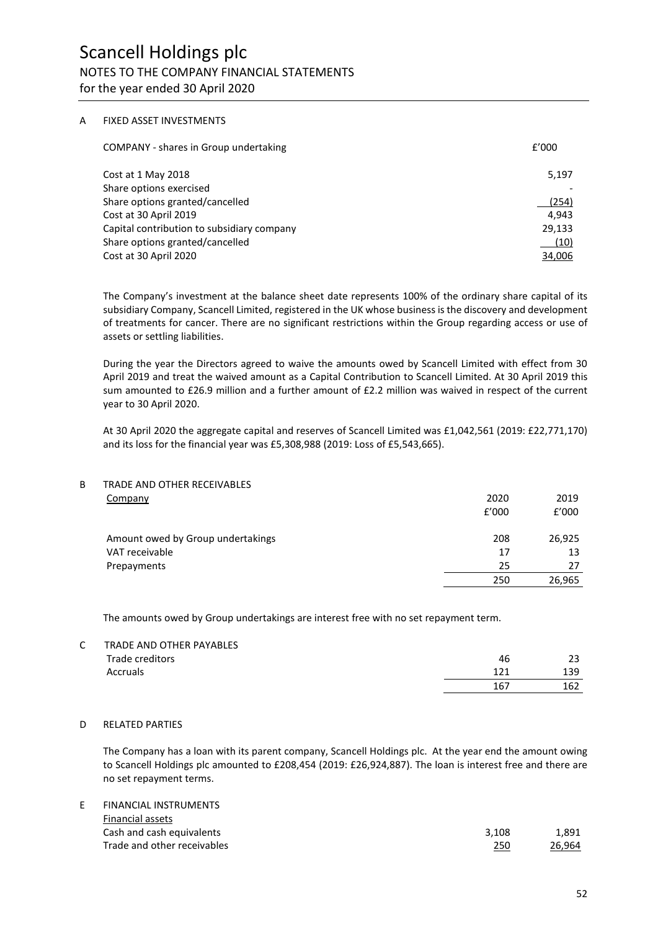## Scancell Holdings plc NOTES TO THE COMPANY FINANCIAL STATEMENTS

for the year ended 30 April 2020

#### A FIXED ASSET INVESTMENTS

| COMPANY - shares in Group undertaking      | f'000  |
|--------------------------------------------|--------|
| Cost at 1 May 2018                         | 5,197  |
| Share options exercised                    |        |
| Share options granted/cancelled            | (254)  |
| Cost at 30 April 2019                      | 4.943  |
| Capital contribution to subsidiary company | 29,133 |
| Share options granted/cancelled            | (10)   |
| Cost at 30 April 2020                      | 34,006 |

The Company's investment at the balance sheet date represents 100% of the ordinary share capital of its subsidiary Company, Scancell Limited, registered in the UK whose business is the discovery and development of treatments for cancer. There are no significant restrictions within the Group regarding access or use of assets or settling liabilities.

During the year the Directors agreed to waive the amounts owed by Scancell Limited with effect from 30 April 2019 and treat the waived amount as a Capital Contribution to Scancell Limited. At 30 April 2019 this sum amounted to £26.9 million and a further amount of £2.2 million was waived in respect of the current year to 30 April 2020.

At 30 April 2020 the aggregate capital and reserves of Scancell Limited was £1,042,561 (2019: £22,771,170) and its loss for the financial year was £5,308,988 (2019: Loss of £5,543,665).

| B | TRADE AND OTHER RECEIVABLES       |       |        |
|---|-----------------------------------|-------|--------|
|   | Company                           | 2020  | 2019   |
|   |                                   | f'000 | f'000  |
|   | Amount owed by Group undertakings | 208   | 26,925 |
|   | VAT receivable                    | 17    | 13     |
|   | Prepayments                       | 25    | 27     |
|   |                                   | 250   | 26,965 |

The amounts owed by Group undertakings are interest free with no set repayment term.

C TRADE AND OTHER PAYABLES

| Trade creditors | 46  | 23  |
|-----------------|-----|-----|
| Accruals        | 121 | 139 |
|                 | 167 | 162 |

#### D RELATED PARTIES

The Company has a loan with its parent company, Scancell Holdings plc. At the year end the amount owing to Scancell Holdings plc amounted to £208,454 (2019: £26,924,887). The loan is interest free and there are no set repayment terms.

|  | FINANCIAL INSTRUMENTS       |       |        |
|--|-----------------------------|-------|--------|
|  | Financial assets            |       |        |
|  | Cash and cash equivalents   | 3.108 | 1.891  |
|  | Trade and other receivables | 250   | 26,964 |
|  |                             |       |        |